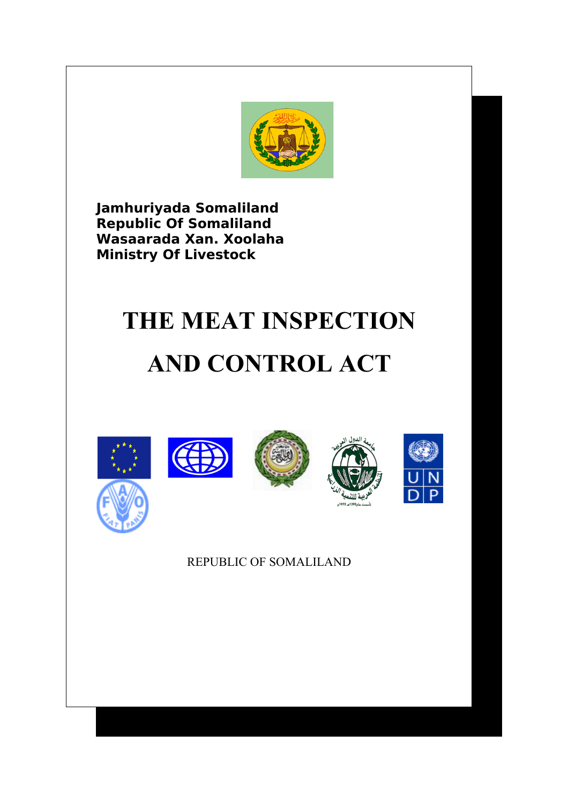

**Jamhuriyada Somaliland Republic Of Somaliland Wasaarada Xan. Xoolaha Ministry Of Livestock**

# **THE MEAT INSPECTION AND CONTROL ACT**



# REPUBLIC OF SOMALILAND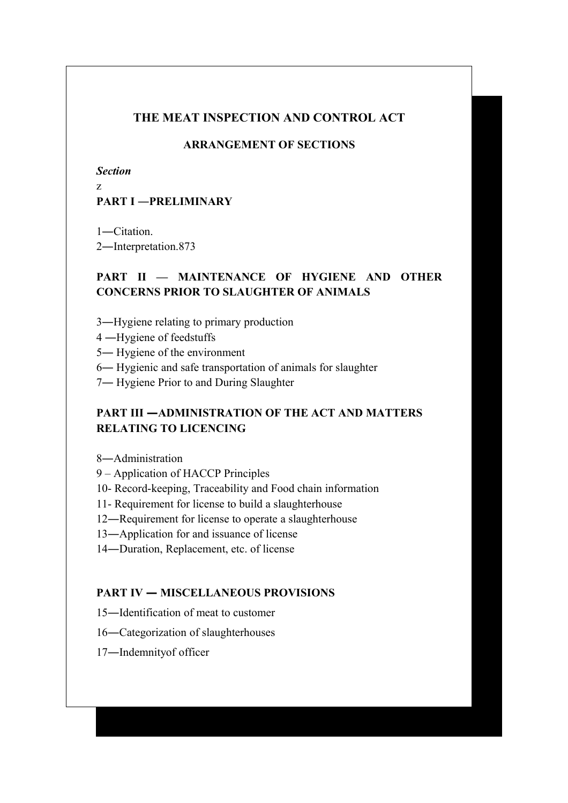# **THE MEAT INSPECTION AND CONTROL ACT**

# **ARRANGEMENT OF SECTIONS**

*Section*

z

# **PART I ―PRELIMINARY**

1―Citation.

2―Interpretation.873

# **PART II — MAINTENANCE OF HYGIENE AND OTHER CONCERNS PRIOR TO SLAUGHTER OF ANIMALS**

- 3―Hygiene relating to primary production
- 4 ―Hygiene of feedstuffs
- 5― Hygiene of the environment
- 6― Hygienic and safe transportation of animals for slaughter
- 7― Hygiene Prior to and During Slaughter

# **PART III —ADMINISTRATION OF THE ACT AND MATTERS RELATING TO LICENCING**

8―Administration

- 9 Application of HACCP Principles
- 10- Record-keeping, Traceability and Food chain information
- 11- Requirement for license to build a slaughterhouse
- 12―Requirement for license to operate a slaughterhouse
- 13―Application for and issuance of license
- 14―Duration, Replacement, etc. of license

## **PART IV — MISCELLANEOUS PROVISIONS**

- 15―Identification of meat to customer
- 16―Categorization of slaughterhouses
- 17―Indemnityof officer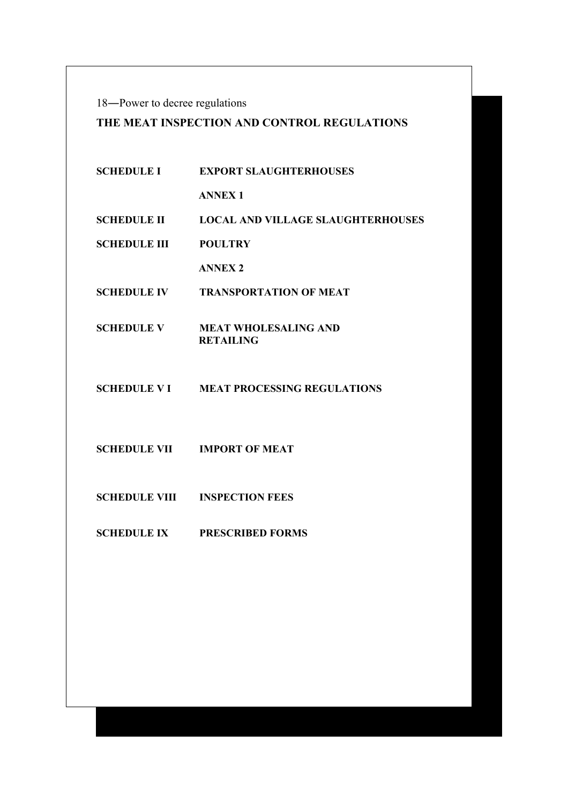18―Power to decree regulations

# **THE MEAT INSPECTION AND CONTROL REGULATIONS**

| <b>SCHEDULE I</b>    | <b>EXPORT SLAUGHTERHOUSES</b>                   |
|----------------------|-------------------------------------------------|
|                      | <b>ANNEX1</b>                                   |
| <b>SCHEDULE II</b>   | <b>LOCAL AND VILLAGE SLAUGHTERHOUSES</b>        |
| <b>SCHEDULE III</b>  | <b>POULTRY</b>                                  |
|                      | <b>ANNEX 2</b>                                  |
| <b>SCHEDULE IV</b>   | <b>TRANSPORTATION OF MEAT</b>                   |
| <b>SCHEDULE V</b>    | <b>MEAT WHOLESALING AND</b><br><b>RETAILING</b> |
|                      | <b>SCHEDULE V I MEAT PROCESSING REGULATIONS</b> |
|                      | <b>SCHEDULE VII MPORT OF MEAT</b>               |
| <b>SCHEDULE VIII</b> | <b>INSPECTION FEES</b>                          |
| <b>SCHEDULE IX</b>   | <b>PRESCRIBED FORMS</b>                         |
|                      |                                                 |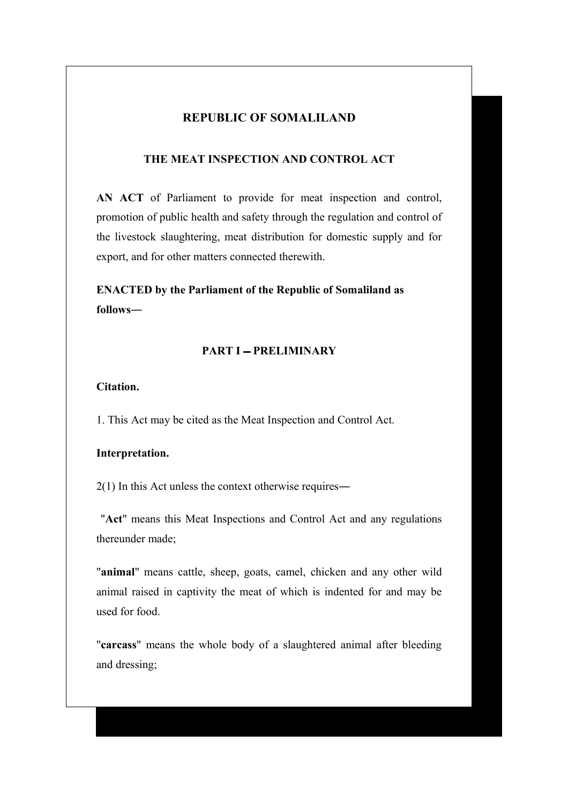## **REPUBLIC OF SOMALILAND**

#### **THE MEAT INSPECTION AND CONTROL ACT**

**AN ACT** of Parliament to provide for meat inspection and control, promotion of public health and safety through the regulation and control of the livestock slaughtering, meat distribution for domestic supply and for export, and for other matters connected therewith.

**ENACTED by the Parliament of the Republic of Somaliland as follows―**

#### **PART I - PRELIMINARY**

**Citation.**

1. This Act may be cited as the Meat Inspection and Control Act.

#### **Interpretation.**

2(1) In this Act unless the context otherwise requires―

 "**Act**" means this Meat Inspections and Control Act and any regulations thereunder made;

"**animal**" means cattle, sheep, goats, camel, chicken and any other wild animal raised in captivity the meat of which is indented for and may be used for food.

"**carcass**" means the whole body of a slaughtered animal after bleeding and dressing;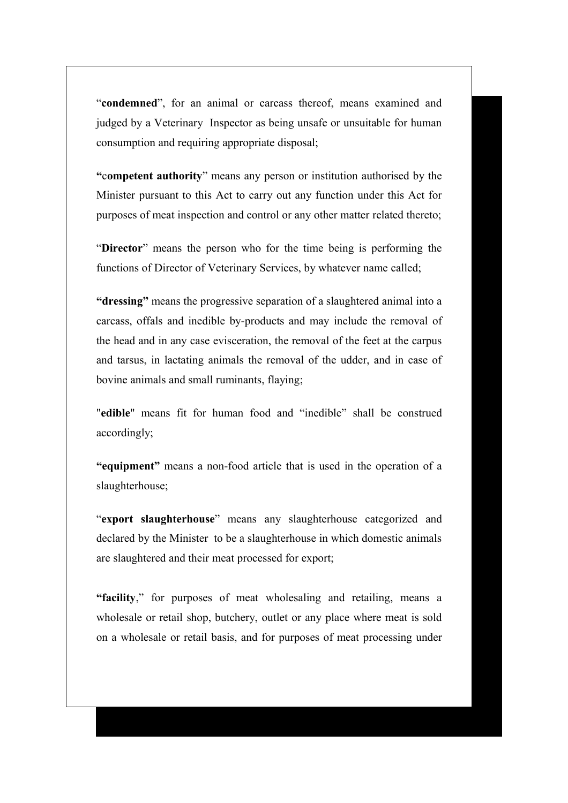"**condemned**", for an animal or carcass thereof, means examined and judged by a Veterinary Inspector as being unsafe or unsuitable for human consumption and requiring appropriate disposal;

**"**c**ompetent authority**" means any person or institution authorised by the Minister pursuant to this Act to carry out any function under this Act for purposes of meat inspection and control or any other matter related thereto;

"**Director**" means the person who for the time being is performing the functions of Director of Veterinary Services, by whatever name called;

**"dressing"** means the progressive separation of a slaughtered animal into a carcass, offals and inedible by-products and may include the removal of the head and in any case evisceration, the removal of the feet at the carpus and tarsus, in lactating animals the removal of the udder, and in case of bovine animals and small ruminants, flaying;

"**edible**" means fit for human food and "inedible" shall be construed accordingly;

**"equipment"** means a non-food article that is used in the operation of a slaughterhouse;

"**export slaughterhouse**" means any slaughterhouse categorized and declared by the Minister to be a slaughterhouse in which domestic animals are slaughtered and their meat processed for export;

**"facility**," for purposes of meat wholesaling and retailing, means a wholesale or retail shop, butchery, outlet or any place where meat is sold on a wholesale or retail basis, and for purposes of meat processing under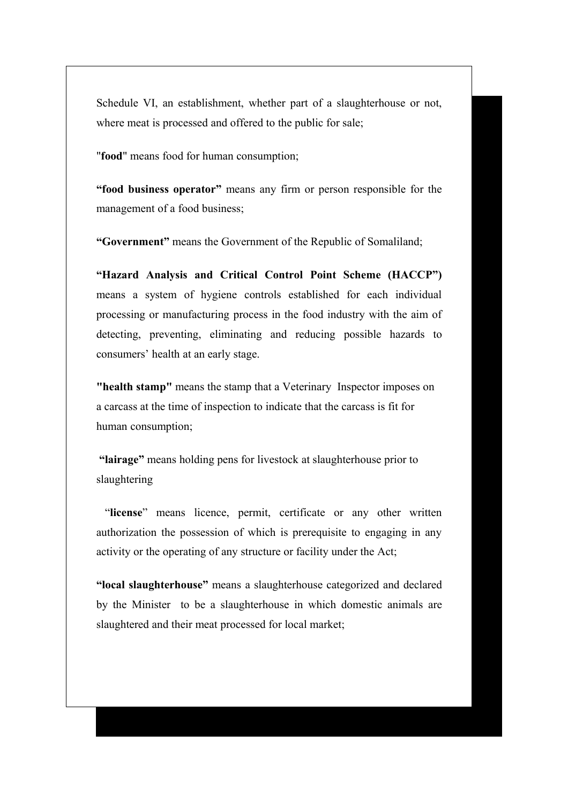Schedule VI, an establishment, whether part of a slaughterhouse or not, where meat is processed and offered to the public for sale;

"**food**" means food for human consumption;

**"food business operator"** means any firm or person responsible for the management of a food business;

**"Government"** means the Government of the Republic of Somaliland;

**"Hazard Analysis and Critical Control Point Scheme (HACCP")** means a system of hygiene controls established for each individual processing or manufacturing process in the food industry with the aim of detecting, preventing, eliminating and reducing possible hazards to consumers' health at an early stage.

**"health stamp"** means the stamp that a Veterinary Inspector imposes on a carcass at the time of inspection to indicate that the carcass is fit for human consumption;

 **"lairage"** means holding pens for livestock at slaughterhouse prior to slaughtering

 "**license**" means licence, permit, certificate or any other written authorization the possession of which is prerequisite to engaging in any activity or the operating of any structure or facility under the Act;

**"local slaughterhouse"** means a slaughterhouse categorized and declared by the Minister to be a slaughterhouse in which domestic animals are slaughtered and their meat processed for local market;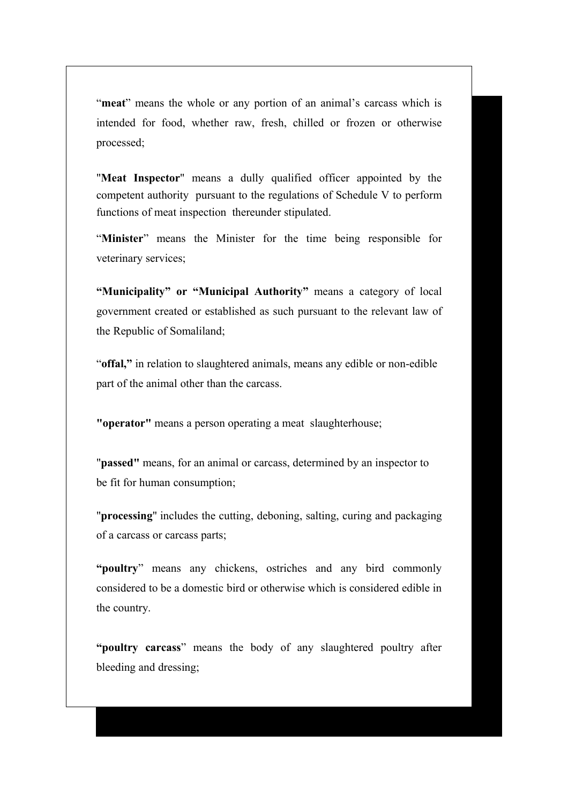"**meat**" means the whole or any portion of an animal's carcass which is intended for food, whether raw, fresh, chilled or frozen or otherwise processed;

"**Meat Inspector**" means a dully qualified officer appointed by the competent authority pursuant to the regulations of Schedule V to perform functions of meat inspection thereunder stipulated.

"**Minister**" means the Minister for the time being responsible for veterinary services;

**"Municipality" or "Municipal Authority"** means a category of local government created or established as such pursuant to the relevant law of the Republic of Somaliland;

"**offal,"** in relation to slaughtered animals, means any edible or non-edible part of the animal other than the carcass.

**"operator"** means a person operating a meat slaughterhouse;

"**passed"** means, for an animal or carcass, determined by an inspector to be fit for human consumption;

"**processing**" includes the cutting, deboning, salting, curing and packaging of a carcass or carcass parts;

**"poultry**" means any chickens, ostriches and any bird commonly considered to be a domestic bird or otherwise which is considered edible in the country.

**"poultry carcass**" means the body of any slaughtered poultry after bleeding and dressing;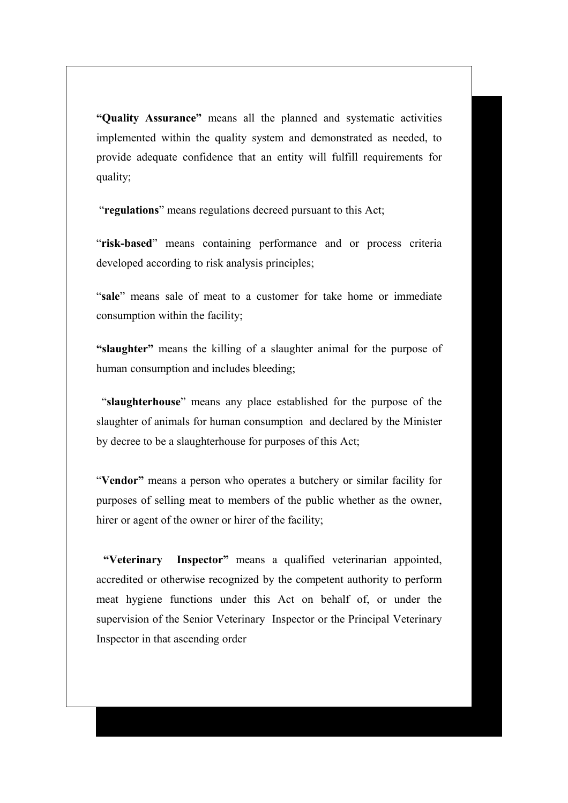**"Quality Assurance"** means all the planned and systematic activities implemented within the quality system and demonstrated as needed, to provide adequate confidence that an entity will fulfill requirements for quality;

"**regulations**" means regulations decreed pursuant to this Act;

"**risk-based**" means containing performance and or process criteria developed according to risk analysis principles;

"**sale**" means sale of meat to a customer for take home or immediate consumption within the facility;

**"slaughter"** means the killing of a slaughter animal for the purpose of human consumption and includes bleeding;

 "**slaughterhouse**" means any place established for the purpose of the slaughter of animals for human consumption and declared by the Minister by decree to be a slaughterhouse for purposes of this Act;

"**Vendor"** means a person who operates a butchery or similar facility for purposes of selling meat to members of the public whether as the owner, hirer or agent of the owner or hirer of the facility;

 **"Veterinary Inspector"** means a qualified veterinarian appointed, accredited or otherwise recognized by the competent authority to perform meat hygiene functions under this Act on behalf of, or under the supervision of the Senior VeterinaryInspector or the Principal Veterinary Inspector in that ascending order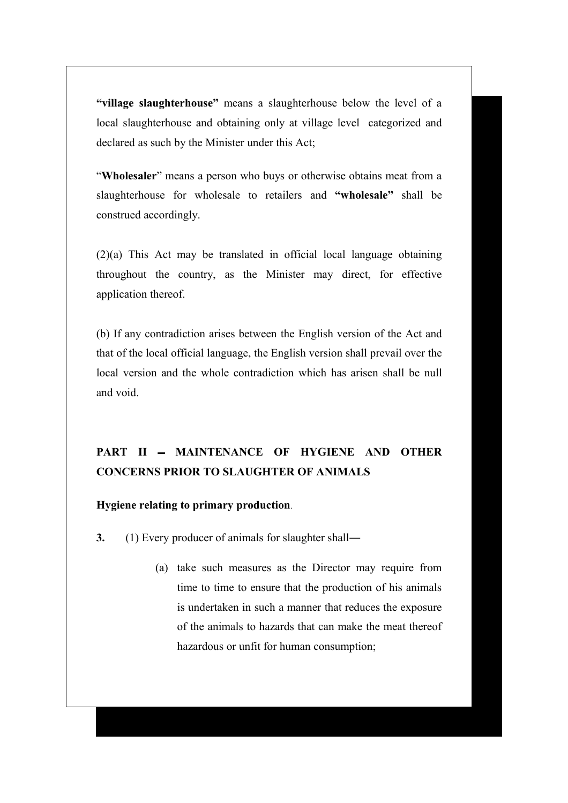**"village slaughterhouse"** means a slaughterhouse below the level of a local slaughterhouse and obtaining only at village level categorized and declared as such by the Minister under this Act;

"**Wholesaler**" means a person who buys or otherwise obtains meat from a slaughterhouse for wholesale to retailers and **"wholesale"** shall be construed accordingly.

(2)(a) This Act may be translated in official local language obtaining throughout the country, as the Minister may direct, for effective application thereof.

(b) If any contradiction arises between the English version of the Act and that of the local official language, the English version shall prevail over the local version and the whole contradiction which has arisen shall be null and void.

# PART II - MAINTENANCE OF HYGIENE AND OTHER **CONCERNS PRIOR TO SLAUGHTER OF ANIMALS**

#### **Hygiene relating to primary production**.

- **3.** (1) Every producer of animals for slaughter shall―
	- (a) take such measures as the Director may require from time to time to ensure that the production of his animals is undertaken in such a manner that reduces the exposure of the animals to hazards that can make the meat thereof hazardous or unfit for human consumption;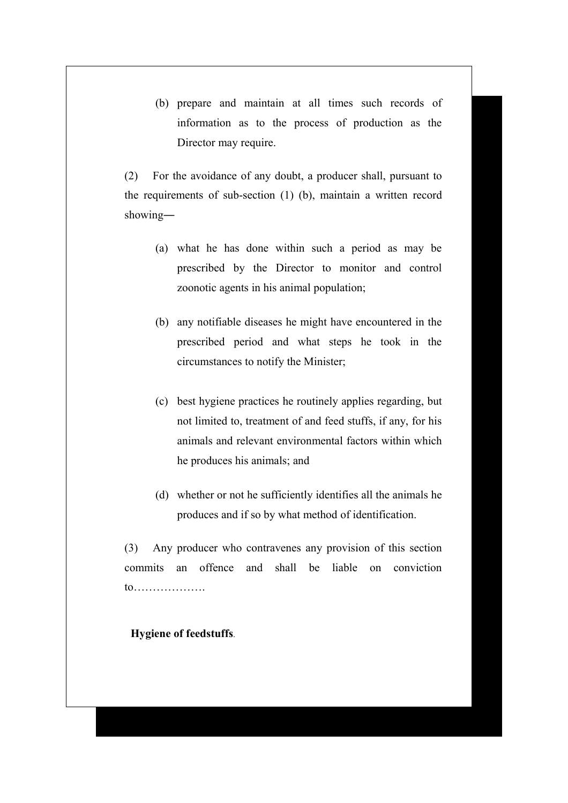(b) prepare and maintain at all times such records of information as to the process of production as the Director may require.

(2) For the avoidance of any doubt, a producer shall, pursuant to the requirements of sub-section (1) (b), maintain a written record showing―

- (a) what he has done within such a period as may be prescribed by the Director to monitor and control zoonotic agents in his animal population;
- (b) any notifiable diseases he might have encountered in the prescribed period and what steps he took in the circumstances to notify the Minister;
- (c) best hygiene practices he routinely applies regarding, but not limited to, treatment of and feed stuffs, if any, for his animals and relevant environmental factors within which he produces his animals; and
- (d) whether or not he sufficiently identifies all the animals he produces and if so by what method of identification.

(3) Any producer who contravenes any provision of this section commits an offence and shall be liable on conviction to……………….

## **Hygiene of feedstuffs**.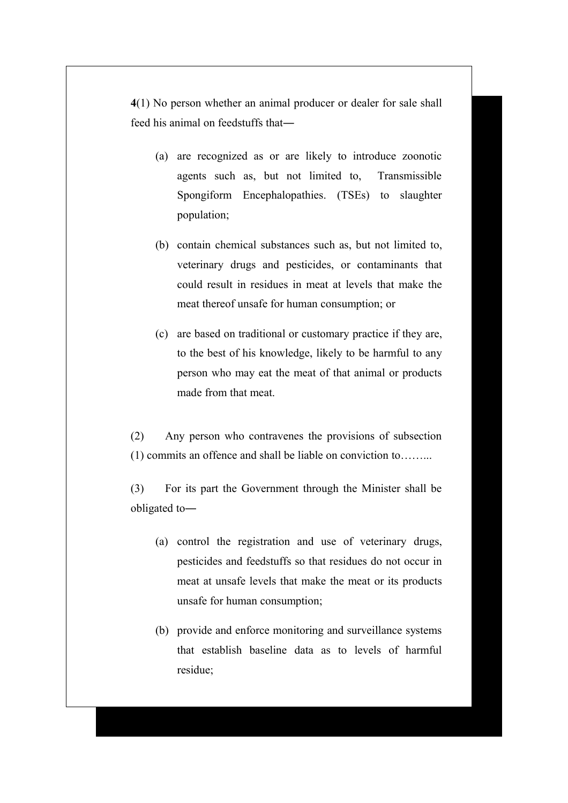**4**(1) No person whether an animal producer or dealer for sale shall feed his animal on feedstuffs that―

- (a) are recognized as or are likely to introduce zoonotic agents such as, but not limited to, Transmissible Spongiform Encephalopathies. (TSEs) to slaughter population;
- (b) contain chemical substances such as, but not limited to, veterinary drugs and pesticides, or contaminants that could result in residues in meat at levels that make the meat thereof unsafe for human consumption; or
- (c) are based on traditional or customary practice if they are, to the best of his knowledge, likely to be harmful to any person who may eat the meat of that animal or products made from that meat.

(2) Any person who contravenes the provisions of subsection (1) commits an offence and shall be liable on conviction to……...

(3) For its part the Government through the Minister shall be obligated to―

- (a) control the registration and use of veterinary drugs, pesticides and feedstuffs so that residues do not occur in meat at unsafe levels that make the meat or its products unsafe for human consumption;
- (b) provide and enforce monitoring and surveillance systems that establish baseline data as to levels of harmful residue;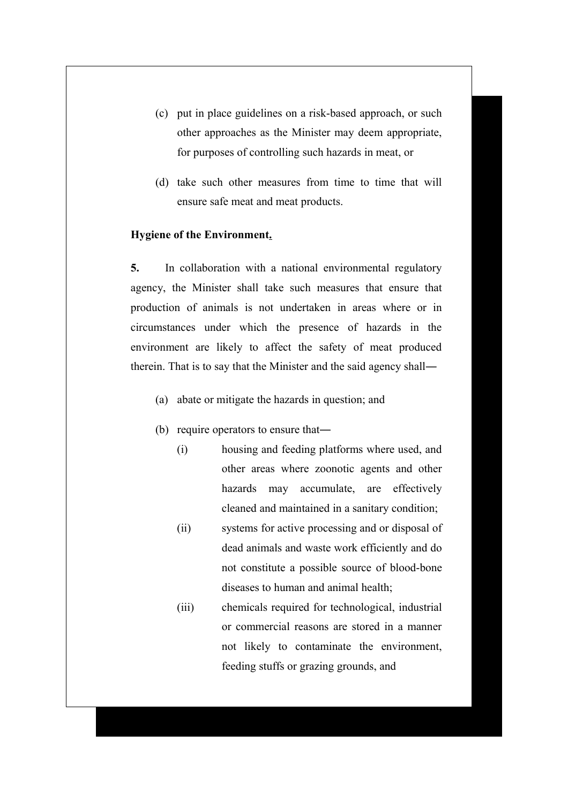- (c) put in place guidelines on a risk-based approach, or such other approaches as the Minister may deem appropriate, for purposes of controlling such hazards in meat, or
- (d) take such other measures from time to time that will ensure safe meat and meat products.

#### **Hygiene of the Environment.**

**5.** In collaboration with a national environmental regulatory agency, the Minister shall take such measures that ensure that production of animals is not undertaken in areas where or in circumstances under which the presence of hazards in the environment are likely to affect the safety of meat produced therein. That is to say that the Minister and the said agency shall―

- (a) abate or mitigate the hazards in question; and
- (b) require operators to ensure that―
	- (i) housing and feeding platforms where used, and other areas where zoonotic agents and other hazards may accumulate, are effectively cleaned and maintained in a sanitary condition;
	- (ii) systems for active processing and or disposal of dead animals and waste work efficiently and do not constitute a possible source of blood-bone diseases to human and animal health;
	- (iii) chemicals required for technological, industrial or commercial reasons are stored in a manner not likely to contaminate the environment, feeding stuffs or grazing grounds, and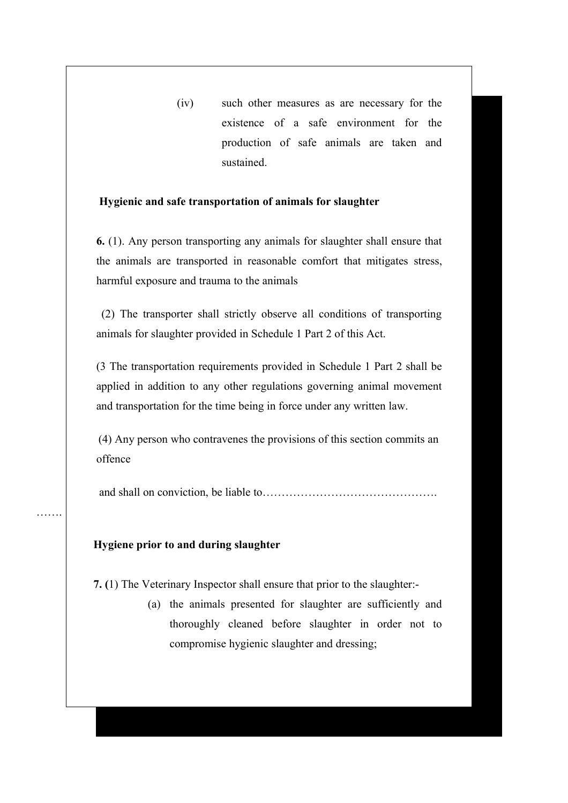(iv) such other measures as are necessary for the existence of a safe environment for the production of safe animals are taken and sustained.

### **Hygienic and safe transportation of animals for slaughter**

**6.** (1). Any person transporting any animals for slaughter shall ensure that the animals are transported in reasonable comfort that mitigates stress, harmful exposure and trauma to the animals

 (2) The transporter shall strictly observe all conditions of transporting animals for slaughter provided in Schedule 1 Part 2 of this Act.

(3 The transportation requirements provided in Schedule 1 Part 2 shall be applied in addition to any other regulations governing animal movement and transportation for the time being in force under any written law.

(4) Any person who contravenes the provisions of this section commits an offence

and shall on conviction, be liable to……………………………………….

#### **Hygiene prior to and during slaughter**

…….

 **7. (**1) The Veterinary Inspector shall ensure that prior to the slaughter:-

(a) the animals presented for slaughter are sufficiently and thoroughly cleaned before slaughter in order not to compromise hygienic slaughter and dressing;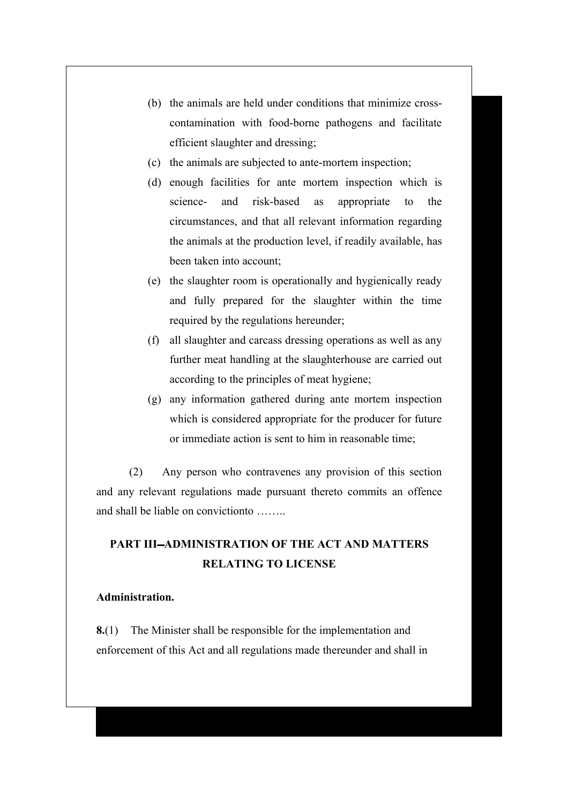- (b) the animals are held under conditions that minimize crosscontamination with food-borne pathogens and facilitate efficient slaughter and dressing;
- (c) the animals are subjected to ante-mortem inspection;
- (d) enough facilities for ante mortem inspection which is science- and risk-based as appropriate to the circumstances, and that all relevant information regarding the animals at the production level, if readily available, has been taken into account;
- (e) the slaughter room is operationally and hygienically ready and fully prepared for the slaughter within the time required by the regulations hereunder;
- (f) all slaughter and carcass dressing operations as well as any further meat handling at the slaughterhouse are carried out according to the principles of meat hygiene;
- (g) any information gathered during ante mortem inspection which is considered appropriate for the producer for future or immediate action is sent to him in reasonable time;

(2) Any person who contravenes any provision of this section and any relevant regulations made pursuant thereto commits an offence and shall be liable on convictionto ……..

# **PART III-ADMINISTRATION OF THE ACT AND MATTERS RELATING TO LICENSE**

#### **Administration.**

**8.**(1) The Minister shall be responsible for the implementation and enforcement of this Act and all regulations made thereunder and shall in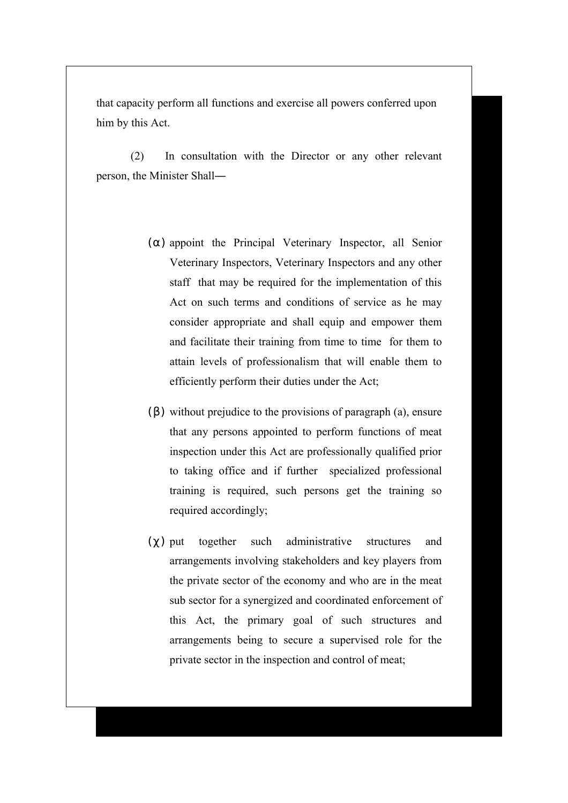that capacity perform all functions and exercise all powers conferred upon him by this Act.

(2) In consultation with the Director or any other relevant person, the Minister Shall―

- $(\alpha)$  appoint the Principal Veterinary Inspector, all Senior Veterinary Inspectors, Veterinary Inspectors and any other staff that may be required for the implementation of this Act on such terms and conditions of service as he may consider appropriate and shall equip and empower them and facilitate their training from time to time for them to attain levels of professionalism that will enable them to efficiently perform their duties under the Act;
- $(\beta)$  without prejudice to the provisions of paragraph (a), ensure that any persons appointed to perform functions of meat inspection under this Act are professionally qualified prior to taking office and if further specialized professional training is required, such persons get the training so required accordingly;
- $(\gamma)$  put together such administrative structures and arrangements involving stakeholders and key players from the private sector of the economy and who are in the meat sub sector for a synergized and coordinated enforcement of this Act, the primary goal of such structures and arrangements being to secure a supervised role for the private sector in the inspection and control of meat;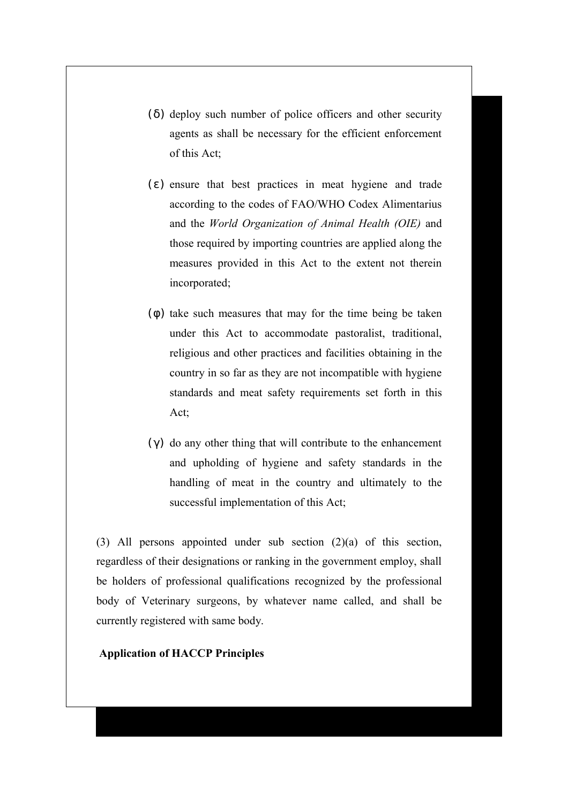- ( δ) deploy such number of police officers and other security agents as shall be necessary for the efficient enforcement of this Act;
- $(\epsilon)$  ensure that best practices in meat hygiene and trade according to the codes of FAO/WHO Codex Alimentarius and the *World Organization of Animal Health (OIE)* and those required by importing countries are applied along the measures provided in this Act to the extent not therein incorporated;
- $(\phi)$  take such measures that may for the time being be taken under this Act to accommodate pastoralist, traditional, religious and other practices and facilities obtaining in the country in so far as they are not incompatible with hygiene standards and meat safety requirements set forth in this Act;
- ( $γ$ ) do any other thing that will contribute to the enhancement and upholding of hygiene and safety standards in the handling of meat in the country and ultimately to the successful implementation of this Act;

(3) All persons appointed under sub section (2)(a) of this section, regardless of their designations or ranking in the government employ, shall be holders of professional qualifications recognized by the professional body of Veterinary surgeons, by whatever name called, and shall be currently registered with same body.

**Application of HACCP Principles**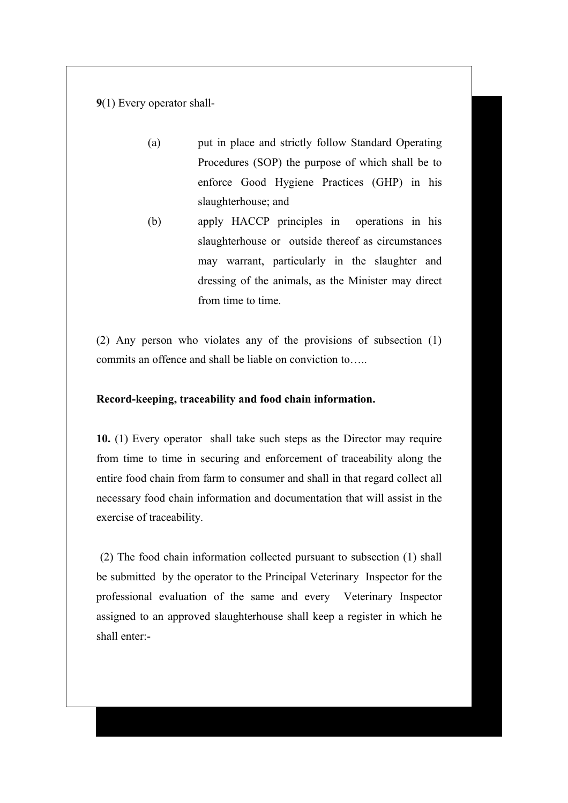**9**(1) Every operator shall-

- (a) put in place and strictly follow Standard Operating Procedures (SOP) the purpose of which shall be to enforce Good Hygiene Practices (GHP) in his slaughterhouse; and
- (b) apply HACCP principles in operations in his slaughterhouse or outside thereof as circumstances may warrant, particularly in the slaughter and dressing of the animals, as the Minister may direct from time to time.

(2) Any person who violates any of the provisions of subsection (1) commits an offence and shall be liable on conviction to…..

#### **Record-keeping, traceability and food chain information.**

**10.** (1) Every operator shall take such steps as the Director may require from time to time in securing and enforcement of traceability along the entire food chain from farm to consumer and shall in that regard collect all necessary food chain information and documentation that will assist in the exercise of traceability.

(2) The food chain information collected pursuant to subsection (1) shall be submitted by the operator to the Principal Veterinary Inspector for the professional evaluation of the same and every Veterinary Inspector assigned to an approved slaughterhouse shall keep a register in which he shall enter:-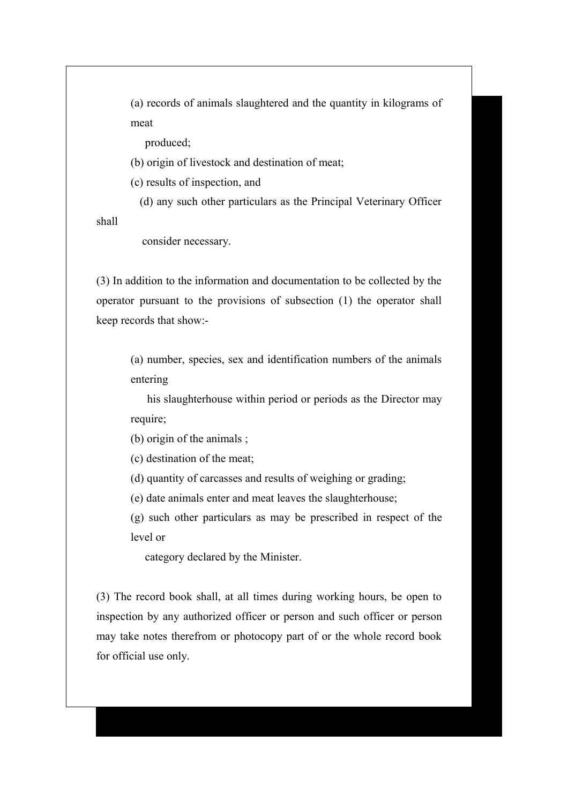(a) records of animals slaughtered and the quantity in kilograms of meat

produced;

(b) origin of livestock and destination of meat;

(c) results of inspection, and

(d) any such other particulars as the Principal Veterinary Officer

shall

consider necessary.

(3) In addition to the information and documentation to be collected by the operator pursuant to the provisions of subsection (1) the operator shall keep records that show:-

> (a) number, species, sex and identification numbers of the animals entering

> his slaughterhouse within period or periods as the Director may require;

(b) origin of the animals ;

(c) destination of the meat;

(d) quantity of carcasses and results of weighing or grading;

(e) date animals enter and meat leaves the slaughterhouse;

(g) such other particulars as may be prescribed in respect of the level or

category declared by the Minister.

(3) The record book shall, at all times during working hours, be open to inspection by any authorized officer or person and such officer or person may take notes therefrom or photocopy part of or the whole record book for official use only.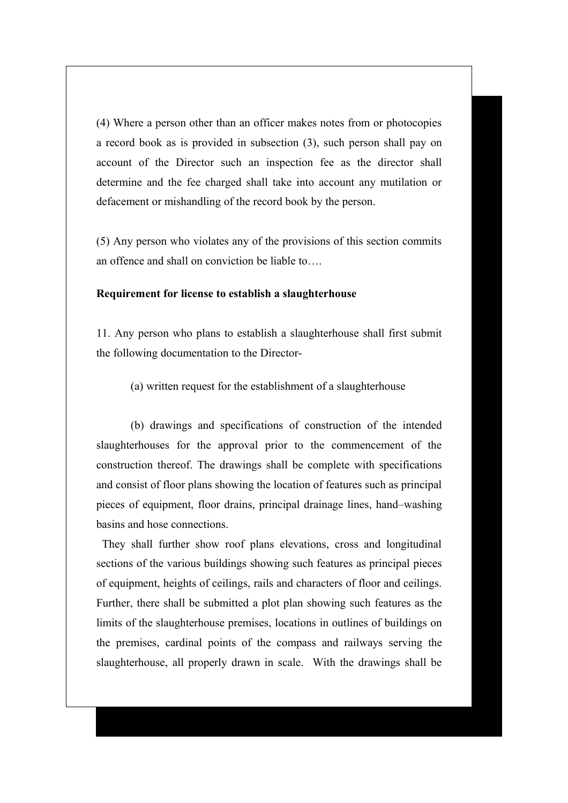(4) Where a person other than an officer makes notes from or photocopies a record book as is provided in subsection (3), such person shall pay on account of the Director such an inspection fee as the director shall determine and the fee charged shall take into account any mutilation or defacement or mishandling of the record book by the person.

(5) Any person who violates any of the provisions of this section commits an offence and shall on conviction be liable to….

#### **Requirement for license to establish a slaughterhouse**

11. Any person who plans to establish a slaughterhouse shall first submit the following documentation to the Director-

(a) written request for the establishment of a slaughterhouse

(b) drawings and specifications of construction of the intended slaughterhouses for the approval prior to the commencement of the construction thereof. The drawings shall be complete with specifications and consist of floor plans showing the location of features such as principal pieces of equipment, floor drains, principal drainage lines, hand–washing basins and hose connections.

 They shall further show roof plans elevations, cross and longitudinal sections of the various buildings showing such features as principal pieces of equipment, heights of ceilings, rails and characters of floor and ceilings. Further, there shall be submitted a plot plan showing such features as the limits of the slaughterhouse premises, locations in outlines of buildings on the premises, cardinal points of the compass and railways serving the slaughterhouse, all properly drawn in scale. With the drawings shall be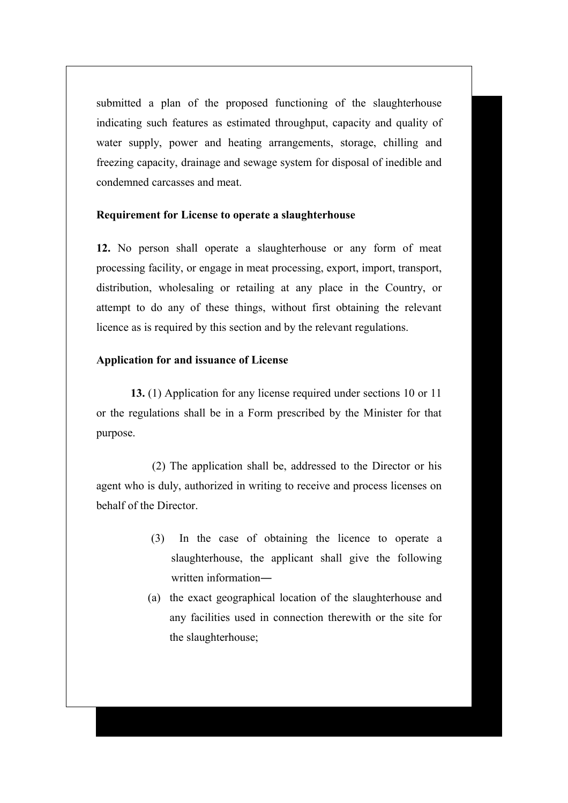submitted a plan of the proposed functioning of the slaughterhouse indicating such features as estimated throughput, capacity and quality of water supply, power and heating arrangements, storage, chilling and freezing capacity, drainage and sewage system for disposal of inedible and condemned carcasses and meat.

#### **Requirement for License to operate a slaughterhouse**

**12.** No person shall operate a slaughterhouse or any form of meat processing facility, or engage in meat processing, export, import, transport, distribution, wholesaling or retailing at any place in the Country, or attempt to do any of these things, without first obtaining the relevant licence as is required by this section and by the relevant regulations.

#### **Application for and issuance of License**

**13.** (1) Application for any license required under sections 10 or 11 or the regulations shall be in a Form prescribed by the Minister for that purpose.

 (2) The application shall be, addressed to the Director or his agent who is duly, authorized in writing to receive and process licenses on behalf of the Director.

- (3) In the case of obtaining the licence to operate a slaughterhouse, the applicant shall give the following written information―
- (a) the exact geographical location of the slaughterhouse and any facilities used in connection therewith or the site for the slaughterhouse;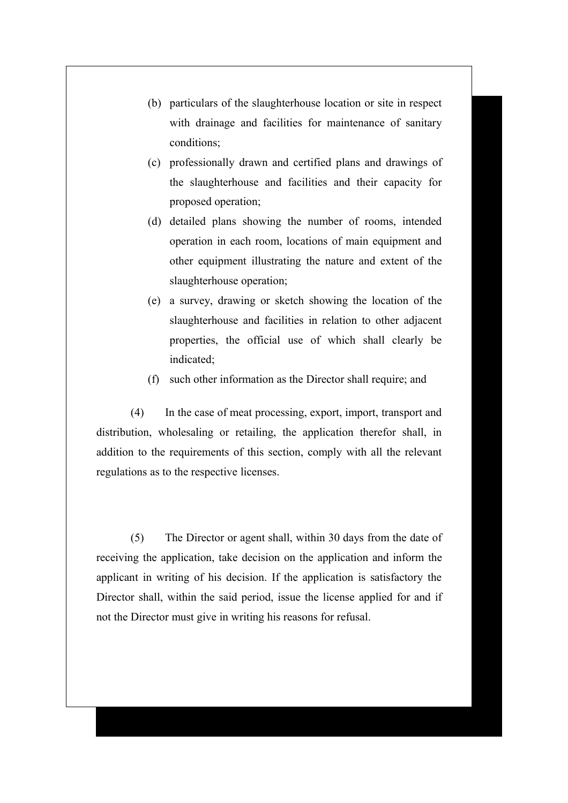- (b) particulars of the slaughterhouse location or site in respect with drainage and facilities for maintenance of sanitary conditions;
- (c) professionally drawn and certified plans and drawings of the slaughterhouse and facilities and their capacity for proposed operation;
- (d) detailed plans showing the number of rooms, intended operation in each room, locations of main equipment and other equipment illustrating the nature and extent of the slaughterhouse operation;
- (e) a survey, drawing or sketch showing the location of the slaughterhouse and facilities in relation to other adjacent properties, the official use of which shall clearly be indicated;
- (f) such other information as the Director shall require; and

(4) In the case of meat processing, export, import, transport and distribution, wholesaling or retailing, the application therefor shall, in addition to the requirements of this section, comply with all the relevant regulations as to the respective licenses.

(5) The Director or agent shall, within 30 days from the date of receiving the application, take decision on the application and inform the applicant in writing of his decision. If the application is satisfactory the Director shall, within the said period, issue the license applied for and if not the Director must give in writing his reasons for refusal.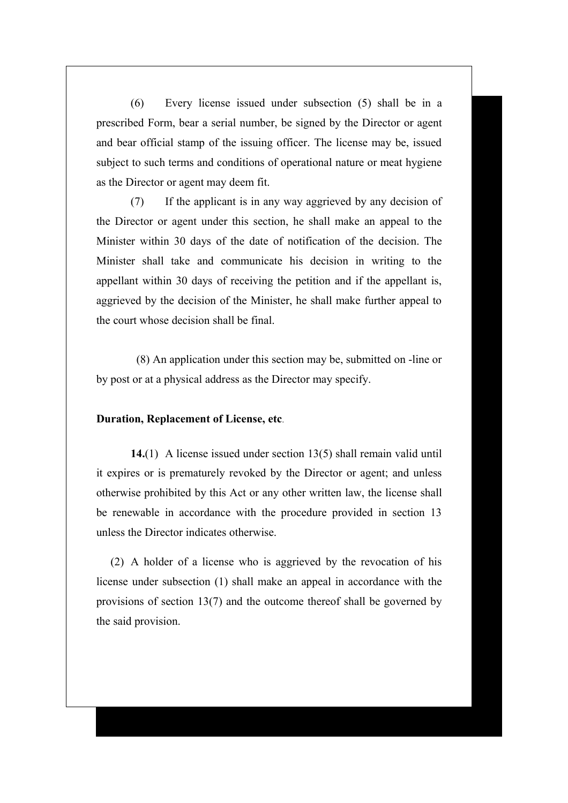(6) Every license issued under subsection (5) shall be in a prescribed Form, bear a serial number, be signed by the Director or agent and bear official stamp of the issuing officer. The license may be, issued subject to such terms and conditions of operational nature or meat hygiene as the Director or agent may deem fit.

(7) If the applicant is in any way aggrieved by any decision of the Director or agent under this section, he shall make an appeal to the Minister within 30 days of the date of notification of the decision. The Minister shall take and communicate his decision in writing to the appellant within 30 days of receiving the petition and if the appellant is, aggrieved by the decision of the Minister, he shall make further appeal to the court whose decision shall be final.

 (8) An application under this section may be, submitted on -line or by post or at a physical address as the Director may specify.

#### **Duration, Replacement of License, etc**.

**14.**(1) A license issued under section 13(5) shall remain valid until it expires or is prematurely revoked by the Director or agent; and unless otherwise prohibited by this Act or any other written law, the license shall be renewable in accordance with the procedure provided in section 13 unless the Director indicates otherwise.

 (2) A holder of a license who is aggrieved by the revocation of his license under subsection (1) shall make an appeal in accordance with the provisions of section 13(7) and the outcome thereof shall be governed by the said provision.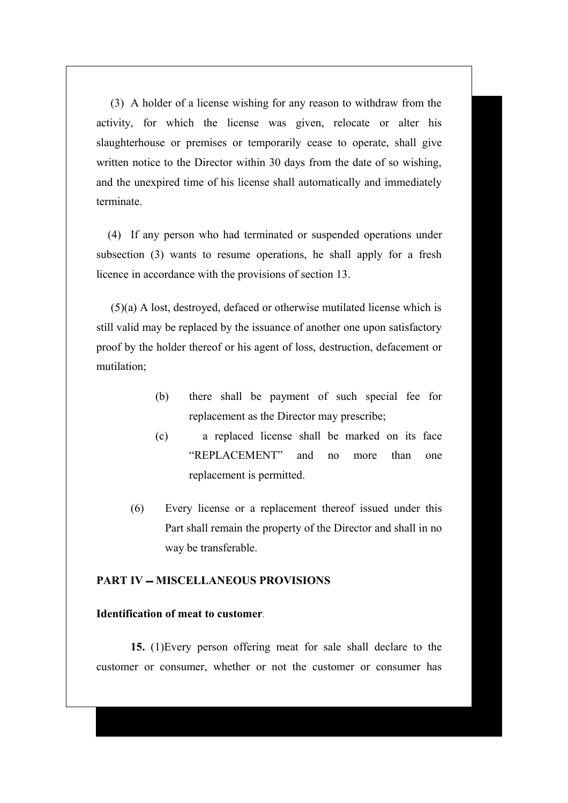(3) A holder of a license wishing for any reason to withdraw from the activity, for which the license was given, relocate or alter his slaughterhouse or premises or temporarily cease to operate, shall give written notice to the Director within 30 days from the date of so wishing, and the unexpired time of his license shall automatically and immediately terminate.

 (4) If any person who had terminated or suspended operations under subsection (3) wants to resume operations, he shall apply for a fresh licence in accordance with the provisions of section 13.

 (5)(a) A lost, destroyed, defaced or otherwise mutilated license which is still valid may be replaced by the issuance of another one upon satisfactory proof by the holder thereof or his agent of loss, destruction, defacement or mutilation;

- (b) there shall be payment of such special fee for replacement as the Director may prescribe;
- (c) a replaced license shall be marked on its face "REPLACEMENT" and no more than one replacement is permitted.
- (6) Every license or a replacement thereof issued under this Part shall remain the property of the Director and shall in no way be transferable.

# **PART IV – MISCELLANEOUS PROVISIONS**

#### **Identification of meat to customer**.

**15.** (1)Every person offering meat for sale shall declare to the customer or consumer, whether or not the customer or consumer has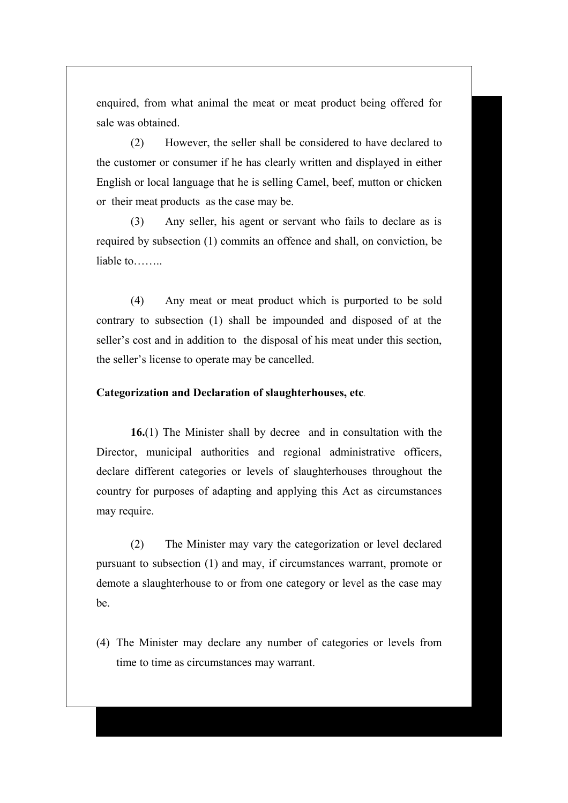enquired, from what animal the meat or meat product being offered for sale was obtained.

(2) However, the seller shall be considered to have declared to the customer or consumer if he has clearly written and displayed in either English or local language that he is selling Camel, beef, mutton or chicken or their meat products as the case may be.

(3) Any seller, his agent or servant who fails to declare as is required by subsection (1) commits an offence and shall, on conviction, be liable to……..

(4) Any meat or meat product which is purported to be sold contrary to subsection (1) shall be impounded and disposed of at the seller's cost and in addition to the disposal of his meat under this section, the seller's license to operate may be cancelled.

## **Categorization and Declaration of slaughterhouses, etc**.

**16.**(1) The Minister shall by decree and in consultation with the Director, municipal authorities and regional administrative officers, declare different categories or levels of slaughterhouses throughout the country for purposes of adapting and applying this Act as circumstances may require.

(2) The Minister may vary the categorization or level declared pursuant to subsection (1) and may, if circumstances warrant, promote or demote a slaughterhouse to or from one category or level as the case may be.

(4) The Minister may declare any number of categories or levels from time to time as circumstances may warrant.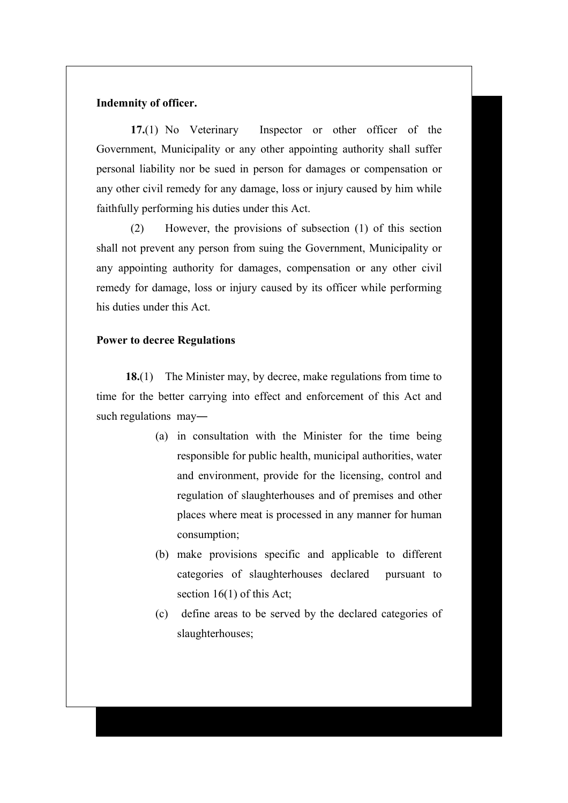## **Indemnity of officer.**

**17.**(1) No Veterinary Inspector or other officer of the Government, Municipality or any other appointing authority shall suffer personal liability nor be sued in person for damages or compensation or any other civil remedy for any damage, loss or injury caused by him while faithfully performing his duties under this Act.

(2) However, the provisions of subsection (1) of this section shall not prevent any person from suing the Government, Municipality or any appointing authority for damages, compensation or any other civil remedy for damage, loss or injury caused by its officer while performing his duties under this Act.

#### **Power to decree Regulations**

**18.**(1) The Minister may, by decree, make regulations from time to time for the better carrying into effect and enforcement of this Act and such regulations may―

- (a) in consultation with the Minister for the time being responsible for public health, municipal authorities, water and environment, provide for the licensing, control and regulation of slaughterhouses and of premises and other places where meat is processed in any manner for human consumption;
- (b) make provisions specific and applicable to different categories of slaughterhouses declared pursuant to section 16(1) of this Act;
- (c) define areas to be served by the declared categories of slaughterhouses;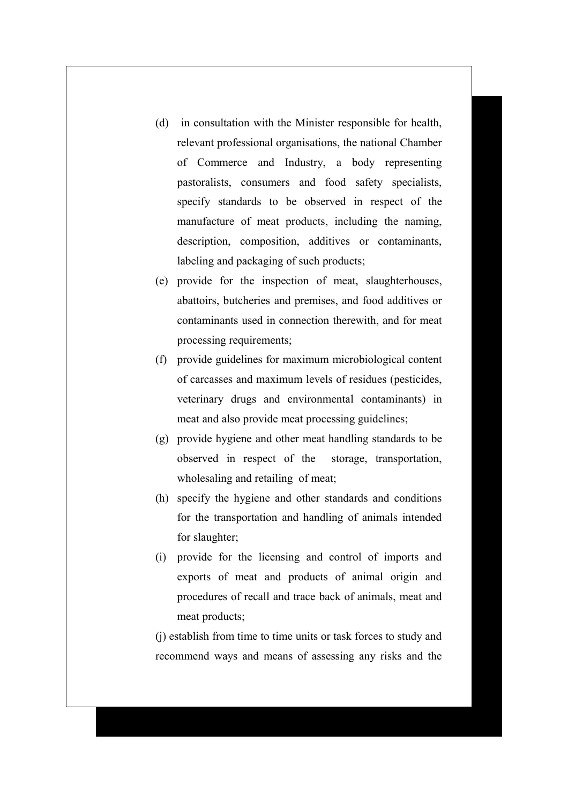- (d) in consultation with the Minister responsible for health, relevant professional organisations, the national Chamber of Commerce and Industry, a body representing pastoralists, consumers and food safety specialists, specify standards to be observed in respect of the manufacture of meat products, including the naming, description, composition, additives or contaminants, labeling and packaging of such products;
- (e) provide for the inspection of meat, slaughterhouses, abattoirs, butcheries and premises, and food additives or contaminants used in connection therewith, and for meat processing requirements;
- (f) provide guidelines for maximum microbiological content of carcasses and maximum levels of residues (pesticides, veterinary drugs and environmental contaminants) in meat and also provide meat processing guidelines;
- (g) provide hygiene and other meat handling standards to be observed in respect of the storage, transportation, wholesaling and retailing of meat;
- (h) specify the hygiene and other standards and conditions for the transportation and handling of animals intended for slaughter;
- (i) provide for the licensing and control of imports and exports of meat and products of animal origin and procedures of recall and trace back of animals, meat and meat products;

(j) establish from time to time units or task forces to study and recommend ways and means of assessing any risks and the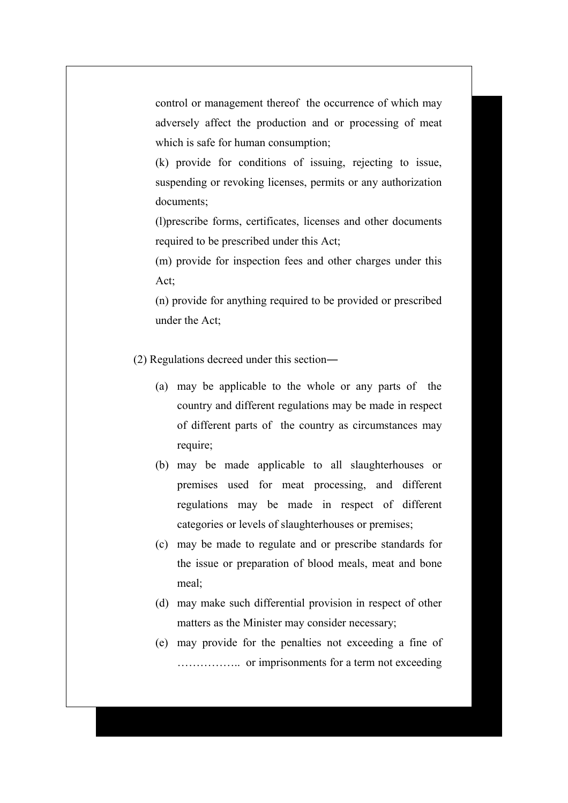control or management thereof the occurrence of which may adversely affect the production and or processing of meat which is safe for human consumption;

(k) provide for conditions of issuing, rejecting to issue, suspending or revoking licenses, permits or any authorization documents;

(l)prescribe forms, certificates, licenses and other documents required to be prescribed under this Act;

(m) provide for inspection fees and other charges under this Act;

(n) provide for anything required to be provided or prescribed under the Act;

(2) Regulations decreed under this section―

- (a) may be applicable to the whole or any parts of the country and different regulations may be made in respect of different parts of the country as circumstances may require;
- (b) may be made applicable to all slaughterhouses or premises used for meat processing, and different regulations may be made in respect of different categories or levels of slaughterhouses or premises;
- (c) may be made to regulate and or prescribe standards for the issue or preparation of blood meals, meat and bone meal;
- (d) may make such differential provision in respect of other matters as the Minister may consider necessary;
- (e) may provide for the penalties not exceeding a fine of …………….. or imprisonments for a term not exceeding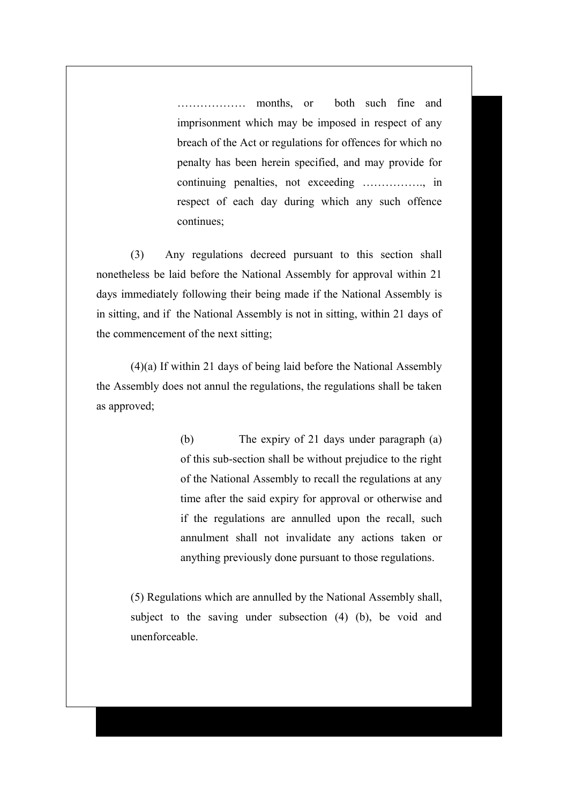……………… months, or both such fine and imprisonment which may be imposed in respect of any breach of the Act or regulations for offences for which no penalty has been herein specified, and may provide for continuing penalties, not exceeding ……………., in respect of each day during which any such offence continues;

(3) Any regulations decreed pursuant to this section shall nonetheless be laid before the National Assembly for approval within 21 days immediately following their being made if the National Assembly is in sitting, and if the National Assembly is not in sitting, within 21 days of the commencement of the next sitting;

(4)(a) If within 21 days of being laid before the National Assembly the Assembly does not annul the regulations, the regulations shall be taken as approved;

> (b) The expiry of 21 days under paragraph (a) of this sub-section shall be without prejudice to the right of the National Assembly to recall the regulations at any time after the said expiry for approval or otherwise and if the regulations are annulled upon the recall, such annulment shall not invalidate any actions taken or anything previously done pursuant to those regulations.

(5) Regulations which are annulled by the National Assembly shall, subject to the saving under subsection (4) (b), be void and unenforceable.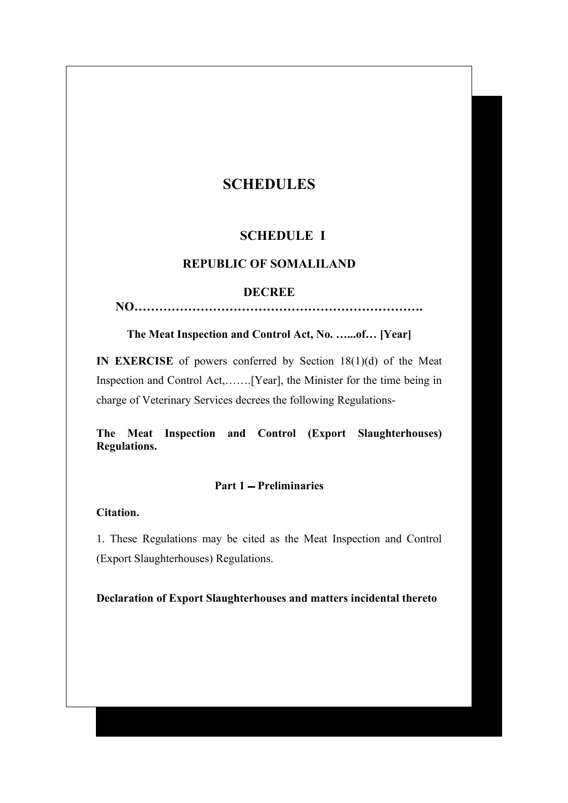# **SCHEDULES**

# **SCHEDULE I**

# **REPUBLIC OF SOMALILAND**

#### **DECREE**

**NO…………………………………………………………….**

**The Meat Inspection and Control Act, No. …...of… [Year]**

**IN EXERCISE** of powers conferred by Section 18(1)(d) of the Meat Inspection and Control Act,…….[Year], the Minister for the time being in charge of Veterinary Services decrees the following Regulations-

**The Meat Inspection and Control (Export Slaughterhouses) Regulations.**

## Part 1 – Preliminaries

**Citation.**

1. These Regulations may be cited as the Meat Inspection and Control (Export Slaughterhouses) Regulations.

**Declaration of Export Slaughterhouses and matters incidental thereto**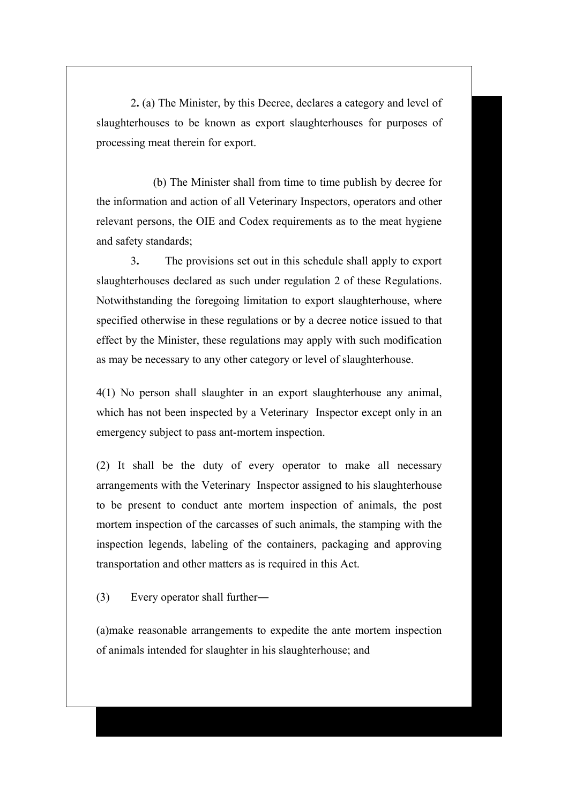2**.** (a) The Minister, by this Decree, declares a category and level of slaughterhouses to be known as export slaughterhouses for purposes of processing meat therein for export.

 (b) The Minister shall from time to time publish by decree for the information and action of all Veterinary Inspectors, operators and other relevant persons, the OIE and Codex requirements as to the meat hygiene and safety standards;

3**.** The provisions set out in this schedule shall apply to export slaughterhouses declared as such under regulation 2 of these Regulations. Notwithstanding the foregoing limitation to export slaughterhouse, where specified otherwise in these regulations or by a decree notice issued to that effect by the Minister, these regulations may apply with such modification as may be necessary to any other category or level of slaughterhouse.

4(1) No person shall slaughter in an export slaughterhouse any animal, which has not been inspected by a Veterinary Inspector except only in an emergency subject to pass ant-mortem inspection.

(2) It shall be the duty of every operator to make all necessary arrangements with the Veterinary Inspector assigned to his slaughterhouse to be present to conduct ante mortem inspection of animals, the post mortem inspection of the carcasses of such animals, the stamping with the inspection legends, labeling of the containers, packaging and approving transportation and other matters as is required in this Act.

(3) Every operator shall further―

(a)make reasonable arrangements to expedite the ante mortem inspection of animals intended for slaughter in his slaughterhouse; and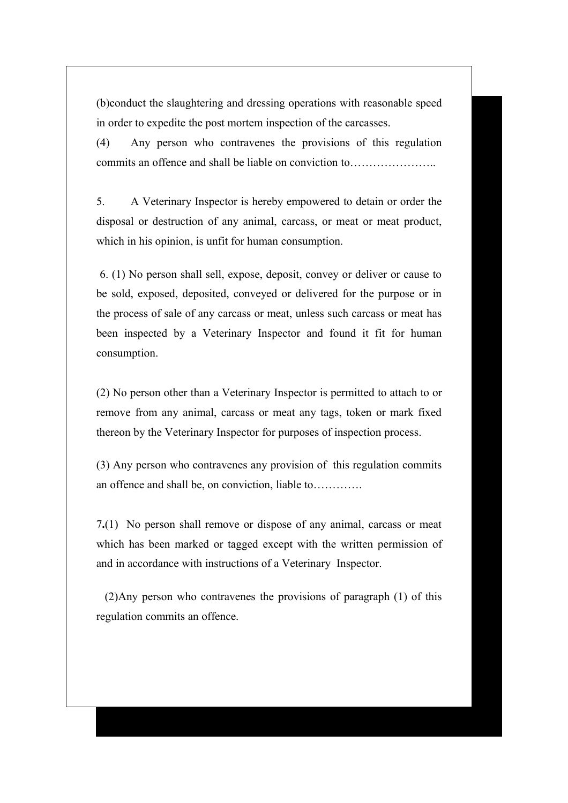(b)conduct the slaughtering and dressing operations with reasonable speed in order to expedite the post mortem inspection of the carcasses.

(4) Any person who contravenes the provisions of this regulation commits an offence and shall be liable on conviction to…………………..

5. A Veterinary Inspector is hereby empowered to detain or order the disposal or destruction of any animal, carcass, or meat or meat product, which in his opinion, is unfit for human consumption.

 6. (1) No person shall sell, expose, deposit, convey or deliver or cause to be sold, exposed, deposited, conveyed or delivered for the purpose or in the process of sale of any carcass or meat, unless such carcass or meat has been inspected by a Veterinary Inspector and found it fit for human consumption.

(2) No person other than a Veterinary Inspector is permitted to attach to or remove from any animal, carcass or meat any tags, token or mark fixed thereon by the Veterinary Inspector for purposes of inspection process.

(3) Any person who contravenes any provision of this regulation commits an offence and shall be, on conviction, liable to………….

7**.**(1) No person shall remove or dispose of any animal, carcass or meat which has been marked or tagged except with the written permission of and in accordance with instructions of a Veterinary Inspector.

 (2)Any person who contravenes the provisions of paragraph (1) of this regulation commits an offence.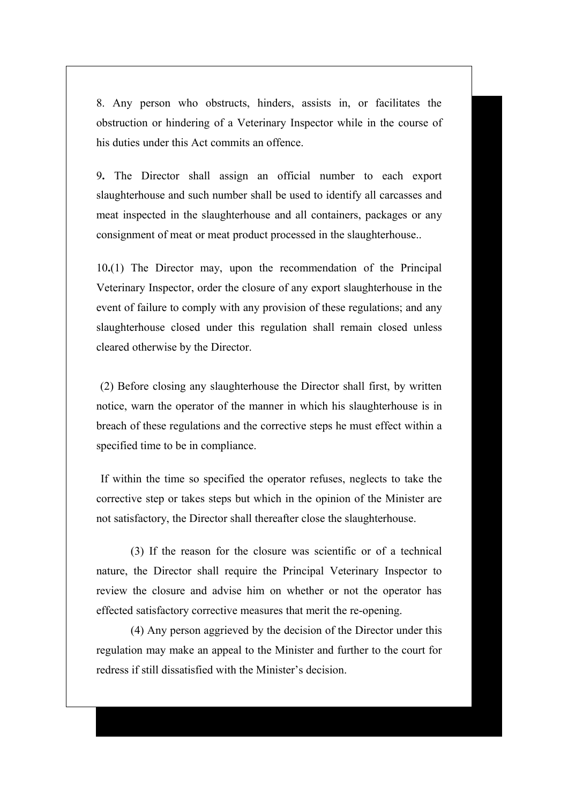8. Any person who obstructs, hinders, assists in, or facilitates the obstruction or hindering of a Veterinary Inspector while in the course of his duties under this Act commits an offence.

9**.** The Director shall assign an official number to each export slaughterhouse and such number shall be used to identify all carcasses and meat inspected in the slaughterhouse and all containers, packages or any consignment of meat or meat product processed in the slaughterhouse..

10**.**(1) The Director may, upon the recommendation of the Principal Veterinary Inspector, order the closure of any export slaughterhouse in the event of failure to comply with any provision of these regulations; and any slaughterhouse closed under this regulation shall remain closed unless cleared otherwise by the Director.

 (2) Before closing any slaughterhouse the Director shall first, by written notice, warn the operator of the manner in which his slaughterhouse is in breach of these regulations and the corrective steps he must effect within a specified time to be in compliance.

 If within the time so specified the operator refuses, neglects to take the corrective step or takes steps but which in the opinion of the Minister are not satisfactory, the Director shall thereafter close the slaughterhouse.

(3) If the reason for the closure was scientific or of a technical nature, the Director shall require the Principal Veterinary Inspector to review the closure and advise him on whether or not the operator has effected satisfactory corrective measures that merit the re-opening.

(4) Any person aggrieved by the decision of the Director under this regulation may make an appeal to the Minister and further to the court for redress if still dissatisfied with the Minister's decision.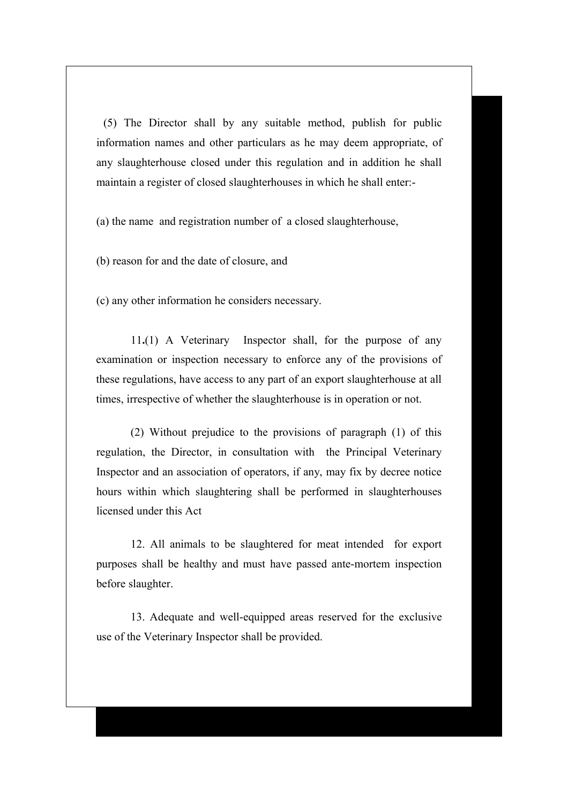(5) The Director shall by any suitable method, publish for public information names and other particulars as he may deem appropriate, of any slaughterhouse closed under this regulation and in addition he shall maintain a register of closed slaughterhouses in which he shall enter:-

(a) the name and registration number of a closed slaughterhouse,

(b) reason for and the date of closure, and

(c) any other information he considers necessary.

11**.**(1) A Veterinary Inspector shall, for the purpose of any examination or inspection necessary to enforce any of the provisions of these regulations, have access to any part of an export slaughterhouse at all times, irrespective of whether the slaughterhouse is in operation or not.

(2) Without prejudice to the provisions of paragraph (1) of this regulation, the Director, in consultation with the Principal Veterinary Inspector and an association of operators, if any, may fix by decree notice hours within which slaughtering shall be performed in slaughterhouses licensed under this Act

12. All animals to be slaughtered for meat intended for export purposes shall be healthy and must have passed ante-mortem inspection before slaughter.

13. Adequate and well-equipped areas reserved for the exclusive use of the Veterinary Inspector shall be provided.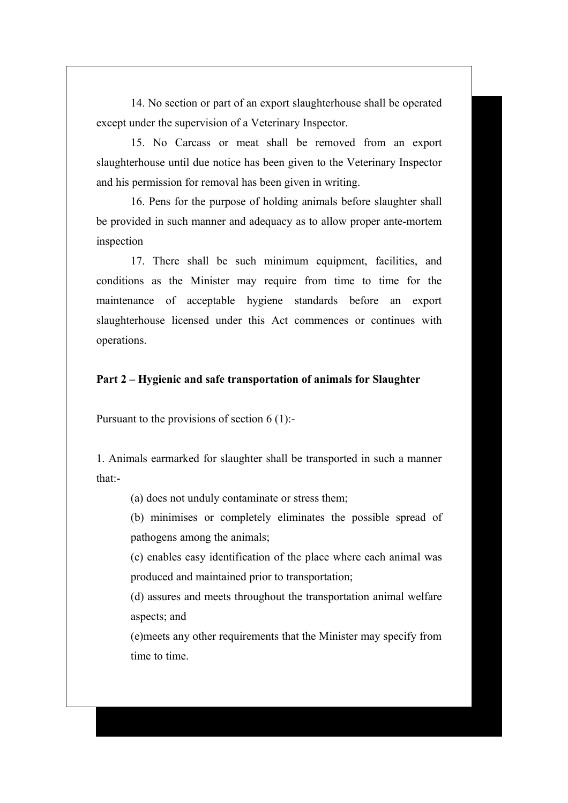14. No section or part of an export slaughterhouse shall be operated except under the supervision of a Veterinary Inspector.

15. No Carcass or meat shall be removed from an export slaughterhouse until due notice has been given to the Veterinary Inspector and his permission for removal has been given in writing.

16. Pens for the purpose of holding animals before slaughter shall be provided in such manner and adequacy as to allow proper ante-mortem inspection

17. There shall be such minimum equipment, facilities, and conditions as the Minister may require from time to time for the maintenance of acceptable hygiene standards before an export slaughterhouse licensed under this Act commences or continues with operations.

#### **Part 2 – Hygienic and safe transportation of animals for Slaughter**

Pursuant to the provisions of section 6 (1):-

1. Animals earmarked for slaughter shall be transported in such a manner that:-

(a) does not unduly contaminate or stress them;

(b) minimises or completely eliminates the possible spread of pathogens among the animals;

(c) enables easy identification of the place where each animal was produced and maintained prior to transportation;

(d) assures and meets throughout the transportation animal welfare aspects; and

(e)meets any other requirements that the Minister may specify from time to time.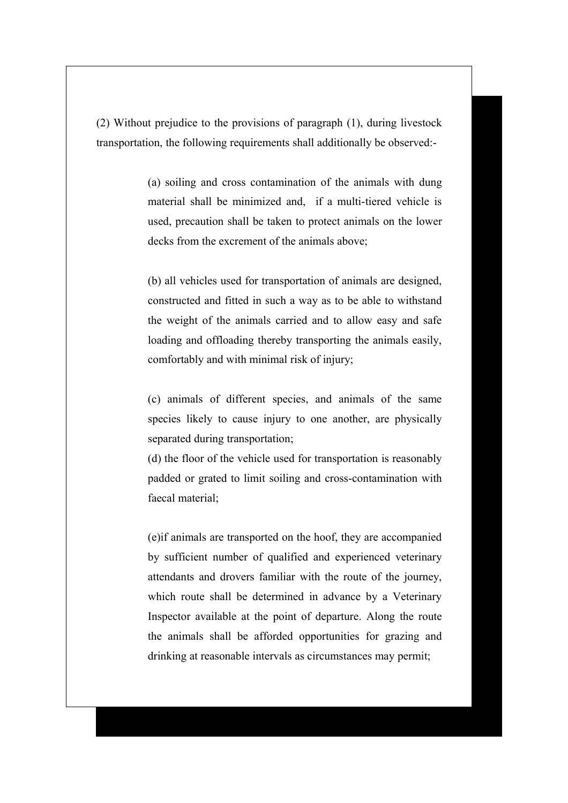(2) Without prejudice to the provisions of paragraph (1), during livestock transportation, the following requirements shall additionally be observed:-

> (a) soiling and cross contamination of the animals with dung material shall be minimized and, if a multi-tiered vehicle is used, precaution shall be taken to protect animals on the lower decks from the excrement of the animals above;

> (b) all vehicles used for transportation of animals are designed, constructed and fitted in such a way as to be able to withstand the weight of the animals carried and to allow easy and safe loading and offloading thereby transporting the animals easily, comfortably and with minimal risk of injury;

> (c) animals of different species, and animals of the same species likely to cause injury to one another, are physically separated during transportation;

> (d) the floor of the vehicle used for transportation is reasonably padded or grated to limit soiling and cross-contamination with faecal material;

> (e)if animals are transported on the hoof, they are accompanied by sufficient number of qualified and experienced veterinary attendants and drovers familiar with the route of the journey, which route shall be determined in advance by a Veterinary Inspector available at the point of departure. Along the route the animals shall be afforded opportunities for grazing and drinking at reasonable intervals as circumstances may permit;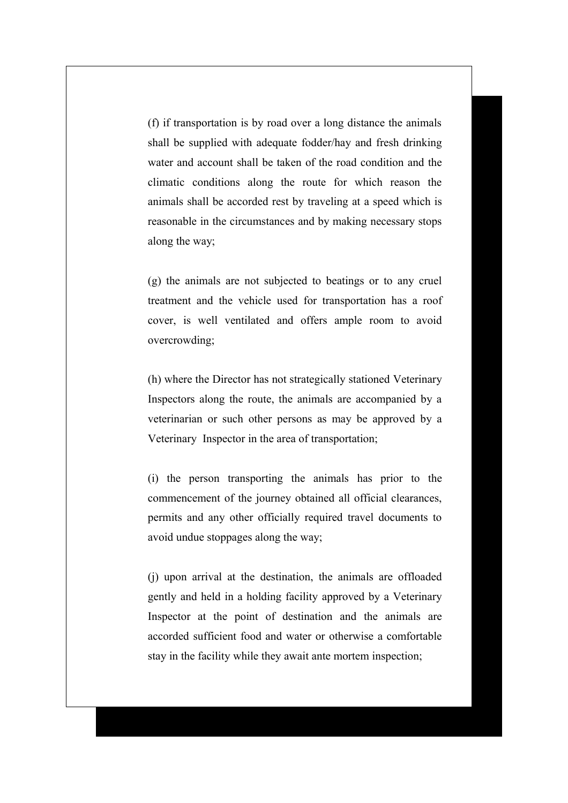(f) if transportation is by road over a long distance the animals shall be supplied with adequate fodder/hay and fresh drinking water and account shall be taken of the road condition and the climatic conditions along the route for which reason the animals shall be accorded rest by traveling at a speed which is reasonable in the circumstances and by making necessary stops along the way;

(g) the animals are not subjected to beatings or to any cruel treatment and the vehicle used for transportation has a roof cover, is well ventilated and offers ample room to avoid overcrowding;

(h) where the Director has not strategically stationed Veterinary Inspectors along the route, the animals are accompanied by a veterinarian or such other persons as may be approved by a Veterinary Inspector in the area of transportation;

(i) the person transporting the animals has prior to the commencement of the journey obtained all official clearances, permits and any other officially required travel documents to avoid undue stoppages along the way;

(j) upon arrival at the destination, the animals are offloaded gently and held in a holding facility approved by a Veterinary Inspector at the point of destination and the animals are accorded sufficient food and water or otherwise a comfortable stay in the facility while they await ante mortem inspection;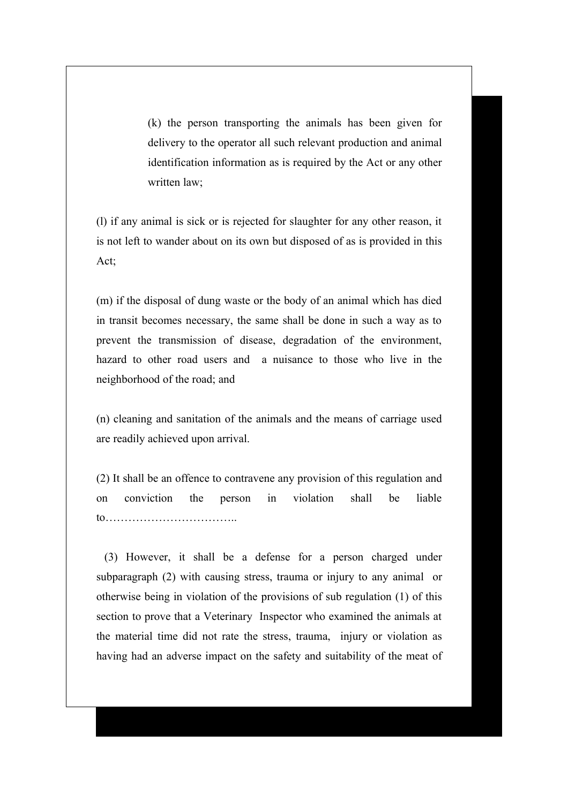(k) the person transporting the animals has been given for delivery to the operator all such relevant production and animal identification information as is required by the Act or any other written law;

(l) if any animal is sick or is rejected for slaughter for any other reason, it is not left to wander about on its own but disposed of as is provided in this Act;

(m) if the disposal of dung waste or the body of an animal which has died in transit becomes necessary, the same shall be done in such a way as to prevent the transmission of disease, degradation of the environment, hazard to other road users and a nuisance to those who live in the neighborhood of the road; and

(n) cleaning and sanitation of the animals and the means of carriage used are readily achieved upon arrival.

(2) It shall be an offence to contravene any provision of this regulation and on conviction the person in violation shall be liable to……………………………..

 (3) However, it shall be a defense for a person charged under subparagraph (2) with causing stress, trauma or injury to any animal or otherwise being in violation of the provisions of sub regulation (1) of this section to prove that a Veterinary Inspector who examined the animals at the material time did not rate the stress, trauma, injury or violation as having had an adverse impact on the safety and suitability of the meat of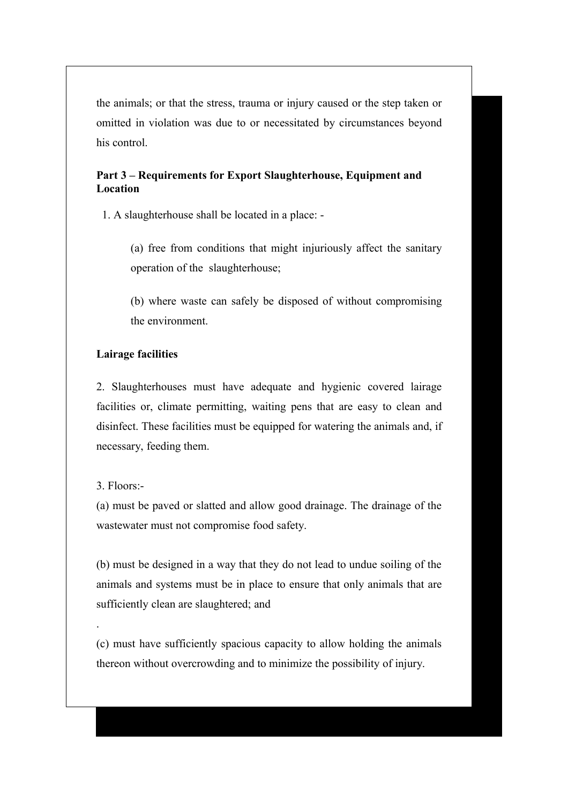the animals; or that the stress, trauma or injury caused or the step taken or omitted in violation was due to or necessitated by circumstances beyond his control.

# **Part 3 – Requirements for Export Slaughterhouse, Equipment and Location**

1. A slaughterhouse shall be located in a place: -

(a) free from conditions that might injuriously affect the sanitary operation of the slaughterhouse;

(b) where waste can safely be disposed of without compromising the environment.

# **Lairage facilities**

2. Slaughterhouses must have adequate and hygienic covered lairage facilities or, climate permitting, waiting pens that are easy to clean and disinfect. These facilities must be equipped for watering the animals and, if necessary, feeding them.

### 3. Floors:-

.

(a) must be paved or slatted and allow good drainage. The drainage of the wastewater must not compromise food safety.

(b) must be designed in a way that they do not lead to undue soiling of the animals and systems must be in place to ensure that only animals that are sufficiently clean are slaughtered; and

(c) must have sufficiently spacious capacity to allow holding the animals thereon without overcrowding and to minimize the possibility of injury.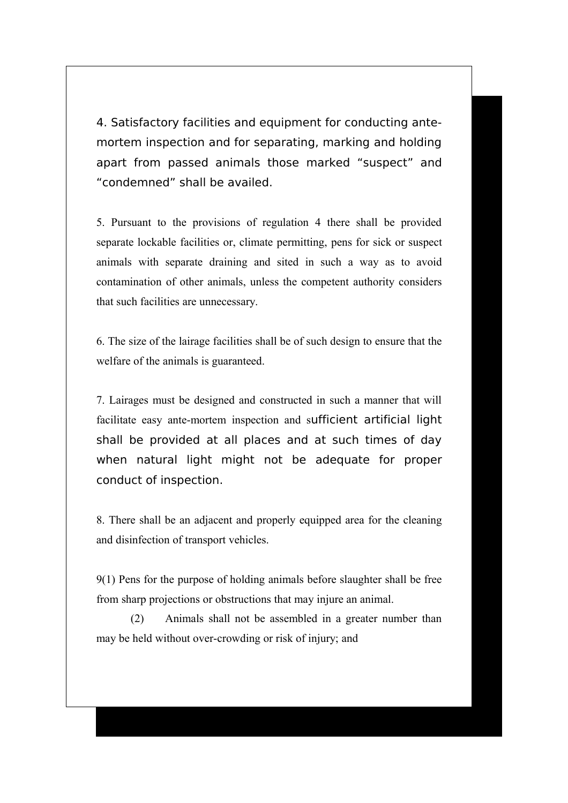4. Satisfactory facilities and equipment for conducting antemortem inspection and for separating, marking and holding apart from passed animals those marked "suspect" and "condemned" shall be availed.

5. Pursuant to the provisions of regulation 4 there shall be provided separate lockable facilities or, climate permitting, pens for sick or suspect animals with separate draining and sited in such a way as to avoid contamination of other animals, unless the competent authority considers that such facilities are unnecessary.

6. The size of the lairage facilities shall be of such design to ensure that the welfare of the animals is guaranteed.

7. Lairages must be designed and constructed in such a manner that will facilitate easy ante-mortem inspection and sufficient artificial light shall be provided at all places and at such times of day when natural light might not be adequate for proper conduct of inspection.

8. There shall be an adjacent and properly equipped area for the cleaning and disinfection of transport vehicles.

9(1) Pens for the purpose of holding animals before slaughter shall be free from sharp projections or obstructions that may injure an animal.

(2) Animals shall not be assembled in a greater number than may be held without over-crowding or risk of injury; and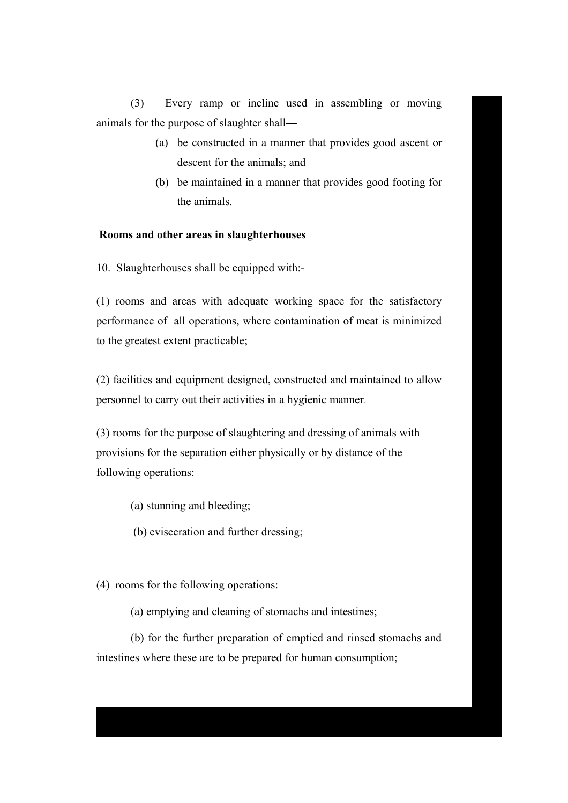(3) Every ramp or incline used in assembling or moving animals for the purpose of slaughter shall―

- (a) be constructed in a manner that provides good ascent or descent for the animals; and
- (b) be maintained in a manner that provides good footing for the animals.

### **Rooms and other areas in slaughterhouses**

10. Slaughterhouses shall be equipped with:-

(1) rooms and areas with adequate working space for the satisfactory performance of all operations, where contamination of meat is minimized to the greatest extent practicable;

(2) facilities and equipment designed, constructed and maintained to allow personnel to carry out their activities in a hygienic manner.

(3) rooms for the purpose of slaughtering and dressing of animals with provisions for the separation either physically or by distance of the following operations:

(a) stunning and bleeding;

(b) evisceration and further dressing;

(4)rooms for the following operations:

(a) emptying and cleaning of stomachs and intestines;

(b) for the further preparation of emptied and rinsed stomachs and intestines where these are to be prepared for human consumption;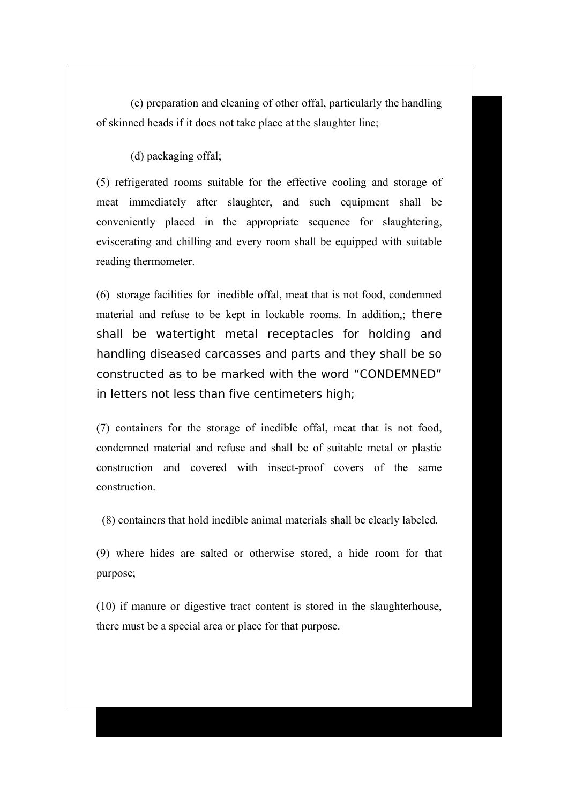(c) preparation and cleaning of other offal, particularly the handling of skinned heads if it does not take place at the slaughter line;

(d) packaging offal;

(5) refrigerated rooms suitable for the effective cooling and storage of meat immediately after slaughter, and such equipment shall be conveniently placed in the appropriate sequence for slaughtering, eviscerating and chilling and every room shall be equipped with suitable reading thermometer.

(6) storage facilities for inedible offal, meat that is not food, condemned material and refuse to be kept in lockable rooms. In addition,; there shall be watertight metal receptacles for holding and handling diseased carcasses and parts and they shall be so constructed as to be marked with the word "CONDEMNED" in letters not less than five centimeters high;

(7) containers for the storage of inedible offal, meat that is not food, condemned material and refuse and shall be of suitable metal or plastic construction and covered with insect-proof covers of the same construction.

(8) containers that hold inedible animal materials shall be clearly labeled.

(9) where hides are salted or otherwise stored, a hide room for that purpose;

(10) if manure or digestive tract content is stored in the slaughterhouse, there must be a special area or place for that purpose.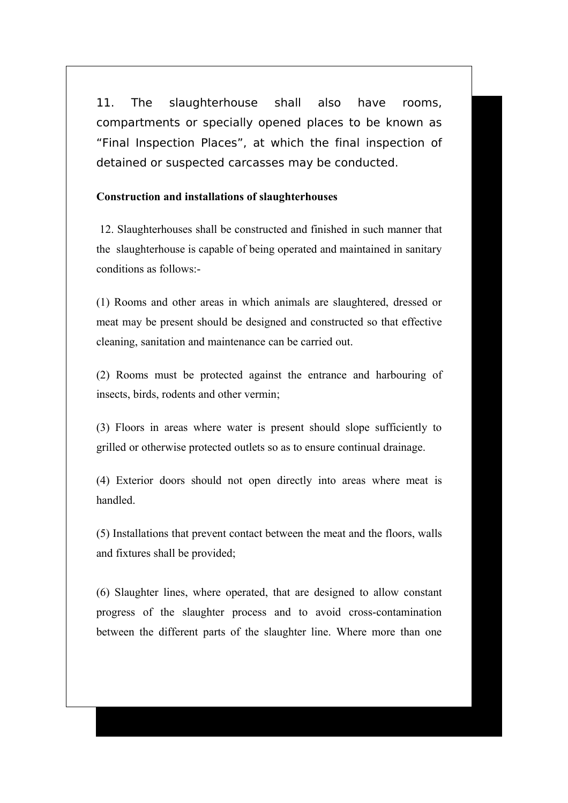11. The slaughterhouse shall also have rooms, compartments or specially opened places to be known as "Final Inspection Places", at which the final inspection of detained or suspected carcasses may be conducted.

### **Construction and installations of slaughterhouses**

12. Slaughterhouses shall be constructed and finished in such manner that the slaughterhouse is capable of being operated and maintained in sanitary conditions as follows:-

(1) Rooms and other areas in which animals are slaughtered, dressed or meat may be present should be designed and constructed so that effective cleaning, sanitation and maintenance can be carried out.

(2) Rooms must be protected against the entrance and harbouring of insects, birds, rodents and other vermin;

(3) Floors in areas where water is present should slope sufficiently to grilled or otherwise protected outlets so as to ensure continual drainage.

(4) Exterior doors should not open directly into areas where meat is handled.

(5) Installations that prevent contact between the meat and the floors, walls and fixtures shall be provided;

(6) Slaughter lines, where operated, that are designed to allow constant progress of the slaughter process and to avoid cross-contamination between the different parts of the slaughter line. Where more than one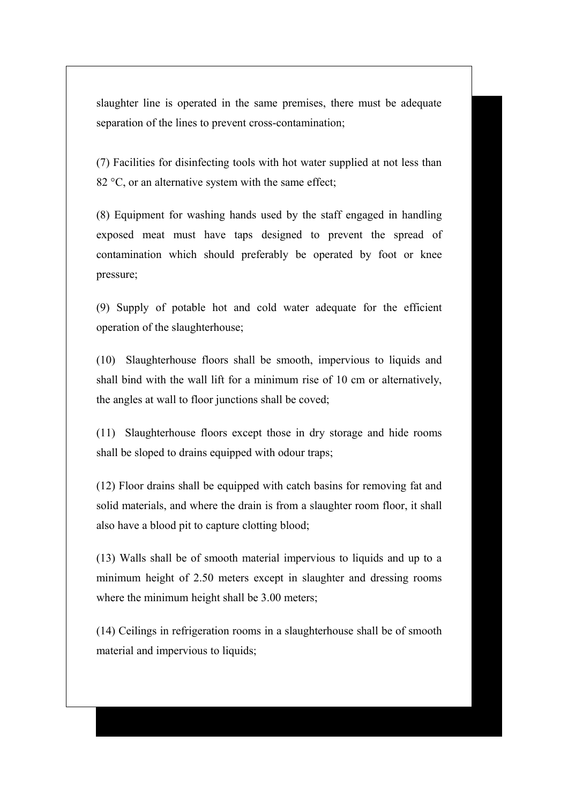slaughter line is operated in the same premises, there must be adequate separation of the lines to prevent cross-contamination;

(7) Facilities for disinfecting tools with hot water supplied at not less than 82 °C, or an alternative system with the same effect;

(8) Equipment for washing hands used by the staff engaged in handling exposed meat must have taps designed to prevent the spread of contamination which should preferably be operated by foot or knee pressure;

(9) Supply of potable hot and cold water adequate for the efficient operation of the slaughterhouse;

(10) Slaughterhouse floors shall be smooth, impervious to liquids and shall bind with the wall lift for a minimum rise of 10 cm or alternatively, the angles at wall to floor junctions shall be coved;

(11) Slaughterhouse floors except those in dry storage and hide rooms shall be sloped to drains equipped with odour traps;

(12) Floor drains shall be equipped with catch basins for removing fat and solid materials, and where the drain is from a slaughter room floor, it shall also have a blood pit to capture clotting blood;

(13) Walls shall be of smooth material impervious to liquids and up to a minimum height of 2.50 meters except in slaughter and dressing rooms where the minimum height shall be 3.00 meters;

(14) Ceilings in refrigeration rooms in a slaughterhouse shall be of smooth material and impervious to liquids;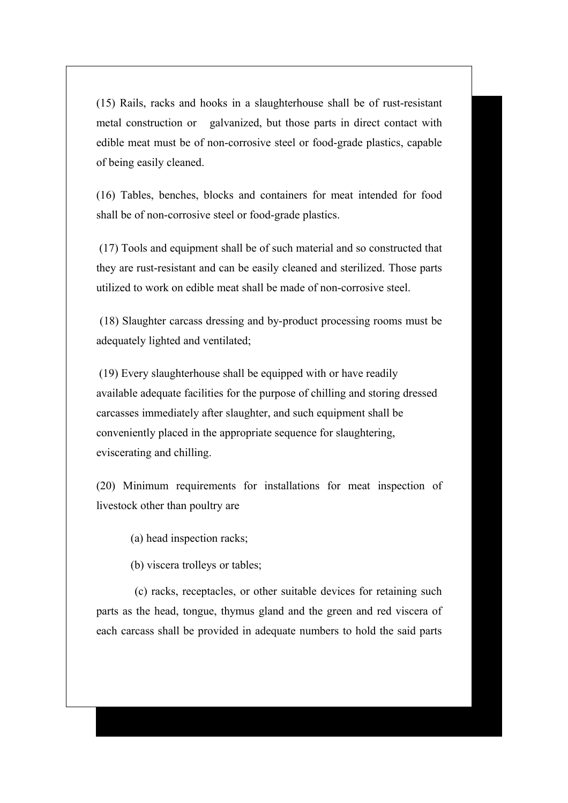(15) Rails, racks and hooks in a slaughterhouse shall be of rust-resistant metal construction or galvanized, but those parts in direct contact with edible meat must be of non-corrosive steel or food-grade plastics, capable of being easily cleaned.

(16) Tables, benches, blocks and containers for meat intended for food shall be of non-corrosive steel or food-grade plastics.

 (17) Tools and equipment shall be of such material and so constructed that they are rust-resistant and can be easily cleaned and sterilized. Those parts utilized to work on edible meat shall be made of non-corrosive steel.

(18) Slaughter carcass dressing and by-product processing rooms must be adequately lighted and ventilated;

 (19) Every slaughterhouse shall be equipped with or have readily available adequate facilities for the purpose of chilling and storing dressed carcasses immediately after slaughter, and such equipment shall be conveniently placed in the appropriate sequence for slaughtering, eviscerating and chilling.

(20) Minimum requirements for installations for meat inspection of livestock other than poultry are

(a) head inspection racks;

(b) viscera trolleys or tables;

 (c) racks, receptacles, or other suitable devices for retaining such parts as the head, tongue, thymus gland and the green and red viscera of each carcass shall be provided in adequate numbers to hold the said parts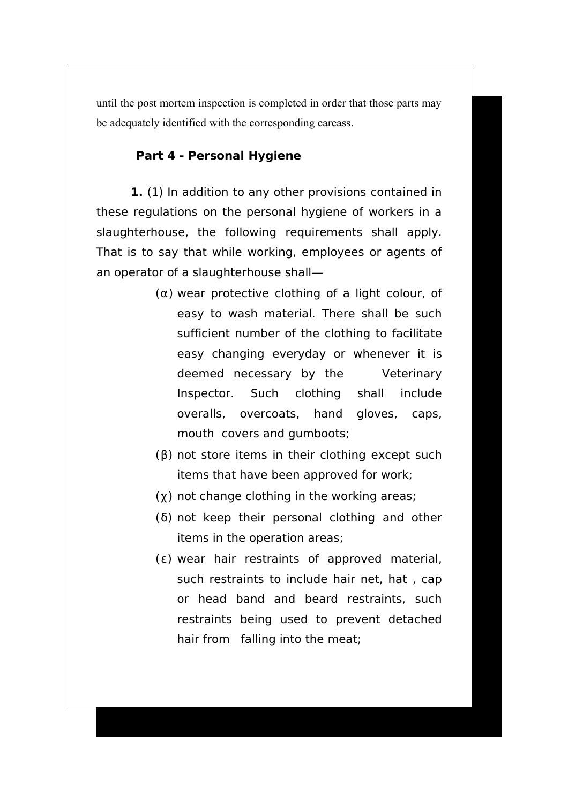until the post mortem inspection is completed in order that those parts may be adequately identified with the corresponding carcass.

# **Part 4 - Personal Hygiene**

**1.** (1) In addition to any other provisions contained in these regulations on the personal hygiene of workers in a slaughterhouse, the following requirements shall apply. That is to say that while working, employees or agents of an operator of a slaughterhouse shall―

- $(\alpha)$  wear protective clothing of a light colour, of easy to wash material. There shall be such sufficient number of the clothing to facilitate easy changing everyday or whenever it is deemed necessary by the Veterinary Inspector. Such clothing shall include overalls, overcoats, hand gloves, caps, mouth covers and gumboots;
- $(β)$  not store items in their clothing except such items that have been approved for work;
- $(\gamma)$  not change clothing in the working areas;
- $(δ)$  not keep their personal clothing and other items in the operation areas;
- $(\varepsilon)$  wear hair restraints of approved material, such restraints to include hair net, hat , cap or head band and beard restraints, such restraints being used to prevent detached hair from falling into the meat;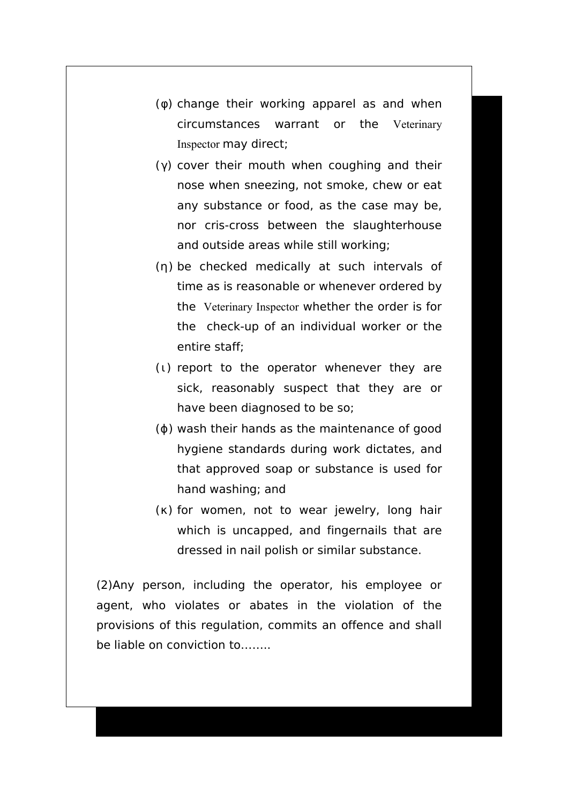- $(\phi)$  change their working apparel as and when circumstances warrant or the Veterinary Inspector may direct;
- ( $γ$ ) cover their mouth when coughing and their nose when sneezing, not smoke, chew or eat any substance or food, as the case may be, nor cris-cross between the slaughterhouse and outside areas while still working;
- (η) be checked medically at such intervals of time as is reasonable or whenever ordered by the Veterinary Inspector whether the order is for the check-up of an individual worker or the entire staff;
- $(1)$  report to the operator whenever they are sick, reasonably suspect that they are or have been diagnosed to be so;
- $(φ)$  wash their hands as the maintenance of good hygiene standards during work dictates, and that approved soap or substance is used for hand washing; and
- $(\kappa)$  for women, not to wear jewelry, long hair which is uncapped, and fingernails that are dressed in nail polish or similar substance.

(2)Any person, including the operator, his employee or agent, who violates or abates in the violation of the provisions of this regulation, commits an offence and shall be liable on conviction to……..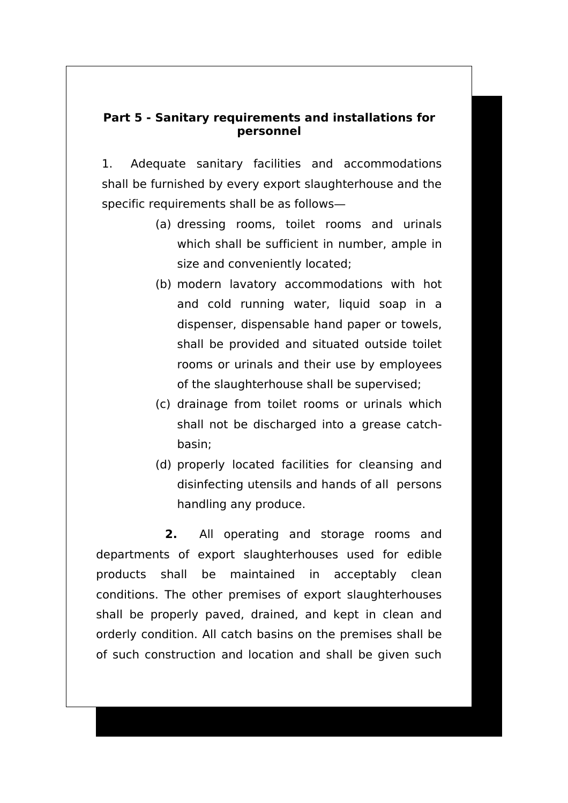# **Part 5 - Sanitary requirements and installations for personnel**

1. Adequate sanitary facilities and accommodations shall be furnished by every export slaughterhouse and the specific requirements shall be as follows―

- (a) dressing rooms, toilet rooms and urinals which shall be sufficient in number, ample in size and conveniently located;
- (b) modern lavatory accommodations with hot and cold running water, liquid soap in a dispenser, dispensable hand paper or towels, shall be provided and situated outside toilet rooms or urinals and their use by employees of the slaughterhouse shall be supervised;
- (c) drainage from toilet rooms or urinals which shall not be discharged into a grease catchbasin;
- (d) properly located facilities for cleansing and disinfecting utensils and hands of all persons handling any produce.

**2.** All operating and storage rooms and departments of export slaughterhouses used for edible products shall be maintained in acceptably clean conditions. The other premises of export slaughterhouses shall be properly paved, drained, and kept in clean and orderly condition. All catch basins on the premises shall be of such construction and location and shall be given such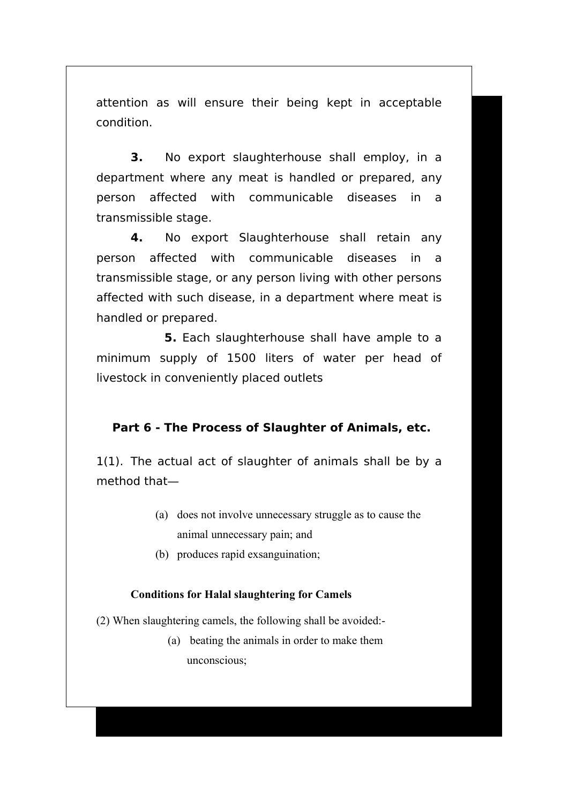attention as will ensure their being kept in acceptable condition.

**3.** No export slaughterhouse shall employ, in a department where any meat is handled or prepared, any person affected with communicable diseases in a transmissible stage.

**4.** No export Slaughterhouse shall retain any person affected with communicable diseases in a transmissible stage, or any person living with other persons affected with such disease, in a department where meat is handled or prepared.

 **5.** Each slaughterhouse shall have ample to a minimum supply of 1500 liters of water per head of livestock in conveniently placed outlets

# **Part 6 - The Process of Slaughter of Animals, etc.**

1(1). The actual act of slaughter of animals shall be by a method that―

- (a) does not involve unnecessary struggle as to cause the animal unnecessary pain; and
- (b) produces rapid exsanguination;

# **Conditions for Halal slaughtering for Camels**

(2) When slaughtering camels, the following shall be avoided:-

(a) beating the animals in order to make them unconscious;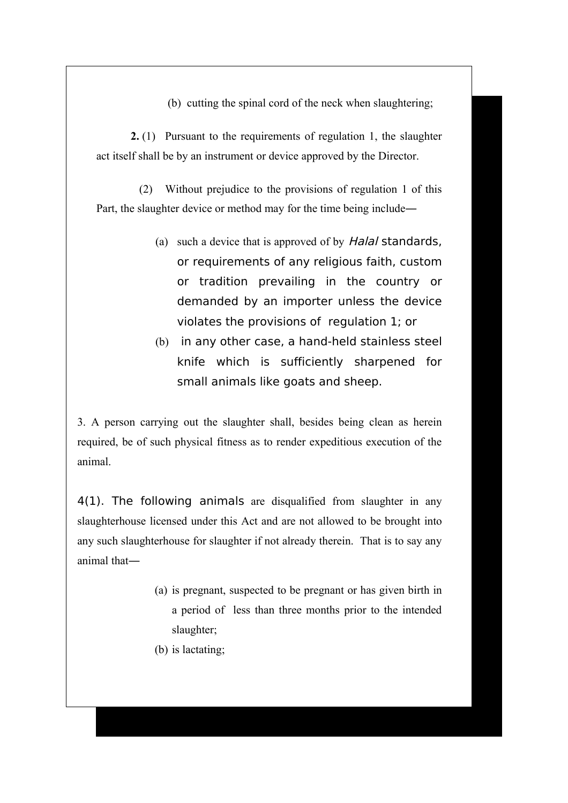(b) cutting the spinal cord of the neck when slaughtering;

**2.** (1) Pursuant to the requirements of regulation 1, the slaughter act itself shall be by an instrument or device approved by the Director.

 (2) Without prejudice to the provisions of regulation 1 of this Part, the slaughter device or method may for the time being include―

- (a) such a device that is approved of by *Halal* standards, or requirements of any religious faith, custom or tradition prevailing in the country or demanded by an importer unless the device violates the provisions of regulation 1; or
- (b) in any other case, a hand-held stainless steel knife which is sufficiently sharpened for small animals like goats and sheep.

3. A person carrying out the slaughter shall, besides being clean as herein required, be of such physical fitness as to render expeditious execution of the animal.

4(1). The following animals are disqualified from slaughter in any slaughterhouse licensed under this Act and are not allowed to be brought into any such slaughterhouse for slaughter if not already therein. That is to say any animal that―

- (a) is pregnant, suspected to be pregnant or has given birth in a period of less than three months prior to the intended slaughter;
- (b) is lactating;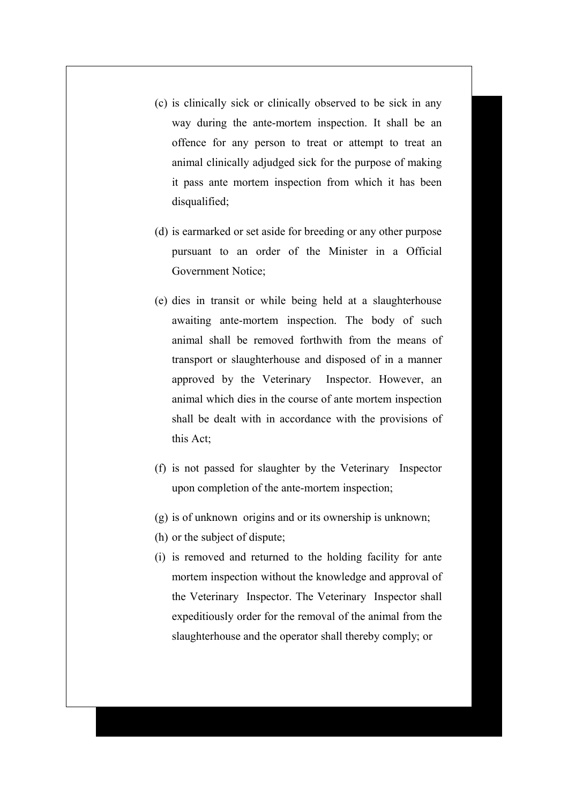- (c) is clinically sick or clinically observed to be sick in any way during the ante-mortem inspection. It shall be an offence for any person to treat or attempt to treat an animal clinically adjudged sick for the purpose of making it pass ante mortem inspection from which it has been disqualified;
- (d) is earmarked or set aside for breeding or any other purpose pursuant to an order of the Minister in a Official Government Notice;
- (e) dies in transit or while being held at a slaughterhouse awaiting ante-mortem inspection. The body of such animal shall be removed forthwith from the means of transport or slaughterhouse and disposed of in a manner approved by the Veterinary Inspector. However, an animal which dies in the course of ante mortem inspection shall be dealt with in accordance with the provisions of this Act;
- (f) is not passed for slaughter by the Veterinary Inspector upon completion of the ante-mortem inspection;
- (g) is of unknown origins and or its ownership is unknown;
- (h) or the subject of dispute;
- (i) is removed and returned to the holding facility for ante mortem inspection without the knowledge and approval of the Veterinary Inspector. The Veterinary Inspector shall expeditiously order for the removal of the animal from the slaughterhouse and the operator shall thereby comply; or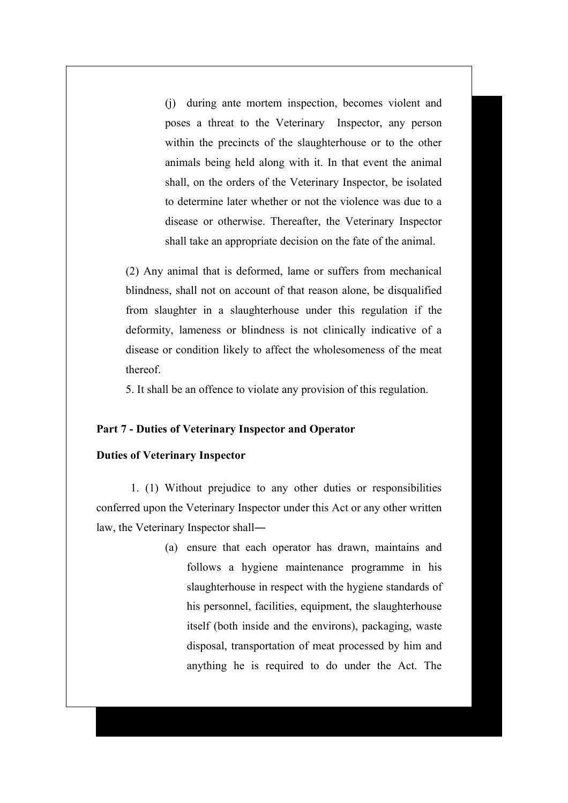(j) during ante mortem inspection, becomes violent and poses a threat to the Veterinary Inspector, any person within the precincts of the slaughterhouse or to the other animals being held along with it. In that event the animal shall, on the orders of the Veterinary Inspector, be isolated to determine later whether or not the violence was due to a disease or otherwise. Thereafter, the Veterinary Inspector shall take an appropriate decision on the fate of the animal.

(2) Any animal that is deformed, lame or suffers from mechanical blindness, shall not on account of that reason alone, be disqualified from slaughter in a slaughterhouse under this regulation if the deformity, lameness or blindness is not clinically indicative of a disease or condition likely to affect the wholesomeness of the meat thereof.

5. It shall be an offence to violate any provision of this regulation.

#### **Part 7 - Duties of Veterinary Inspector and Operator**

#### **Duties of Veterinary Inspector**

1. (1) Without prejudice to any other duties or responsibilities conferred upon the Veterinary Inspector under this Act or any other written law, the Veterinary Inspector shall―

> (a) ensure that each operator has drawn, maintains and follows a hygiene maintenance programme in his slaughterhouse in respect with the hygiene standards of his personnel, facilities, equipment, the slaughterhouse itself (both inside and the environs), packaging, waste disposal, transportation of meat processed by him and anything he is required to do under the Act. The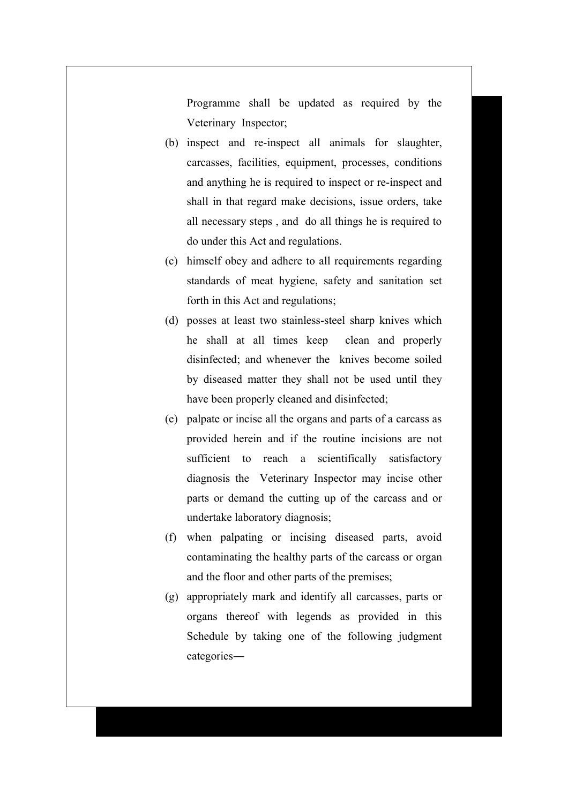Programme shall be updated as required by the Veterinary Inspector;

- (b) inspect and re-inspect all animals for slaughter, carcasses, facilities, equipment, processes, conditions and anything he is required to inspect or re-inspect and shall in that regard make decisions, issue orders, take all necessary steps , and do all things he is required to do under this Act and regulations.
- (c) himself obey and adhere to all requirements regarding standards of meat hygiene, safety and sanitation set forth in this Act and regulations;
- (d) posses at least two stainless-steel sharp knives which he shall at all times keep clean and properly disinfected; and whenever the knives become soiled by diseased matter they shall not be used until they have been properly cleaned and disinfected;
- (e) palpate or incise all the organs and parts of a carcass as provided herein and if the routine incisions are not sufficient to reach a scientifically satisfactory diagnosis the Veterinary Inspector may incise other parts or demand the cutting up of the carcass and or undertake laboratory diagnosis;
- (f) when palpating or incising diseased parts, avoid contaminating the healthy parts of the carcass or organ and the floor and other parts of the premises;
- (g) appropriately mark and identify all carcasses, parts or organs thereof with legends as provided in this Schedule by taking one of the following judgment categories―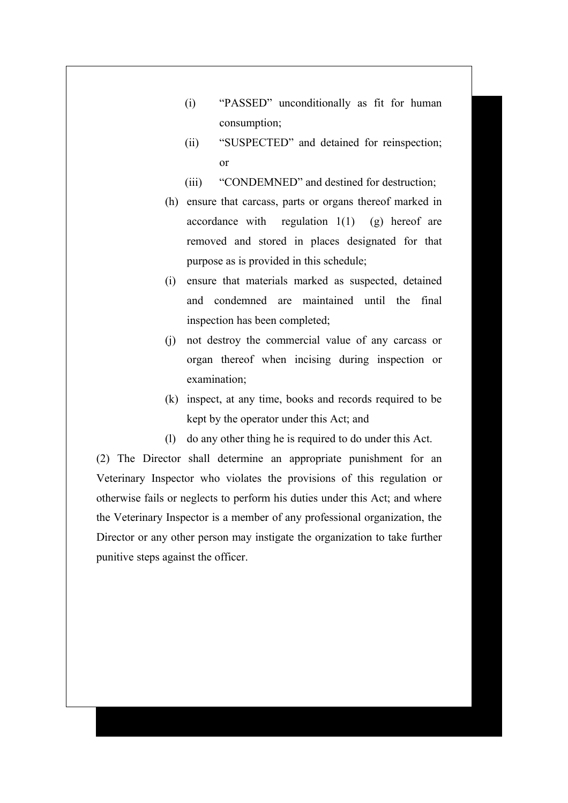- (i) "PASSED" unconditionally as fit for human consumption;
- (ii) "SUSPECTED" and detained for reinspection; or
- (iii) "CONDEMNED" and destined for destruction;
- (h) ensure that carcass, parts or organs thereof marked in accordance with regulation  $1(1)$  (g) hereof are removed and stored in places designated for that purpose as is provided in this schedule;
- (i) ensure that materials marked as suspected, detained and condemned are maintained until the final inspection has been completed;
- (j) not destroy the commercial value of any carcass or organ thereof when incising during inspection or examination;
- (k) inspect, at any time, books and records required to be kept by the operator under this Act; and
- (l) do any other thing he is required to do under this Act.

(2) The Director shall determine an appropriate punishment for an Veterinary Inspector who violates the provisions of this regulation or otherwise fails or neglects to perform his duties under this Act; and where the Veterinary Inspector is a member of any professional organization, the Director or any other person may instigate the organization to take further punitive steps against the officer.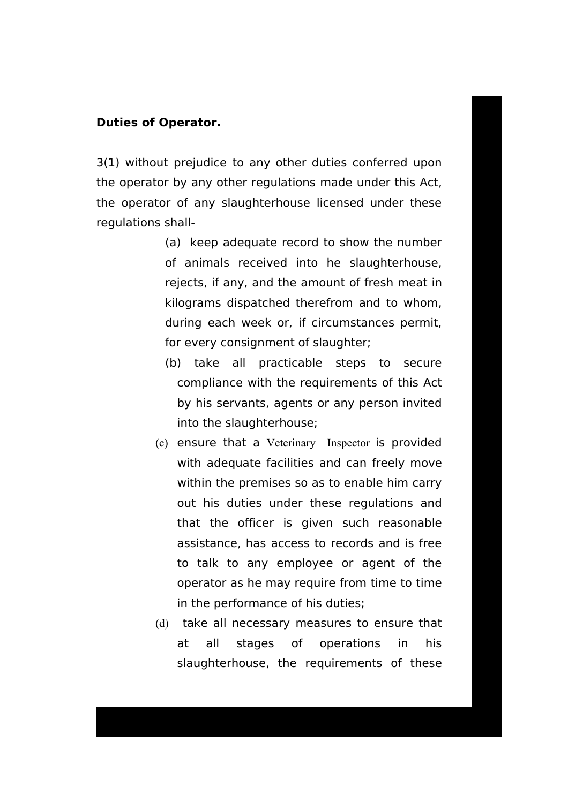# **Duties of Operator.**

3(1) without prejudice to any other duties conferred upon the operator by any other regulations made under this Act, the operator of any slaughterhouse licensed under these regulations shall-

- (a) keep adequate record to show the number of animals received into he slaughterhouse, rejects, if any, and the amount of fresh meat in kilograms dispatched therefrom and to whom, during each week or, if circumstances permit, for every consignment of slaughter;
- (b) take all practicable steps to secure compliance with the requirements of this Act by his servants, agents or any person invited into the slaughterhouse;
- (c) ensure that a Veterinary Inspector is provided with adequate facilities and can freely move within the premises so as to enable him carry out his duties under these regulations and that the officer is given such reasonable assistance, has access to records and is free to talk to any employee or agent of the operator as he may require from time to time in the performance of his duties;
- (d) take all necessary measures to ensure that at all stages of operations in his slaughterhouse, the requirements of these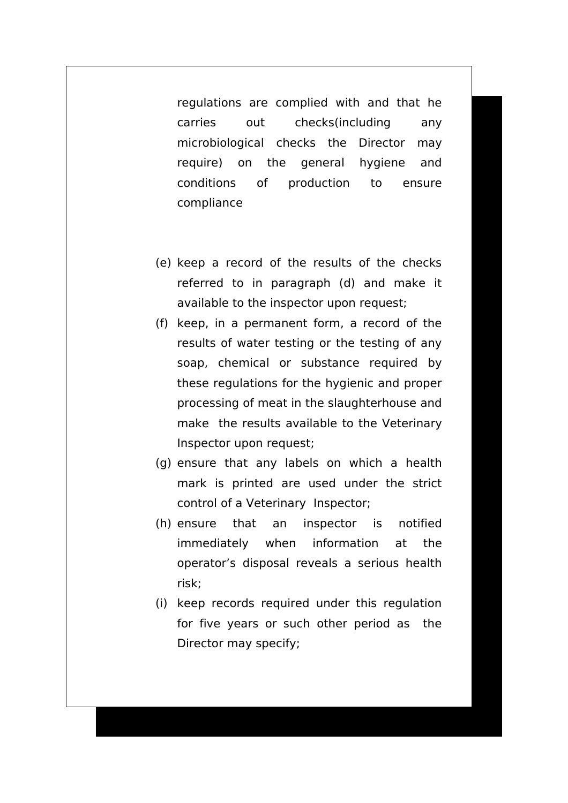regulations are complied with and that he carries out checks(including any microbiological checks the Director may require) on the general hygiene and conditions of production to ensure compliance

- (e) keep a record of the results of the checks referred to in paragraph (d) and make it available to the inspector upon request;
- (f) keep, in a permanent form, a record of the results of water testing or the testing of any soap, chemical or substance required by these regulations for the hygienic and proper processing of meat in the slaughterhouse and make the results available to the Veterinary Inspector upon request;
- (g) ensure that any labels on which a health mark is printed are used under the strict control of a Veterinary Inspector;
- (h) ensure that an inspector is notified immediately when information at the operator's disposal reveals a serious health risk;
- (i) keep records required under this regulation for five years or such other period as the Director may specify;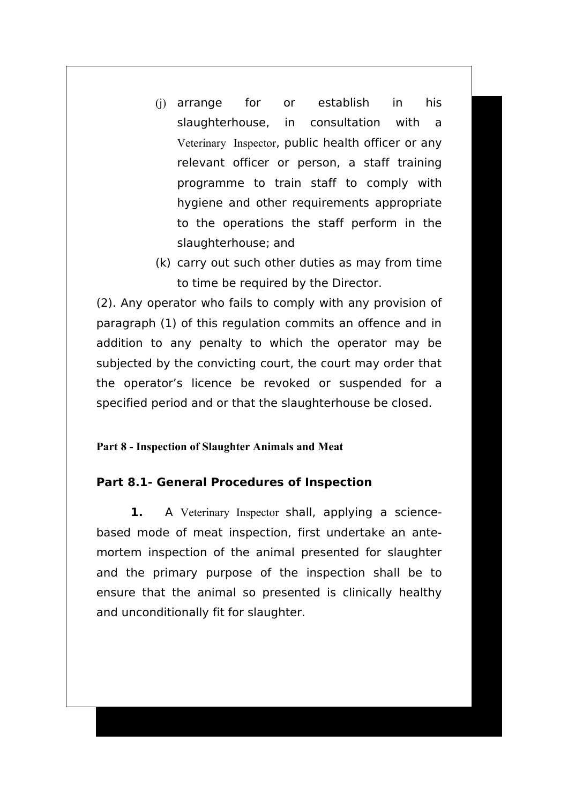- (j) arrange for or establish in his slaughterhouse, in consultation with a Veterinary Inspector, public health officer or any relevant officer or person, a staff training programme to train staff to comply with hygiene and other requirements appropriate to the operations the staff perform in the slaughterhouse; and
- (k) carry out such other duties as may from time to time be required by the Director.

(2). Any operator who fails to comply with any provision of paragraph (1) of this regulation commits an offence and in addition to any penalty to which the operator may be subjected by the convicting court, the court may order that the operator's licence be revoked or suspended for a specified period and or that the slaughterhouse be closed.

# **Part 8 - Inspection of Slaughter Animals and Meat**

# **Part 8.1- General Procedures of Inspection**

**1.** A Veterinary Inspector shall, applying a sciencebased mode of meat inspection, first undertake an antemortem inspection of the animal presented for slaughter and the primary purpose of the inspection shall be to ensure that the animal so presented is clinically healthy and unconditionally fit for slaughter.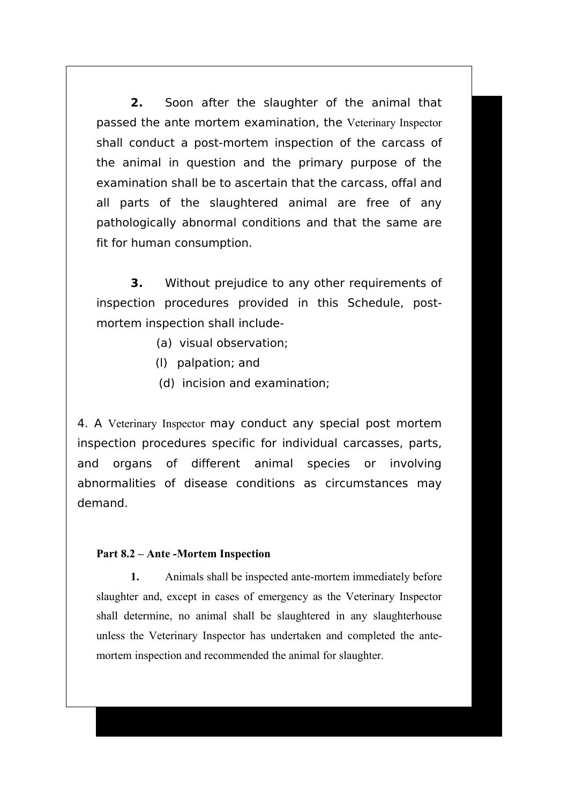**2.** Soon after the slaughter of the animal that passed the ante mortem examination, the Veterinary Inspector shall conduct a post-mortem inspection of the carcass of the animal in question and the primary purpose of the examination shall be to ascertain that the carcass, offal and all parts of the slaughtered animal are free of any pathologically abnormal conditions and that the same are fit for human consumption.

**3.** Without prejudice to any other requirements of inspection procedures provided in this Schedule, postmortem inspection shall include-

- (a) visual observation;
- (l) palpation; and
- (d) incision and examination;

4. A Veterinary Inspector may conduct any special post mortem inspection procedures specific for individual carcasses, parts, and organs of different animal species or involving abnormalities of disease conditions as circumstances may demand.

### **Part 8.2 – Ante -Mortem Inspection**

**1.** Animals shall be inspected ante-mortem immediately before slaughter and, except in cases of emergency as the Veterinary Inspector shall determine, no animal shall be slaughtered in any slaughterhouse unless the Veterinary Inspector has undertaken and completed the antemortem inspection and recommended the animal for slaughter.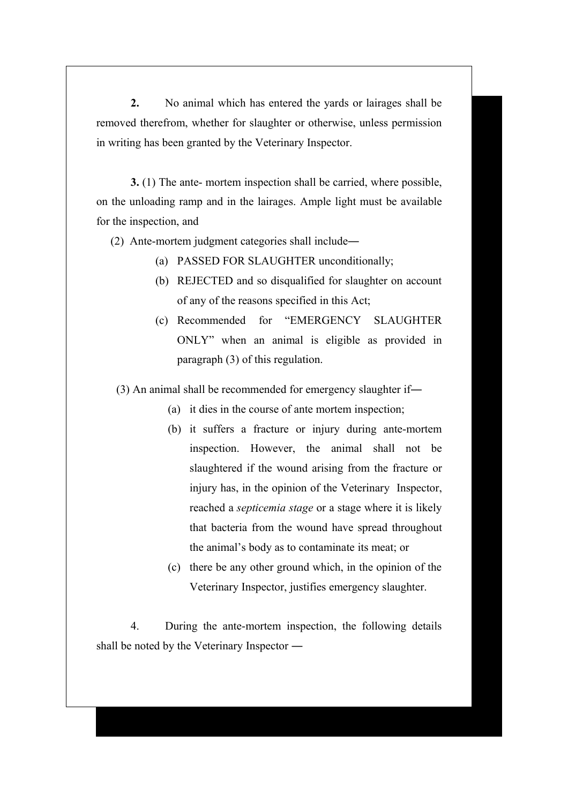**2.** No animal which has entered the yards or lairages shall be removed therefrom, whether for slaughter or otherwise, unless permission in writing has been granted by the Veterinary Inspector.

**3.** (1) The ante- mortem inspection shall be carried, where possible, on the unloading ramp and in the lairages. Ample light must be available for the inspection, and

(2) Ante-mortem judgment categories shall include―

- (a) PASSED FOR SLAUGHTER unconditionally;
- (b) REJECTED and so disqualified for slaughter on account of any of the reasons specified in this Act;
- (c) Recommended for "EMERGENCY SLAUGHTER ONLY" when an animal is eligible as provided in paragraph (3) of this regulation.

(3) An animal shall be recommended for emergency slaughter if―

- (a) it dies in the course of ante mortem inspection;
- (b) it suffers a fracture or injury during ante-mortem inspection. However, the animal shall not be slaughtered if the wound arising from the fracture or injury has, in the opinion of the Veterinary Inspector, reached a *septicemia stage* or a stage where it is likely that bacteria from the wound have spread throughout the animal's body as to contaminate its meat; or
- (c) there be any other ground which, in the opinion of the Veterinary Inspector, justifies emergency slaughter.

4. During the ante-mortem inspection, the following details shall be noted by the Veterinary Inspector ―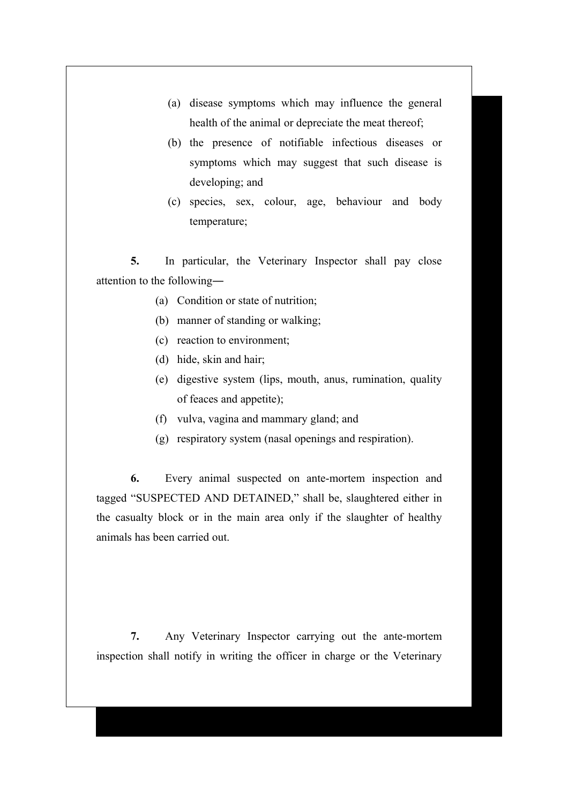- (a) disease symptoms which may influence the general health of the animal or depreciate the meat thereof;
- (b) the presence of notifiable infectious diseases or symptoms which may suggest that such disease is developing; and
- (c) species, sex, colour, age, behaviour and body temperature;

**5.** In particular, the Veterinary Inspector shall pay close attention to the following―

- (a) Condition or state of nutrition;
- (b) manner of standing or walking;
- (c) reaction to environment;
- (d) hide, skin and hair;
- (e) digestive system (lips, mouth, anus, rumination, quality of feaces and appetite);
- (f) vulva, vagina and mammary gland; and
- (g) respiratory system (nasal openings and respiration).

**6.** Every animal suspected on ante-mortem inspection and tagged "SUSPECTED AND DETAINED," shall be, slaughtered either in the casualty block or in the main area only if the slaughter of healthy animals has been carried out.

**7.** Any Veterinary Inspector carrying out the ante-mortem inspection shall notify in writing the officer in charge or the Veterinary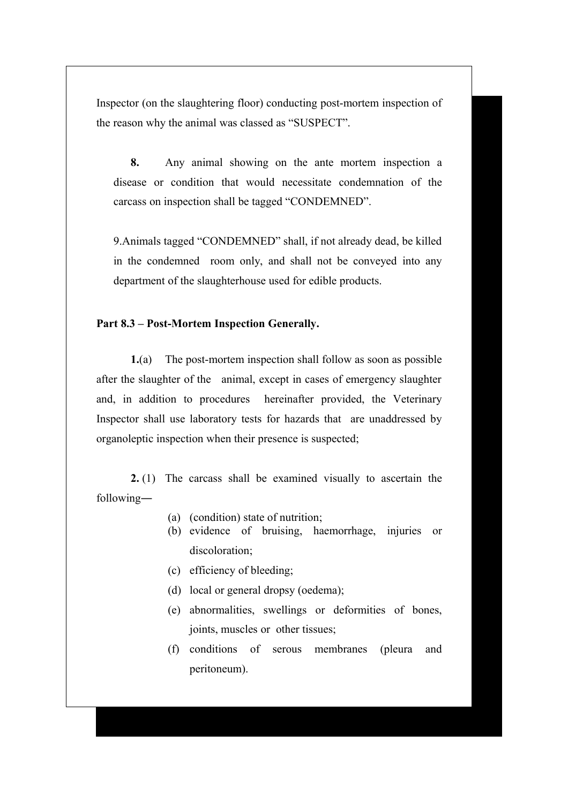Inspector (on the slaughtering floor) conducting post-mortem inspection of the reason why the animal was classed as "SUSPECT".

**8.** Any animal showing on the ante mortem inspection a disease or condition that would necessitate condemnation of the carcass on inspection shall be tagged "CONDEMNED".

9.Animals tagged "CONDEMNED" shall, if not already dead, be killed in the condemned room only, and shall not be conveyed into any department of the slaughterhouse used for edible products.

#### **Part 8.3 – Post-Mortem Inspection Generally.**

**1.**(a) The post-mortem inspection shall follow as soon as possible after the slaughter of the animal, except in cases of emergency slaughter and, in addition to procedures hereinafter provided, the Veterinary Inspector shall use laboratory tests for hazards that are unaddressed by organoleptic inspection when their presence is suspected;

**2.** (1) The carcass shall be examined visually to ascertain the following―

- (a) (condition) state of nutrition;
- (b) evidence of bruising, haemorrhage, injuries or discoloration;
- (c) efficiency of bleeding;
- (d) local or general dropsy (oedema);
- (e) abnormalities, swellings or deformities of bones, joints, muscles or other tissues;
- (f) conditions of serous membranes (pleura and peritoneum).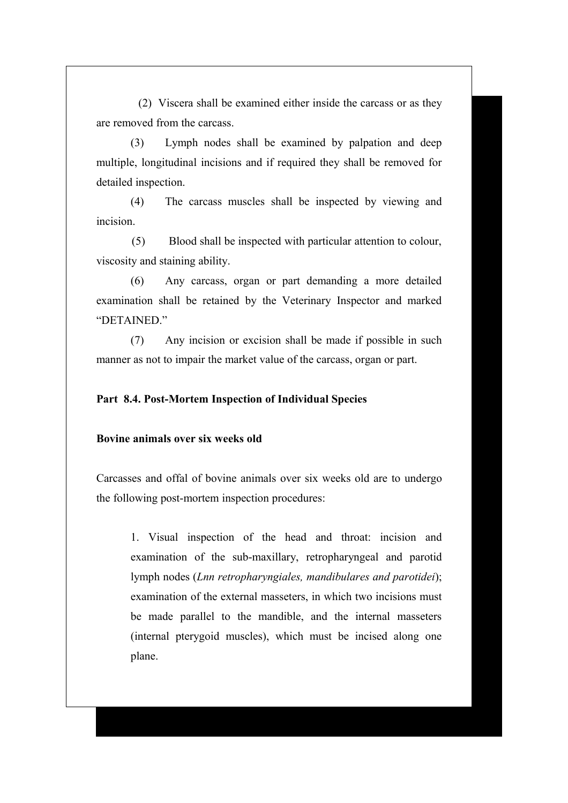(2) Viscera shall be examined either inside the carcass or as they are removed from the carcass.

(3) Lymph nodes shall be examined by palpation and deep multiple, longitudinal incisions and if required they shall be removed for detailed inspection.

(4) The carcass muscles shall be inspected by viewing and incision.

 (5) Blood shall be inspected with particular attention to colour, viscosity and staining ability.

(6) Any carcass, organ or part demanding a more detailed examination shall be retained by the Veterinary Inspector and marked "DETAINED"

(7) Any incision or excision shall be made if possible in such manner as not to impair the market value of the carcass, organ or part.

#### **Part 8.4. Post-Mortem Inspection of Individual Species**

### **Bovine animals over six weeks old**

Carcasses and offal of bovine animals over six weeks old are to undergo the following post-mortem inspection procedures:

1. Visual inspection of the head and throat: incision and examination of the sub-maxillary, retropharyngeal and parotid lymph nodes (*Lnn retropharyngiales, mandibulares and parotidei*); examination of the external masseters, in which two incisions must be made parallel to the mandible, and the internal masseters (internal pterygoid muscles), which must be incised along one plane.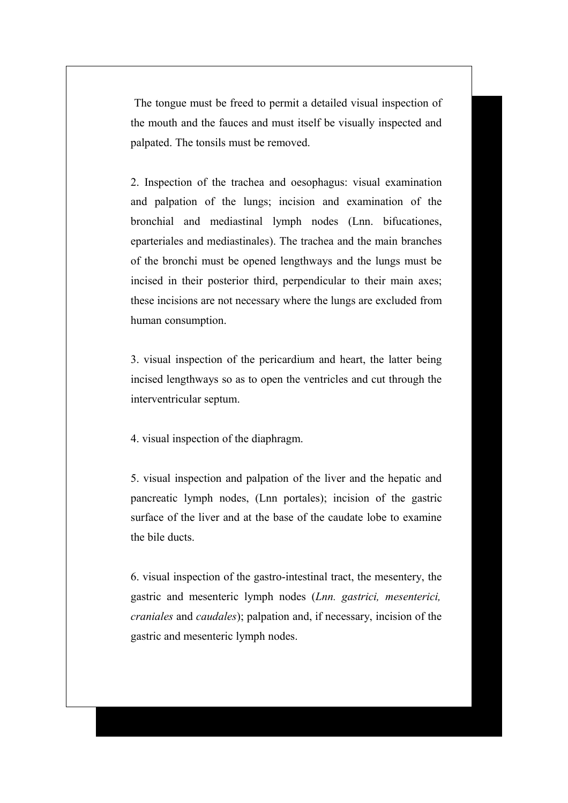The tongue must be freed to permit a detailed visual inspection of the mouth and the fauces and must itself be visually inspected and palpated. The tonsils must be removed.

2. Inspection of the trachea and oesophagus: visual examination and palpation of the lungs; incision and examination of the bronchial and mediastinal lymph nodes (Lnn. bifucationes, eparteriales and mediastinales). The trachea and the main branches of the bronchi must be opened lengthways and the lungs must be incised in their posterior third, perpendicular to their main axes; these incisions are not necessary where the lungs are excluded from human consumption.

3. visual inspection of the pericardium and heart, the latter being incised lengthways so as to open the ventricles and cut through the interventricular septum.

4. visual inspection of the diaphragm.

5. visual inspection and palpation of the liver and the hepatic and pancreatic lymph nodes, (Lnn portales); incision of the gastric surface of the liver and at the base of the caudate lobe to examine the bile ducts.

6. visual inspection of the gastro-intestinal tract, the mesentery, the gastric and mesenteric lymph nodes (*Lnn. gastrici, mesenterici, craniales* and *caudales*); palpation and, if necessary, incision of the gastric and mesenteric lymph nodes.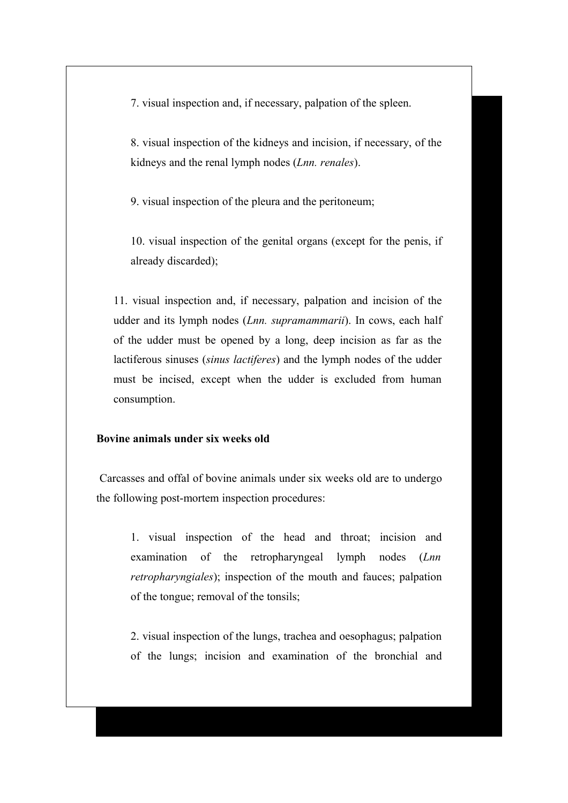7. visual inspection and, if necessary, palpation of the spleen.

8. visual inspection of the kidneys and incision, if necessary, of the kidneys and the renal lymph nodes (*Lnn. renales*).

9. visual inspection of the pleura and the peritoneum;

10. visual inspection of the genital organs (except for the penis, if already discarded);

11. visual inspection and, if necessary, palpation and incision of the udder and its lymph nodes (*Lnn. supramammarii*). In cows, each half of the udder must be opened by a long, deep incision as far as the lactiferous sinuses (*sinus lactiferes*) and the lymph nodes of the udder must be incised, except when the udder is excluded from human consumption.

### **Bovine animals under six weeks old**

Carcasses and offal of bovine animals under six weeks old are to undergo the following post-mortem inspection procedures:

1. visual inspection of the head and throat; incision and examination of the retropharyngeal lymph nodes (*Lnn retropharyngiales*); inspection of the mouth and fauces; palpation of the tongue; removal of the tonsils;

2. visual inspection of the lungs, trachea and oesophagus; palpation of the lungs; incision and examination of the bronchial and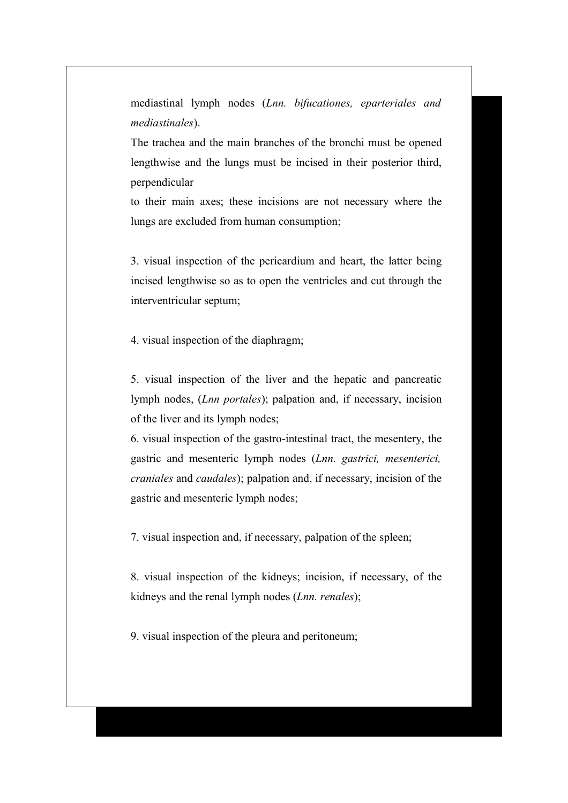mediastinal lymph nodes (*Lnn. bifucationes, eparteriales and mediastinales*).

The trachea and the main branches of the bronchi must be opened lengthwise and the lungs must be incised in their posterior third, perpendicular

to their main axes; these incisions are not necessary where the lungs are excluded from human consumption;

3. visual inspection of the pericardium and heart, the latter being incised lengthwise so as to open the ventricles and cut through the interventricular septum;

4. visual inspection of the diaphragm;

5. visual inspection of the liver and the hepatic and pancreatic lymph nodes, (*Lnn portales*); palpation and, if necessary, incision of the liver and its lymph nodes;

6. visual inspection of the gastro-intestinal tract, the mesentery, the gastric and mesenteric lymph nodes (*Lnn. gastrici, mesenterici, craniales* and *caudales*); palpation and, if necessary, incision of the gastric and mesenteric lymph nodes;

7. visual inspection and, if necessary, palpation of the spleen;

8. visual inspection of the kidneys; incision, if necessary, of the kidneys and the renal lymph nodes (*Lnn. renales*);

9. visual inspection of the pleura and peritoneum;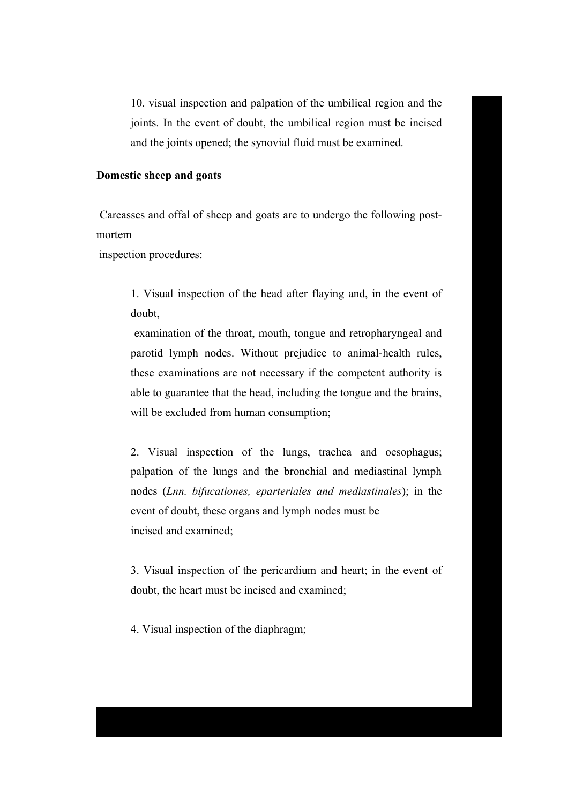10. visual inspection and palpation of the umbilical region and the joints. In the event of doubt, the umbilical region must be incised and the joints opened; the synovial fluid must be examined.

### **Domestic sheep and goats**

 Carcasses and offal of sheep and goats are to undergo the following postmortem

inspection procedures:

1. Visual inspection of the head after flaying and, in the event of doubt,

 examination of the throat, mouth, tongue and retropharyngeal and parotid lymph nodes. Without prejudice to animal-health rules, these examinations are not necessary if the competent authority is able to guarantee that the head, including the tongue and the brains, will be excluded from human consumption;

2. Visual inspection of the lungs, trachea and oesophagus; palpation of the lungs and the bronchial and mediastinal lymph nodes (*Lnn. bifucationes, eparteriales and mediastinales*); in the event of doubt, these organs and lymph nodes must be incised and examined;

3. Visual inspection of the pericardium and heart; in the event of doubt, the heart must be incised and examined;

4. Visual inspection of the diaphragm;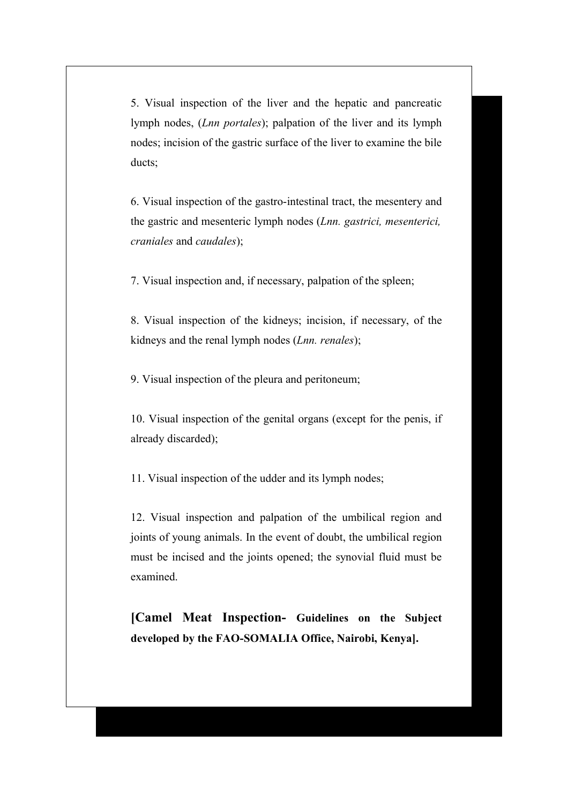5. Visual inspection of the liver and the hepatic and pancreatic lymph nodes, (*Lnn portales*); palpation of the liver and its lymph nodes; incision of the gastric surface of the liver to examine the bile ducts;

6. Visual inspection of the gastro-intestinal tract, the mesentery and the gastric and mesenteric lymph nodes (*Lnn. gastrici, mesenterici, craniales* and *caudales*);

7. Visual inspection and, if necessary, palpation of the spleen;

8. Visual inspection of the kidneys; incision, if necessary, of the kidneys and the renal lymph nodes (*Lnn. renales*);

9. Visual inspection of the pleura and peritoneum;

10. Visual inspection of the genital organs (except for the penis, if already discarded);

11. Visual inspection of the udder and its lymph nodes;

12. Visual inspection and palpation of the umbilical region and joints of young animals. In the event of doubt, the umbilical region must be incised and the joints opened; the synovial fluid must be examined.

**[Camel Meat Inspection- Guidelines on the Subject developed by the FAO-SOMALIA Office, Nairobi, Kenya].**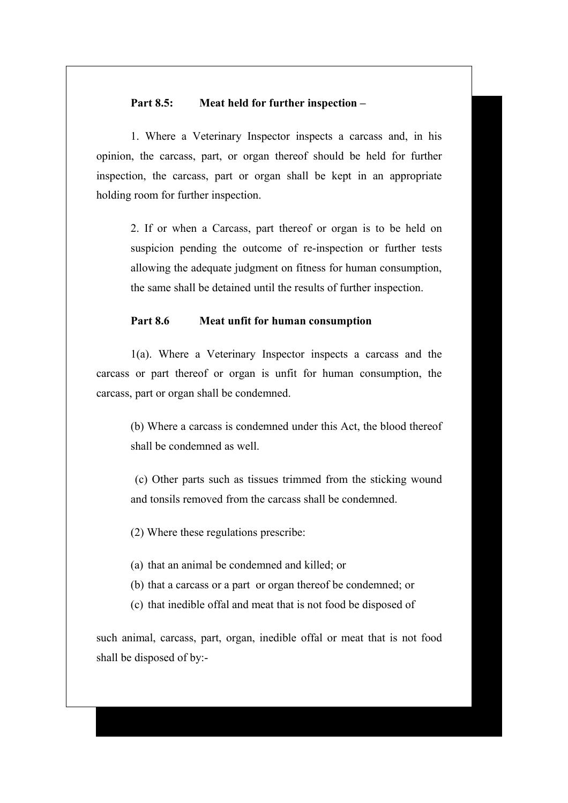# **Part 8.5: Meat held for further inspection –**

1. Where a Veterinary Inspector inspects a carcass and, in his opinion, the carcass, part, or organ thereof should be held for further inspection, the carcass, part or organ shall be kept in an appropriate holding room for further inspection.

2. If or when a Carcass, part thereof or organ is to be held on suspicion pending the outcome of re-inspection or further tests allowing the adequate judgment on fitness for human consumption, the same shall be detained until the results of further inspection.

#### **Part 8.6 Meat unfit for human consumption**

1(a). Where a Veterinary Inspector inspects a carcass and the carcass or part thereof or organ is unfit for human consumption, the carcass, part or organ shall be condemned.

(b) Where a carcass is condemned under this Act, the blood thereof shall be condemned as well.

 (c) Other parts such as tissues trimmed from the sticking wound and tonsils removed from the carcass shall be condemned.

(2) Where these regulations prescribe:

(a) that an animal be condemned and killed; or

- (b) that a carcass or a part or organ thereof be condemned; or
- (c) that inedible offal and meat that is not food be disposed of

such animal, carcass, part, organ, inedible offal or meat that is not food shall be disposed of by:-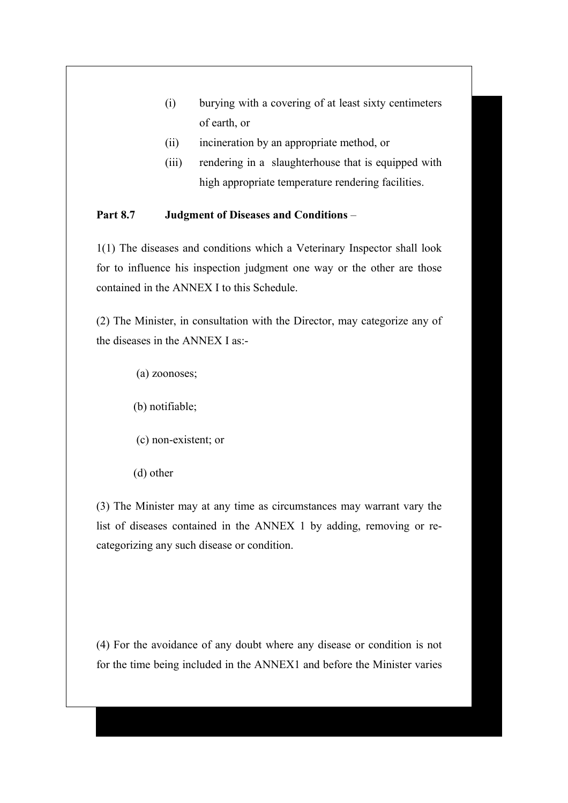- (i) burying with a covering of at least sixty centimeters of earth, or
- (ii) incineration by an appropriate method, or
- (iii) rendering in a slaughterhouse that is equipped with high appropriate temperature rendering facilities.

# **Part 8.7 Judgment of Diseases and Conditions** –

1(1) The diseases and conditions which a Veterinary Inspector shall look for to influence his inspection judgment one way or the other are those contained in the ANNEX I to this Schedule.

(2) The Minister, in consultation with the Director, may categorize any of the diseases in the ANNEX I as:-

- (a) zoonoses;
- (b) notifiable;
- (c) non-existent; or
- (d) other

(3) The Minister may at any time as circumstances may warrant vary the list of diseases contained in the ANNEX 1 by adding, removing or recategorizing any such disease or condition.

(4) For the avoidance of any doubt where any disease or condition is not for the time being included in the ANNEX1 and before the Minister varies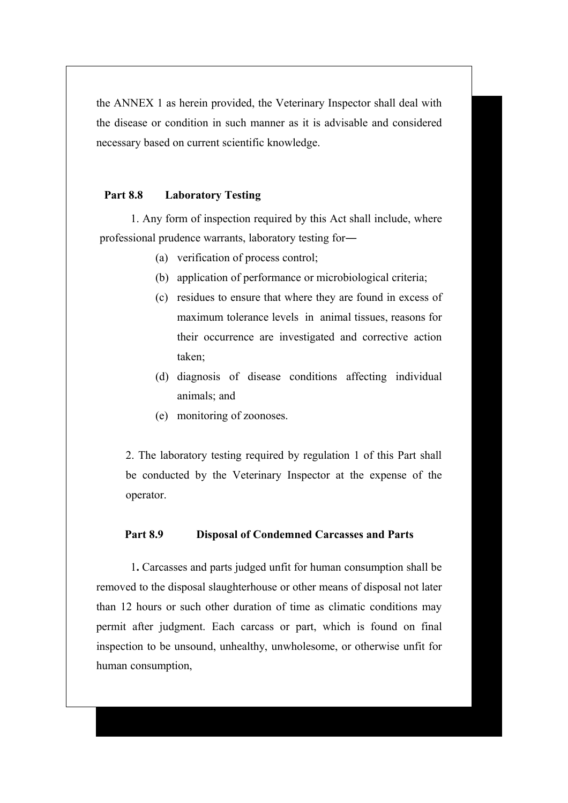the ANNEX 1 as herein provided, the Veterinary Inspector shall deal with the disease or condition in such manner as it is advisable and considered necessary based on current scientific knowledge.

# **Part 8.8 Laboratory Testing**

1. Any form of inspection required by this Act shall include, where professional prudence warrants, laboratory testing for―

- (a) verification of process control;
- (b) application of performance or microbiological criteria;
- (c) residues to ensure that where they are found in excess of maximum tolerance levels in animal tissues, reasons for their occurrence are investigated and corrective action taken;
- (d) diagnosis of disease conditions affecting individual animals; and
- (e) monitoring of zoonoses.

2. The laboratory testing required by regulation 1 of this Part shall be conducted by the Veterinary Inspector at the expense of the operator.

#### **Part 8.9 Disposal of Condemned Carcasses and Parts**

1**.** Carcasses and parts judged unfit for human consumption shall be removed to the disposal slaughterhouse or other means of disposal not later than 12 hours or such other duration of time as climatic conditions may permit after judgment. Each carcass or part, which is found on final inspection to be unsound, unhealthy, unwholesome, or otherwise unfit for human consumption,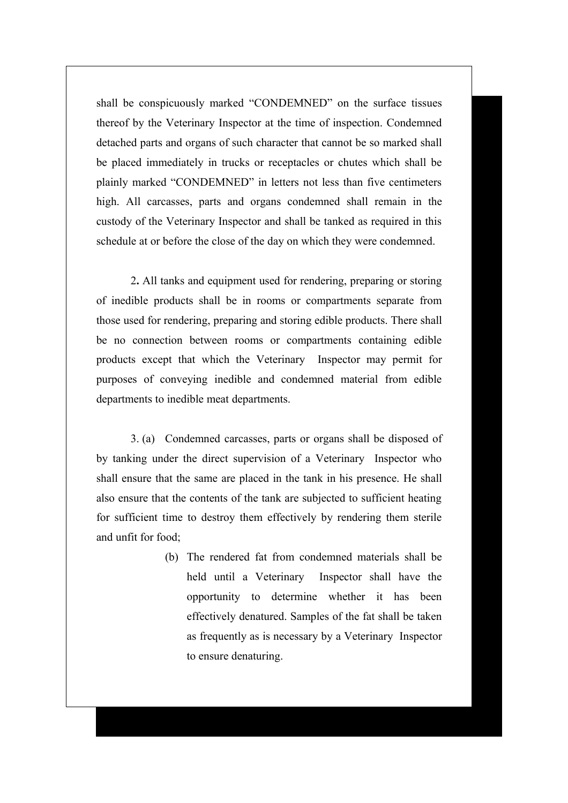shall be conspicuously marked "CONDEMNED" on the surface tissues thereof by the Veterinary Inspector at the time of inspection. Condemned detached parts and organs of such character that cannot be so marked shall be placed immediately in trucks or receptacles or chutes which shall be plainly marked "CONDEMNED" in letters not less than five centimeters high. All carcasses, parts and organs condemned shall remain in the custody of the Veterinary Inspector and shall be tanked as required in this schedule at or before the close of the day on which they were condemned.

2**.** All tanks and equipment used for rendering, preparing or storing of inedible products shall be in rooms or compartments separate from those used for rendering, preparing and storing edible products. There shall be no connection between rooms or compartments containing edible products except that which the Veterinary Inspector may permit for purposes of conveying inedible and condemned material from edible departments to inedible meat departments.

3. (a) Condemned carcasses, parts or organs shall be disposed of by tanking under the direct supervision of a Veterinary Inspector who shall ensure that the same are placed in the tank in his presence. He shall also ensure that the contents of the tank are subjected to sufficient heating for sufficient time to destroy them effectively by rendering them sterile and unfit for food;

> (b) The rendered fat from condemned materials shall be held until a Veterinary Inspector shall have the opportunity to determine whether it has been effectively denatured. Samples of the fat shall be taken as frequently as is necessary by a Veterinary Inspector to ensure denaturing.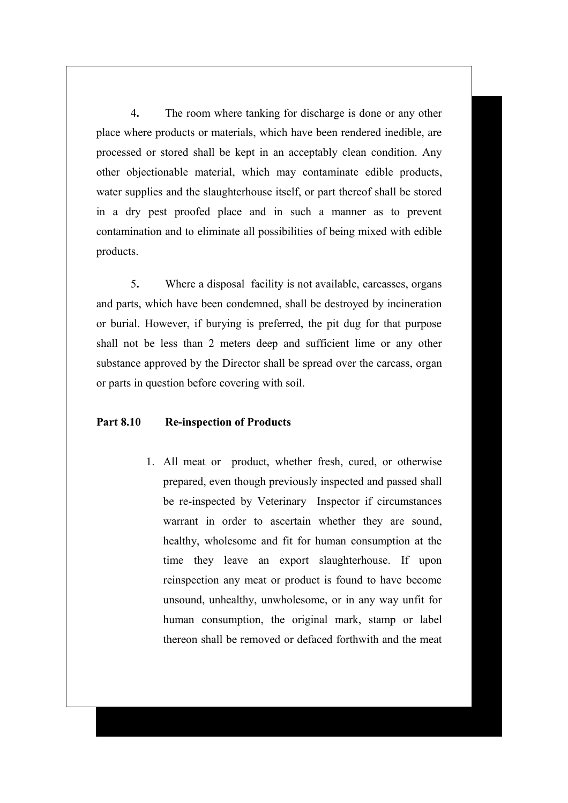4**.** The room where tanking for discharge is done or any other place where products or materials, which have been rendered inedible, are processed or stored shall be kept in an acceptably clean condition. Any other objectionable material, which may contaminate edible products, water supplies and the slaughterhouse itself, or part thereof shall be stored in a dry pest proofed place and in such a manner as to prevent contamination and to eliminate all possibilities of being mixed with edible products.

5**.** Where a disposal facility is not available, carcasses, organs and parts, which have been condemned, shall be destroyed by incineration or burial. However, if burying is preferred, the pit dug for that purpose shall not be less than 2 meters deep and sufficient lime or any other substance approved by the Director shall be spread over the carcass, organ or parts in question before covering with soil.

# **Part 8.10 Re-inspection of Products**

1. All meat or product, whether fresh, cured, or otherwise prepared, even though previously inspected and passed shall be re-inspected by Veterinary Inspector if circumstances warrant in order to ascertain whether they are sound, healthy, wholesome and fit for human consumption at the time they leave an export slaughterhouse. If upon reinspection any meat or product is found to have become unsound, unhealthy, unwholesome, or in any way unfit for human consumption, the original mark, stamp or label thereon shall be removed or defaced forthwith and the meat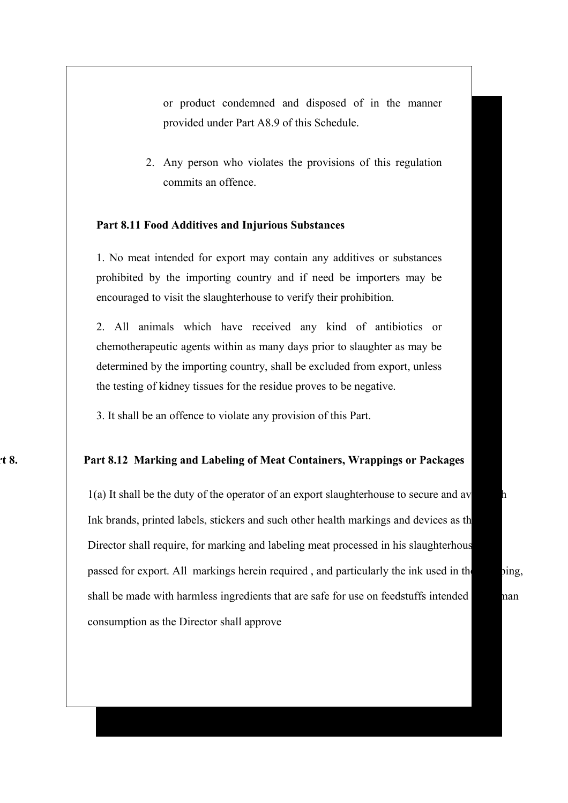or product condemned and disposed of in the manner provided under Part A8.9 of this Schedule.

2. Any person who violates the provisions of this regulation commits an offence.

### **Part 8.11 Food Additives and Injurious Substances**

1. No meat intended for export may contain any additives or substances prohibited by the importing country and if need be importers may be encouraged to visit the slaughterhouse to verify their prohibition.

2. All animals which have received any kind of antibiotics or chemotherapeutic agents within as many days prior to slaughter as may be determined by the importing country, shall be excluded from export, unless the testing of kidney tissues for the residue proves to be negative.

3. It shall be an offence to violate any provision of this Part.

### **Part 8. Part 8.12 Marking and Labeling of Meat Containers, Wrappings or Packages**

 $1(a)$  It shall be the duty of the operator of an export slaughterhouse to secure and av Ink brands, printed labels, stickers and such other health markings and devices as the Director shall require, for marking and labeling meat processed in his slaughterhous passed for export. All markings herein required, and particularly the ink used in the stamping, shall be made with harmless ingredients that are safe for use on feedstuffs intended man consumption as the Director shall approve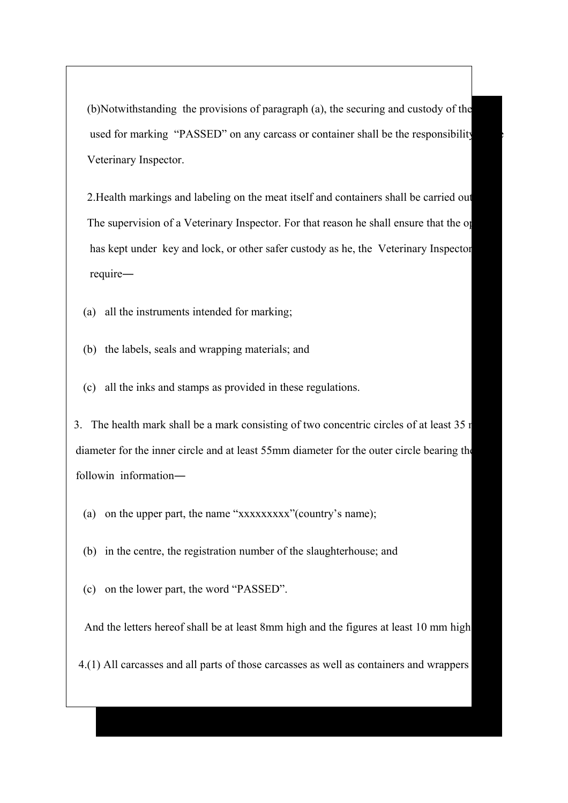$(b)$ Notwithstanding the provisions of paragraph  $(a)$ , the securing and custody of the used for marking "PASSED" on any carcass or container shall be the responsibility Veterinary Inspector.

2. Health markings and labeling on the meat itself and containers shall be carried out The supervision of a Veterinary Inspector. For that reason he shall ensure that the operator. has kept under key and lock, or other safer custody as he, the Veterinary Inspector require―

- (a) all the instruments intended for marking;
- (b) the labels, seals and wrapping materials; and
- (c) all the inks and stamps as provided in these regulations.

3. The health mark shall be a mark consisting of two concentric circles of at least  $35 \text{ m}$  diameter for the inner circle and at least 55mm diameter for the outer circle bearing the followin information―

- (a) on the upper part, the name "xxxxxxxxx"(country's name);
- (b) in the centre, the registration number of the slaughterhouse; and
- (c) on the lower part, the word "PASSED".

And the letters hereof shall be at least 8mm high and the figures at least 10 mm high.

4.(1) All carcasses and all parts of those carcasses as well as containers and wrappers in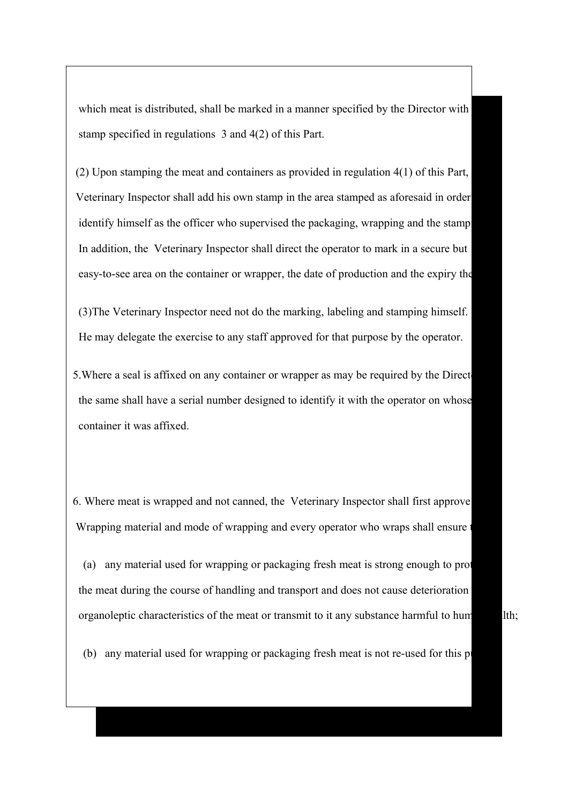which meat is distributed, shall be marked in a manner specified by the Director with stamp specified in regulations 3 and 4(2) of this Part.

(2) Upon stamping the meat and containers as provided in regulation  $4(1)$  of this Part, Veterinary Inspector shall add his own stamp in the area stamped as aforesaid in order identify himself as the officer who supervised the packaging, wrapping and the stamp In addition, the Veterinary Inspector shall direct the operator to mark in a secure but easy-to-see area on the container or wrapper, the date of production and the expiry the

 (3)The Veterinary Inspector need not do the marking, labeling and stamping himself. He may delegate the exercise to any staff approved for that purpose by the operator.

5. Where a seal is affixed on any container or wrapper as may be required by the Direct the same shall have a serial number designed to identify it with the operator on whose container it was affixed.

6. Where meat is wrapped and not canned, the Veterinary Inspector shall first approve Wrapping material and mode of wrapping and every operator who wraps shall ensure

(a) any material used for wrapping or packaging fresh meat is strong enough to prot the meat during the course of handling and transport and does not cause deterioration organoleptic characteristics of the meat or transmit to it any substance harmful to hum

 $(b)$  any material used for wrapping or packaging fresh meat is not re-used for this p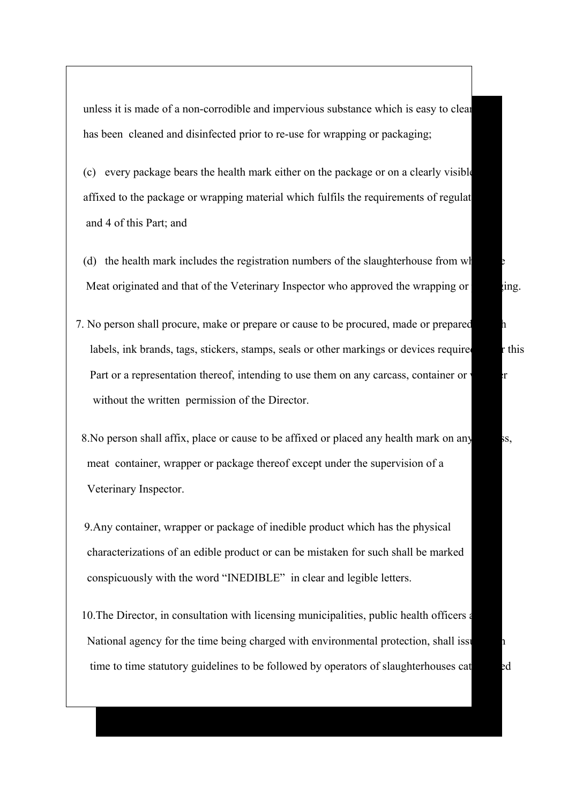unless it is made of a non-corrodible and impervious substance which is easy to clear has been cleaned and disinfected prior to re-use for wrapping or packaging;

- $(c)$  every package bears the health mark either on the package or on a clearly visible affixed to the package or wrapping material which fulfils the requirements of regulat and 4 of this Part; and
- (d) the health mark includes the registration numbers of the slaughterhouse from  $w$ Meat originated and that of the Veterinary Inspector who approved the wrapping or participated and that of the Veterinary Inspector who approved the wrapping or participated and that of the Veterinary Inspector who approve
- 7. No person shall procure, make or prepare or cause to be procured, made or prepared labels, ink brands, tags, stickers, stamps, seals or other markings or devices required under this Part or a representation thereof, intending to use them on any carcass, container or  $\mathbf{r}$  without the written permission of the Director.
	- 8. No person shall affix, place or cause to be affixed or placed any health mark on any ss, meat container, wrapper or package thereof except under the supervision of a Veterinary Inspector.
	- 9.Any container, wrapper or package of inedible product which has the physical characterizations of an edible product or can be mistaken for such shall be marked conspicuously with the word "INEDIBLE" in clear and legible letters.
	- 10. The Director, in consultation with licensing municipalities, public health officers and all and and and and and and all and all and all and all and all and all and all and all and all and all and all and all and all a National agency for the time being charged with environmental protection, shall issue time to time statutory guidelines to be followed by operators of slaughterhouses categorized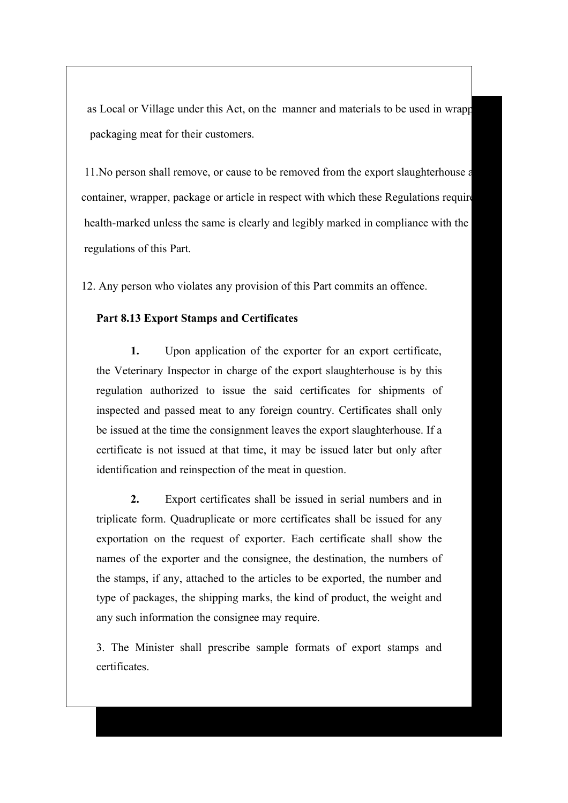as Local or Village under this Act, on the manner and materials to be used in wrapp packaging meat for their customers.

11. No person shall remove, or cause to be removed from the export slaughterhouse a container, wrapper, package or article in respect with which these Regulations require health-marked unless the same is clearly and legibly marked in compliance with the regulations of this Part.

12. Any person who violates any provision of this Part commits an offence.

### **Part 8.13 Export Stamps and Certificates**

**1.** Upon application of the exporter for an export certificate, the Veterinary Inspector in charge of the export slaughterhouse is by this regulation authorized to issue the said certificates for shipments of inspected and passed meat to any foreign country. Certificates shall only be issued at the time the consignment leaves the export slaughterhouse. If a certificate is not issued at that time, it may be issued later but only after identification and reinspection of the meat in question.

**2.** Export certificates shall be issued in serial numbers and in triplicate form. Quadruplicate or more certificates shall be issued for any exportation on the request of exporter. Each certificate shall show the names of the exporter and the consignee, the destination, the numbers of the stamps, if any, attached to the articles to be exported, the number and type of packages, the shipping marks, the kind of product, the weight and any such information the consignee may require.

3. The Minister shall prescribe sample formats of export stamps and certificates.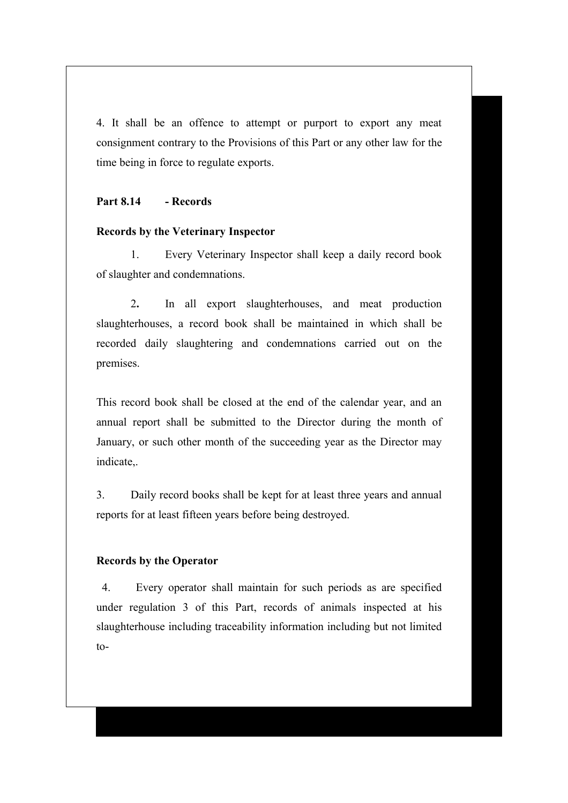4. It shall be an offence to attempt or purport to export any meat consignment contrary to the Provisions of this Part or any other law for the time being in force to regulate exports.

### **Part 8.14 - Records**

### **Records by the Veterinary Inspector**

1. Every Veterinary Inspector shall keep a daily record book of slaughter and condemnations.

2**.** In all export slaughterhouses, and meat production slaughterhouses, a record book shall be maintained in which shall be recorded daily slaughtering and condemnations carried out on the premises.

This record book shall be closed at the end of the calendar year, and an annual report shall be submitted to the Director during the month of January, or such other month of the succeeding year as the Director may indicate,.

3. Daily record books shall be kept for at least three years and annual reports for at least fifteen years before being destroyed.

### **Records by the Operator**

4. Every operator shall maintain for such periods as are specified under regulation 3 of this Part, records of animals inspected at his slaughterhouse including traceability information including but not limited  $to-$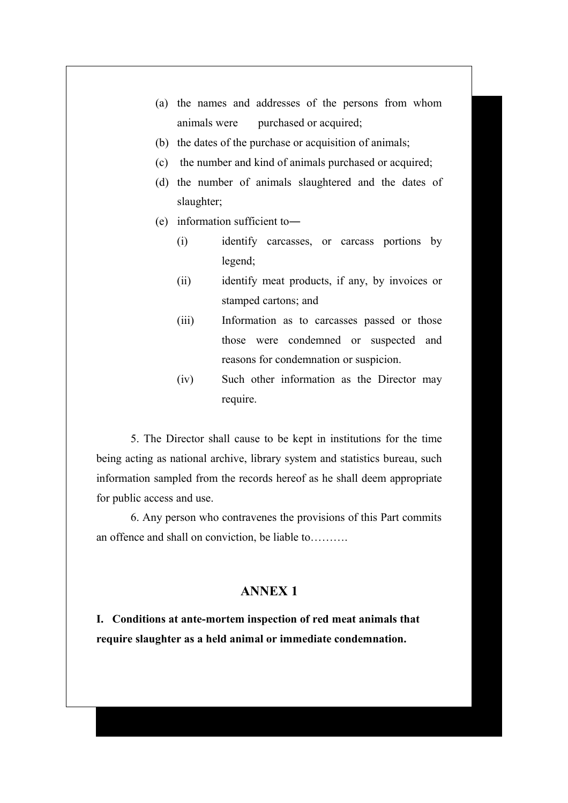- (a) the names and addresses of the persons from whom animals were purchased or acquired;
- (b) the dates of the purchase or acquisition of animals;
- (c) the number and kind of animals purchased or acquired;
- (d) the number of animals slaughtered and the dates of slaughter;
- (e) information sufficient to―
	- (i) identify carcasses, or carcass portions by legend;
	- (ii) identify meat products, if any, by invoices or stamped cartons; and
	- (iii) Information as to carcasses passed or those those were condemned or suspected and reasons for condemnation or suspicion.
	- (iv) Such other information as the Director may require.

5. The Director shall cause to be kept in institutions for the time being acting as national archive, library system and statistics bureau, such information sampled from the records hereof as he shall deem appropriate for public access and use.

6. Any person who contravenes the provisions of this Part commits an offence and shall on conviction, be liable to……….

# **ANNEX 1**

**I. Conditions at ante-mortem inspection of red meat animals that require slaughter as a held animal or immediate condemnation.**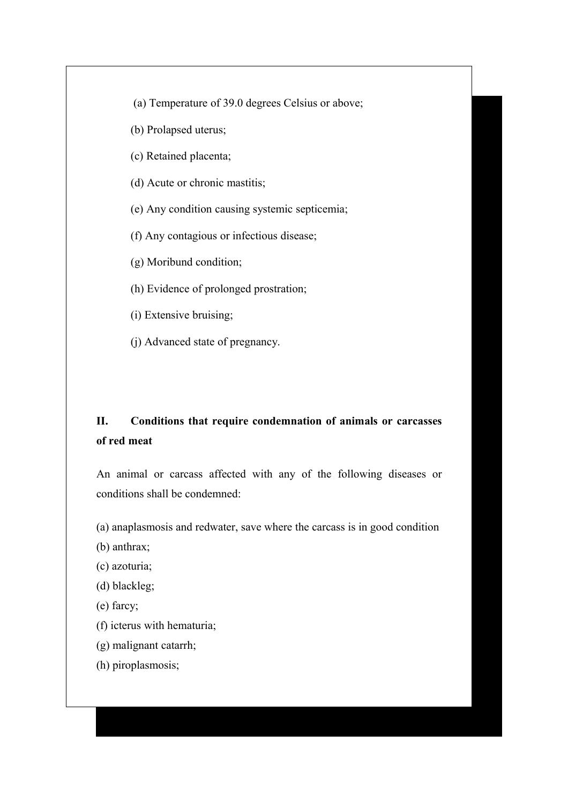- (a) Temperature of 39.0 degrees Celsius or above;
- (b) Prolapsed uterus;
- (c) Retained placenta;
- (d) Acute or chronic mastitis;
- (e) Any condition causing systemic septicemia;
- (f) Any contagious or infectious disease;
- (g) Moribund condition;
- (h) Evidence of prolonged prostration;
- (i) Extensive bruising;
- (j) Advanced state of pregnancy.

# **II. Conditions that require condemnation of animals or carcasses of red meat**

An animal or carcass affected with any of the following diseases or conditions shall be condemned:

- (a) anaplasmosis and redwater, save where the carcass is in good condition
- (b) anthrax;
- (c) azoturia;
- (d) blackleg;
- (e) farcy;
- (f) icterus with hematuria;
- (g) malignant catarrh;
- (h) piroplasmosis;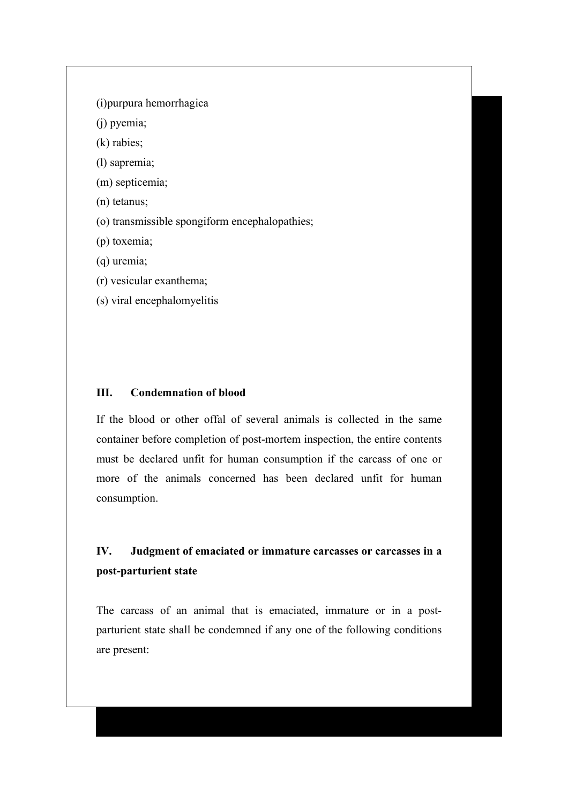(i)purpura hemorrhagica

(j) pyemia;

(k) rabies;

(l) sapremia;

(m) septicemia;

(n) tetanus;

(o) transmissible spongiform encephalopathies;

(p) toxemia;

(q) uremia;

(r) vesicular exanthema;

(s) viral encephalomyelitis

## **III. Condemnation of blood**

If the blood or other offal of several animals is collected in the same container before completion of post-mortem inspection, the entire contents must be declared unfit for human consumption if the carcass of one or more of the animals concerned has been declared unfit for human consumption.

# **IV. Judgment of emaciated or immature carcasses or carcasses in a post-parturient state**

The carcass of an animal that is emaciated, immature or in a postparturient state shall be condemned if any one of the following conditions are present: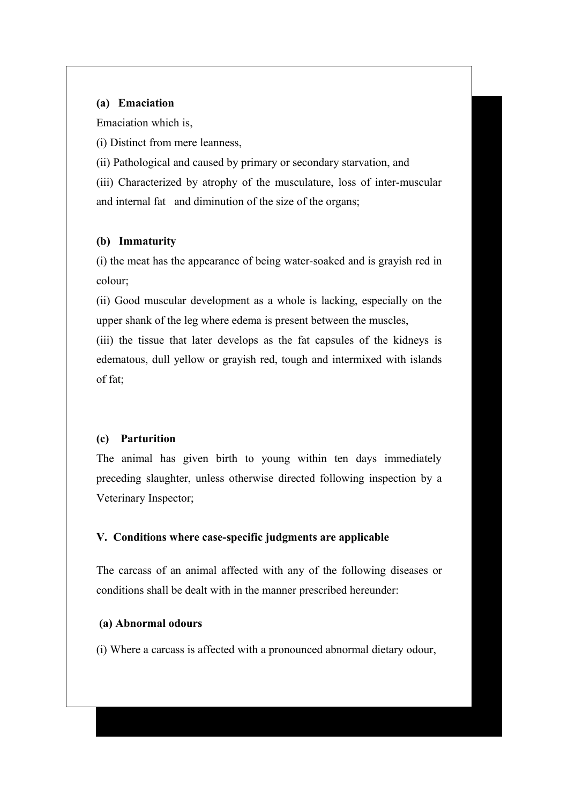## **(a) Emaciation**

Emaciation which is,

(i) Distinct from mere leanness,

(ii) Pathological and caused by primary or secondary starvation, and

(iii) Characterized by atrophy of the musculature, loss of inter-muscular and internal fat and diminution of the size of the organs;

### **(b) Immaturity**

(i) the meat has the appearance of being water-soaked and is grayish red in colour;

(ii) Good muscular development as a whole is lacking, especially on the upper shank of the leg where edema is present between the muscles,

(iii) the tissue that later develops as the fat capsules of the kidneys is edematous, dull yellow or grayish red, tough and intermixed with islands of fat;

## **(c) Parturition**

The animal has given birth to young within ten days immediately preceding slaughter, unless otherwise directed following inspection by a Veterinary Inspector;

### **V. Conditions where case-specific judgments are applicable**

The carcass of an animal affected with any of the following diseases or conditions shall be dealt with in the manner prescribed hereunder:

### **(a) Abnormal odours**

(i) Where a carcass is affected with a pronounced abnormal dietary odour,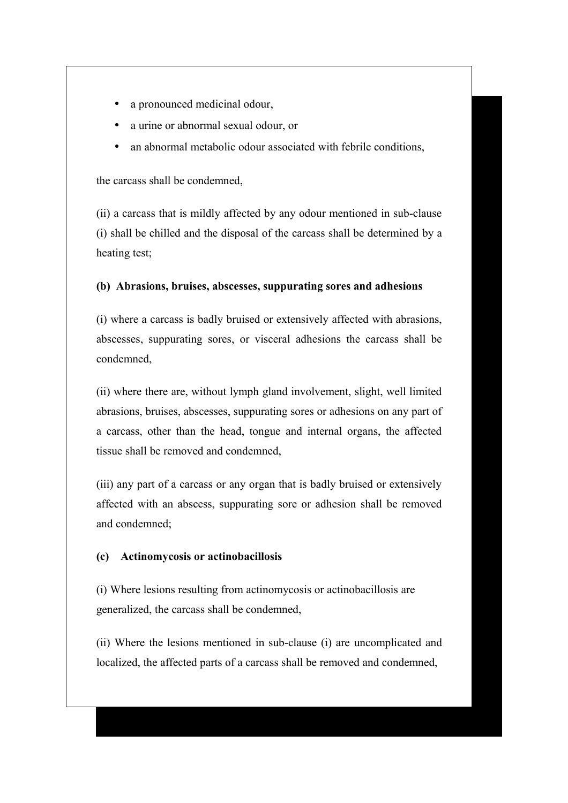- a pronounced medicinal odour,
- a urine or abnormal sexual odour, or
- an abnormal metabolic odour associated with febrile conditions,

the carcass shall be condemned,

(ii) a carcass that is mildly affected by any odour mentioned in sub-clause (i) shall be chilled and the disposal of the carcass shall be determined by a heating test;

### **(b) Abrasions, bruises, abscesses, suppurating sores and adhesions**

(i) where a carcass is badly bruised or extensively affected with abrasions, abscesses, suppurating sores, or visceral adhesions the carcass shall be condemned,

(ii) where there are, without lymph gland involvement, slight, well limited abrasions, bruises, abscesses, suppurating sores or adhesions on any part of a carcass, other than the head, tongue and internal organs, the affected tissue shall be removed and condemned,

(iii) any part of a carcass or any organ that is badly bruised or extensively affected with an abscess, suppurating sore or adhesion shall be removed and condemned;

#### **(c) Actinomycosis or actinobacillosis**

(i) Where lesions resulting from actinomycosis or actinobacillosis are generalized, the carcass shall be condemned,

(ii) Where the lesions mentioned in sub-clause (i) are uncomplicated and localized, the affected parts of a carcass shall be removed and condemned,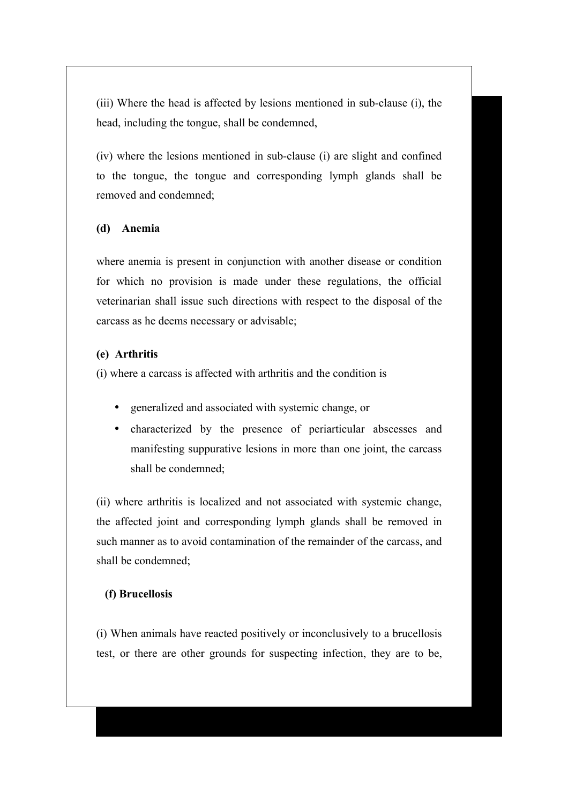(iii) Where the head is affected by lesions mentioned in sub-clause (i), the head, including the tongue, shall be condemned,

(iv) where the lesions mentioned in sub-clause (i) are slight and confined to the tongue, the tongue and corresponding lymph glands shall be removed and condemned;

### **(d) Anemia**

where anemia is present in conjunction with another disease or condition for which no provision is made under these regulations, the official veterinarian shall issue such directions with respect to the disposal of the carcass as he deems necessary or advisable;

### **(e) Arthritis**

(i) where a carcass is affected with arthritis and the condition is

- generalized and associated with systemic change, or
- characterized by the presence of periarticular abscesses and manifesting suppurative lesions in more than one joint, the carcass shall be condemned;

(ii) where arthritis is localized and not associated with systemic change, the affected joint and corresponding lymph glands shall be removed in such manner as to avoid contamination of the remainder of the carcass, and shall be condemned;

### **(f) Brucellosis**

(i) When animals have reacted positively or inconclusively to a brucellosis test, or there are other grounds for suspecting infection, they are to be,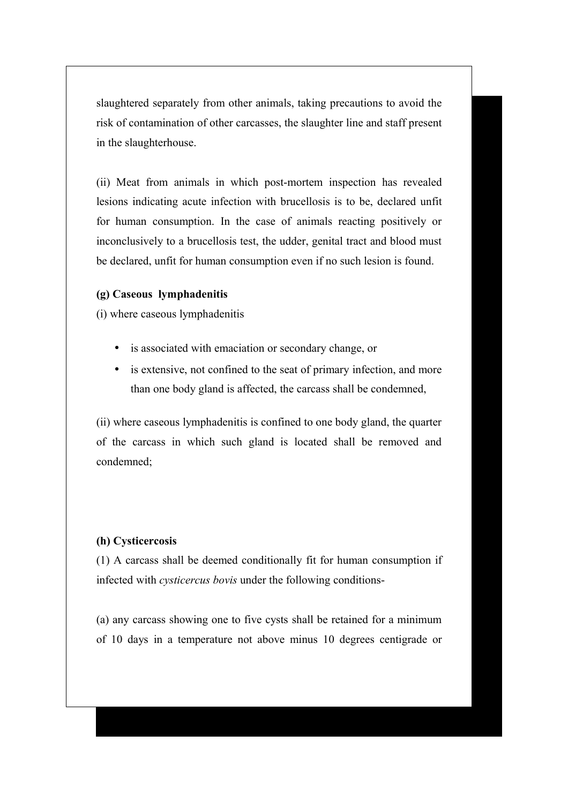slaughtered separately from other animals, taking precautions to avoid the risk of contamination of other carcasses, the slaughter line and staff present in the slaughterhouse.

(ii) Meat from animals in which post-mortem inspection has revealed lesions indicating acute infection with brucellosis is to be, declared unfit for human consumption. In the case of animals reacting positively or inconclusively to a brucellosis test, the udder, genital tract and blood must be declared, unfit for human consumption even if no such lesion is found.

#### **(g) Caseous lymphadenitis**

(i) where caseous lymphadenitis

- is associated with emaciation or secondary change, or
- is extensive, not confined to the seat of primary infection, and more than one body gland is affected, the carcass shall be condemned,

(ii) where caseous lymphadenitis is confined to one body gland, the quarter of the carcass in which such gland is located shall be removed and condemned;

#### **(h) Cysticercosis**

(1) A carcass shall be deemed conditionally fit for human consumption if infected with *cysticercus bovis* under the following conditions-

(a) any carcass showing one to five cysts shall be retained for a minimum of 10 days in a temperature not above minus 10 degrees centigrade or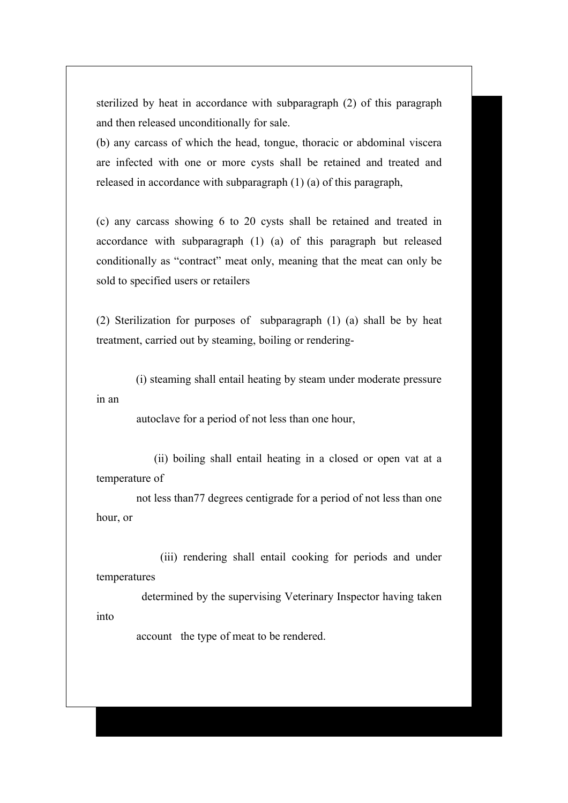sterilized by heat in accordance with subparagraph (2) of this paragraph and then released unconditionally for sale.

(b) any carcass of which the head, tongue, thoracic or abdominal viscera are infected with one or more cysts shall be retained and treated and released in accordance with subparagraph (1) (a) of this paragraph,

(c) any carcass showing 6 to 20 cysts shall be retained and treated in accordance with subparagraph (1) (a) of this paragraph but released conditionally as "contract" meat only, meaning that the meat can only be sold to specified users or retailers

(2) Sterilization for purposes of subparagraph (1) (a) shall be by heat treatment, carried out by steaming, boiling or rendering-

 (i) steaming shall entail heating by steam under moderate pressure in an

autoclave for a period of not less than one hour,

 (ii) boiling shall entail heating in a closed or open vat at a temperature of

 not less than77 degrees centigrade for a period of not less than one hour, or

 (iii) rendering shall entail cooking for periods and under temperatures

 determined by the supervising Veterinary Inspector having taken into

account the type of meat to be rendered.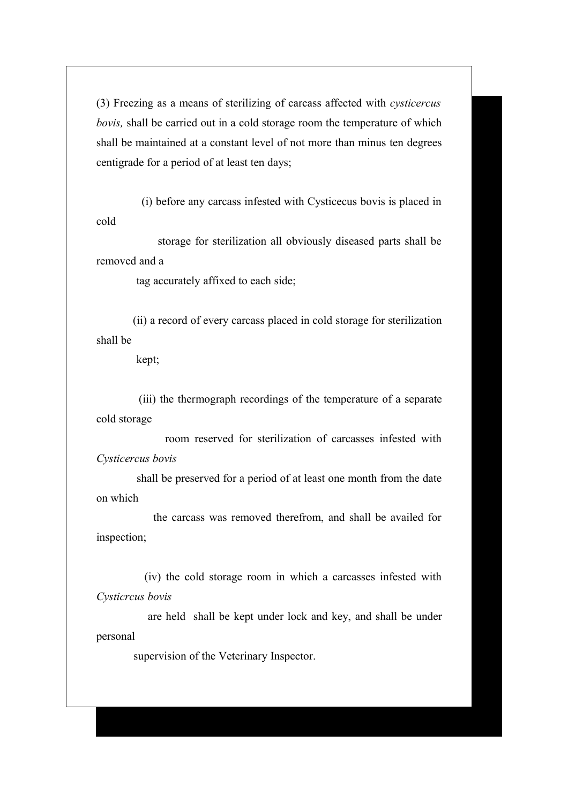(3) Freezing as a means of sterilizing of carcass affected with *cysticercus bovis,* shall be carried out in a cold storage room the temperature of which shall be maintained at a constant level of not more than minus ten degrees centigrade for a period of at least ten days;

 (i) before any carcass infested with Cysticecus bovis is placed in cold

 storage for sterilization all obviously diseased parts shall be removed and a

tag accurately affixed to each side;

 (ii) a record of every carcass placed in cold storage for sterilization shall be

kept;

 (iii) the thermograph recordings of the temperature of a separate cold storage

 room reserved for sterilization of carcasses infested with *Cysticercus bovis*

 shall be preserved for a period of at least one month from the date on which

 the carcass was removed therefrom, and shall be availed for inspection;

 (iv) the cold storage room in which a carcasses infested with *Cysticrcus bovis*

 are held shall be kept under lock and key, and shall be under personal

supervision of the Veterinary Inspector.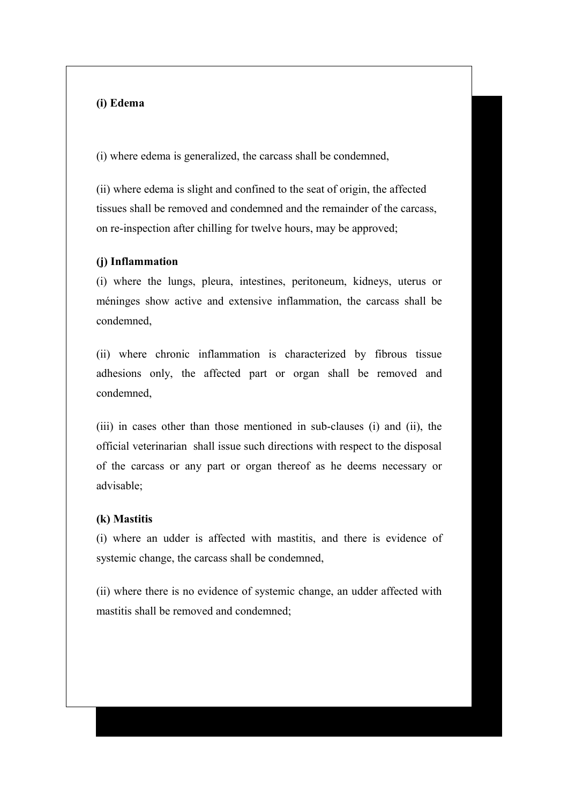## **(i) Edema**

(i) where edema is generalized, the carcass shall be condemned,

(ii) where edema is slight and confined to the seat of origin, the affected tissues shall be removed and condemned and the remainder of the carcass, on re-inspection after chilling for twelve hours, may be approved;

#### **(j) Inflammation**

(i) where the lungs, pleura, intestines, peritoneum, kidneys, uterus or méninges show active and extensive inflammation, the carcass shall be condemned,

(ii) where chronic inflammation is characterized by fibrous tissue adhesions only, the affected part or organ shall be removed and condemned,

(iii) in cases other than those mentioned in sub-clauses (i) and (ii), the official veterinarian shall issue such directions with respect to the disposal of the carcass or any part or organ thereof as he deems necessary or advisable;

#### **(k) Mastitis**

(i) where an udder is affected with mastitis, and there is evidence of systemic change, the carcass shall be condemned,

(ii) where there is no evidence of systemic change, an udder affected with mastitis shall be removed and condemned;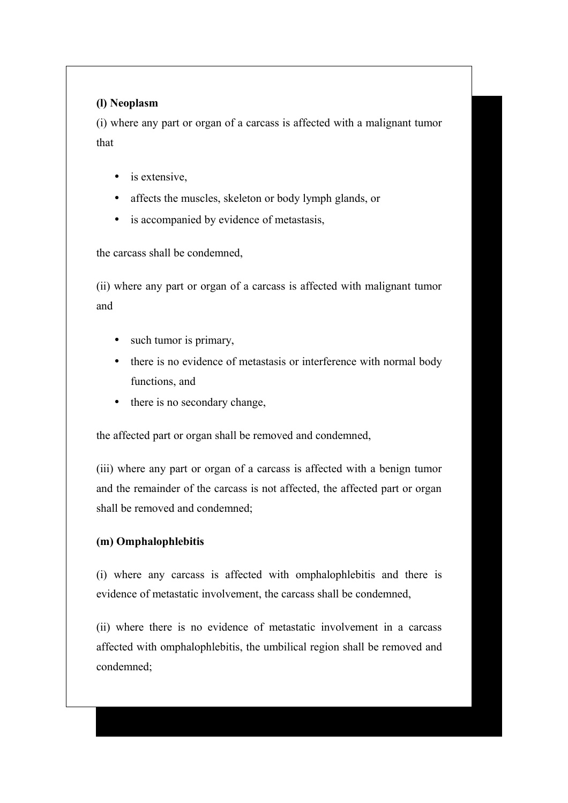## **(l) Neoplasm**

(i) where any part or organ of a carcass is affected with a malignant tumor that

- is extensive,
- affects the muscles, skeleton or body lymph glands, or
- is accompanied by evidence of metastasis,

the carcass shall be condemned,

(ii) where any part or organ of a carcass is affected with malignant tumor and

- such tumor is primary,
- there is no evidence of metastasis or interference with normal body functions, and
- there is no secondary change,

the affected part or organ shall be removed and condemned,

(iii) where any part or organ of a carcass is affected with a benign tumor and the remainder of the carcass is not affected, the affected part or organ shall be removed and condemned;

### **(m) Omphalophlebitis**

(i) where any carcass is affected with omphalophlebitis and there is evidence of metastatic involvement, the carcass shall be condemned,

(ii) where there is no evidence of metastatic involvement in a carcass affected with omphalophlebitis, the umbilical region shall be removed and condemned;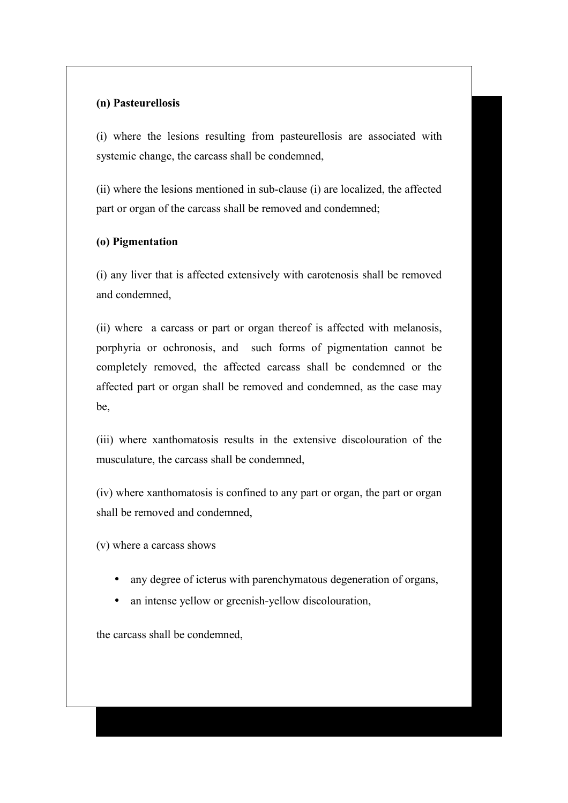## **(n) Pasteurellosis**

(i) where the lesions resulting from pasteurellosis are associated with systemic change, the carcass shall be condemned,

(ii) where the lesions mentioned in sub-clause (i) are localized, the affected part or organ of the carcass shall be removed and condemned;

### **(o) Pigmentation**

(i) any liver that is affected extensively with carotenosis shall be removed and condemned,

(ii) where a carcass or part or organ thereof is affected with melanosis, porphyria or ochronosis, and such forms of pigmentation cannot be completely removed, the affected carcass shall be condemned or the affected part or organ shall be removed and condemned, as the case may be,

(iii) where xanthomatosis results in the extensive discolouration of the musculature, the carcass shall be condemned,

(iv) where xanthomatosis is confined to any part or organ, the part or organ shall be removed and condemned,

(v) where a carcass shows

- any degree of icterus with parenchymatous degeneration of organs,
- an intense yellow or greenish-yellow discolouration,

the carcass shall be condemned,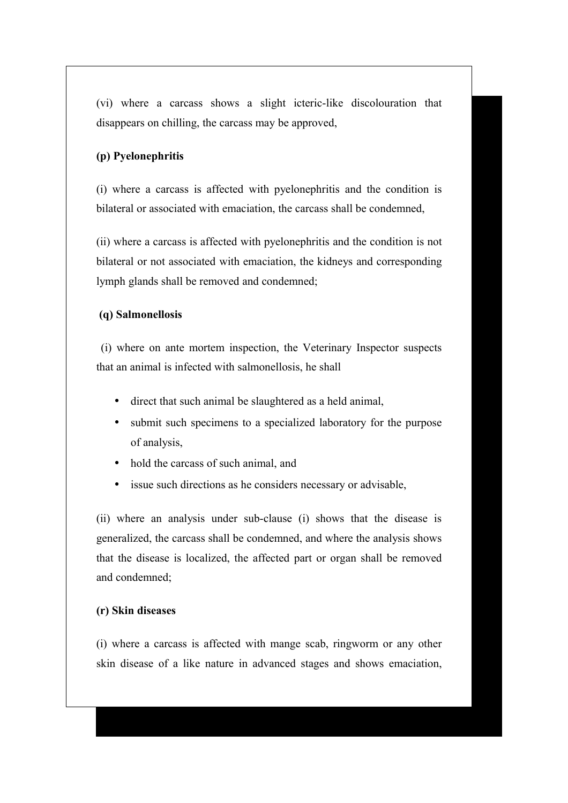(vi) where a carcass shows a slight icteric-like discolouration that disappears on chilling, the carcass may be approved,

### **(p) Pyelonephritis**

(i) where a carcass is affected with pyelonephritis and the condition is bilateral or associated with emaciation, the carcass shall be condemned,

(ii) where a carcass is affected with pyelonephritis and the condition is not bilateral or not associated with emaciation, the kidneys and corresponding lymph glands shall be removed and condemned;

### **(q) Salmonellosis**

 (i) where on ante mortem inspection, the Veterinary Inspector suspects that an animal is infected with salmonellosis, he shall

- direct that such animal be slaughtered as a held animal,
- submit such specimens to a specialized laboratory for the purpose of analysis,
- hold the carcass of such animal, and
- issue such directions as he considers necessary or advisable,

(ii) where an analysis under sub-clause (i) shows that the disease is generalized, the carcass shall be condemned, and where the analysis shows that the disease is localized, the affected part or organ shall be removed and condemned;

### **(r) Skin diseases**

(i) where a carcass is affected with mange scab, ringworm or any other skin disease of a like nature in advanced stages and shows emaciation,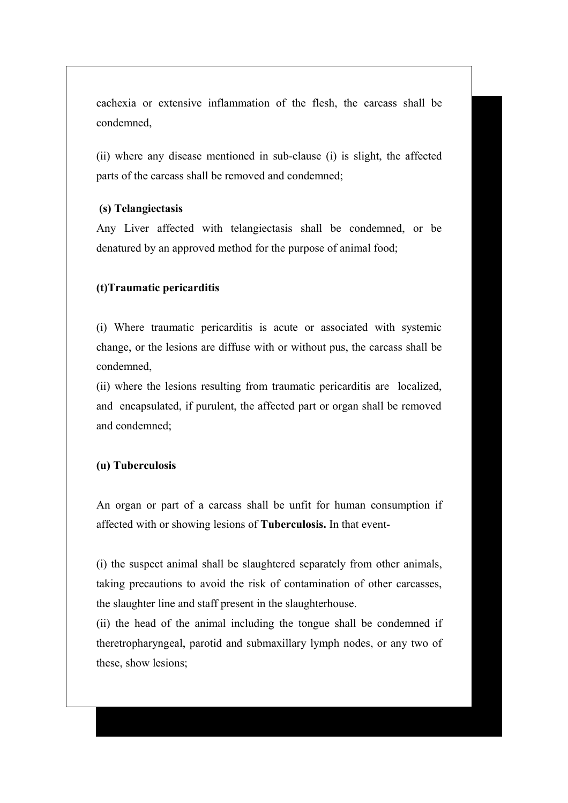cachexia or extensive inflammation of the flesh, the carcass shall be condemned,

(ii) where any disease mentioned in sub-clause (i) is slight, the affected parts of the carcass shall be removed and condemned;

### **(s) Telangiectasis**

Any Liver affected with telangiectasis shall be condemned, or be denatured by an approved method for the purpose of animal food;

### **(t)Traumatic pericarditis**

(i) Where traumatic pericarditis is acute or associated with systemic change, or the lesions are diffuse with or without pus, the carcass shall be condemned,

(ii) where the lesions resulting from traumatic pericarditis are localized, and encapsulated, if purulent, the affected part or organ shall be removed and condemned;

### **(u) Tuberculosis**

An organ or part of a carcass shall be unfit for human consumption if affected with or showing lesions of **Tuberculosis.** In that event-

(i) the suspect animal shall be slaughtered separately from other animals, taking precautions to avoid the risk of contamination of other carcasses, the slaughter line and staff present in the slaughterhouse.

(ii) the head of the animal including the tongue shall be condemned if theretropharyngeal, parotid and submaxillary lymph nodes, or any two of these, show lesions;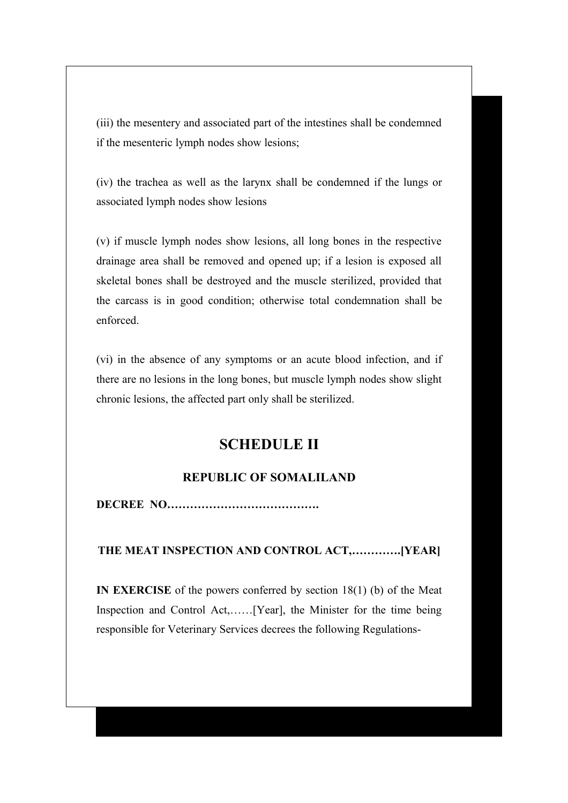(iii) the mesentery and associated part of the intestines shall be condemned if the mesenteric lymph nodes show lesions;

(iv) the trachea as well as the larynx shall be condemned if the lungs or associated lymph nodes show lesions

(v) if muscle lymph nodes show lesions, all long bones in the respective drainage area shall be removed and opened up; if a lesion is exposed all skeletal bones shall be destroyed and the muscle sterilized, provided that the carcass is in good condition; otherwise total condemnation shall be enforced.

(vi) in the absence of any symptoms or an acute blood infection, and if there are no lesions in the long bones, but muscle lymph nodes show slight chronic lesions, the affected part only shall be sterilized.

# **SCHEDULE II**

# **REPUBLIC OF SOMALILAND**

**DECREE NO………………………………….**

### **THE MEAT INSPECTION AND CONTROL ACT,………….[YEAR]**

**IN EXERCISE** of the powers conferred by section 18(1) (b) of the Meat Inspection and Control Act,……[Year], the Minister for the time being responsible for Veterinary Services decrees the following Regulations-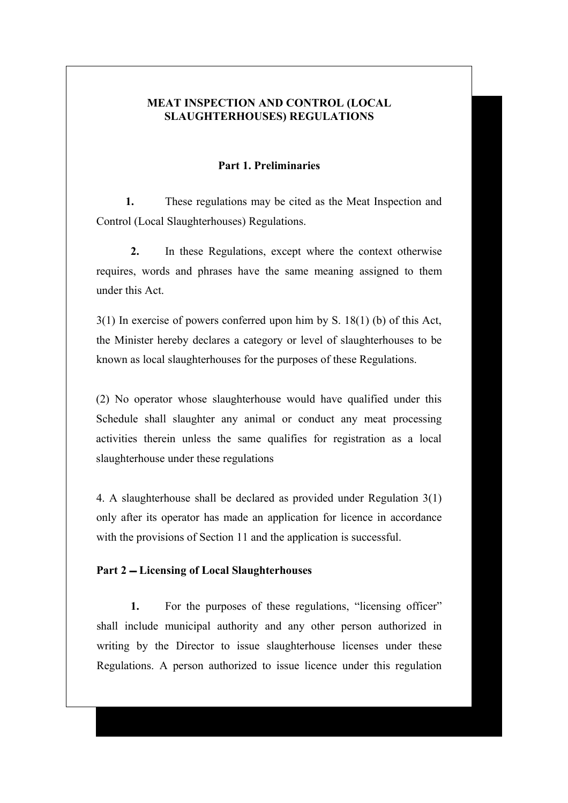### **MEAT INSPECTION AND CONTROL (LOCAL SLAUGHTERHOUSES) REGULATIONS**

#### **Part 1. Preliminaries**

**1.** These regulations may be cited as the Meat Inspection and Control (Local Slaughterhouses) Regulations.

**2.** In these Regulations, except where the context otherwise requires, words and phrases have the same meaning assigned to them under this Act.

3(1) In exercise of powers conferred upon him by S. 18(1) (b) of this Act, the Minister hereby declares a category or level of slaughterhouses to be known as local slaughterhouses for the purposes of these Regulations.

(2) No operator whose slaughterhouse would have qualified under this Schedule shall slaughter any animal or conduct any meat processing activities therein unless the same qualifies for registration as a local slaughterhouse under these regulations

4. A slaughterhouse shall be declared as provided under Regulation 3(1) only after its operator has made an application for licence in accordance with the provisions of Section 11 and the application is successful.

### **Part 2 Licensing of Local Slaughterhouses**

**1.** For the purposes of these regulations, "licensing officer" shall include municipal authority and any other person authorized in writing by the Director to issue slaughterhouse licenses under these Regulations. A person authorized to issue licence under this regulation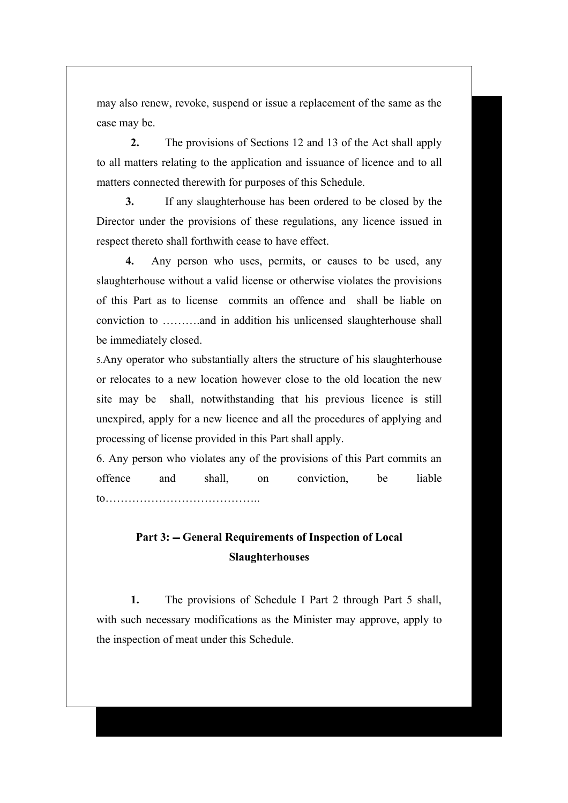may also renew, revoke, suspend or issue a replacement of the same as the case may be.

**2.** The provisions of Sections 12 and 13 of the Act shall apply to all matters relating to the application and issuance of licence and to all matters connected therewith for purposes of this Schedule.

**3.** If any slaughterhouse has been ordered to be closed by the Director under the provisions of these regulations, any licence issued in respect thereto shall forthwith cease to have effect.

**4.** Any person who uses, permits, or causes to be used, any slaughterhouse without a valid license or otherwise violates the provisions of this Part as to license commits an offence and shall be liable on conviction to ……….and in addition his unlicensed slaughterhouse shall be immediately closed.

5.Any operator who substantially alters the structure of his slaughterhouse or relocates to a new location however close to the old location the new site may be shall, notwithstanding that his previous licence is still unexpired, apply for a new licence and all the procedures of applying and processing of license provided in this Part shall apply.

6. Any person who violates any of the provisions of this Part commits an offence and shall, on conviction, be liable to…………………………………..

# Part 3:  $-$  General Requirements of Inspection of Local **Slaughterhouses**

**1.** The provisions of Schedule I Part 2 through Part 5 shall, with such necessary modifications as the Minister may approve, apply to the inspection of meat under this Schedule.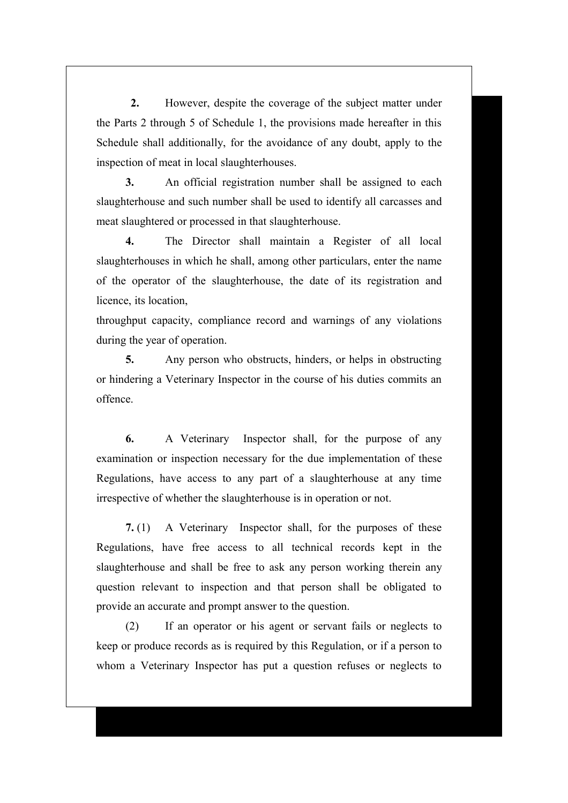**2.** However, despite the coverage of the subject matter under the Parts 2 through 5 of Schedule 1, the provisions made hereafter in this Schedule shall additionally, for the avoidance of any doubt, apply to the inspection of meat in local slaughterhouses.

**3.** An official registration number shall be assigned to each slaughterhouse and such number shall be used to identify all carcasses and meat slaughtered or processed in that slaughterhouse.

**4.** The Director shall maintain a Register of all local slaughterhouses in which he shall, among other particulars, enter the name of the operator of the slaughterhouse, the date of its registration and licence, its location,

throughput capacity, compliance record and warnings of any violations during the year of operation.

**5.** Any person who obstructs, hinders, or helps in obstructing or hindering a Veterinary Inspector in the course of his duties commits an offence.

**6.** A Veterinary Inspector shall, for the purpose of any examination or inspection necessary for the due implementation of these Regulations, have access to any part of a slaughterhouse at any time irrespective of whether the slaughterhouse is in operation or not.

**7.** (1) A Veterinary Inspector shall, for the purposes of these Regulations, have free access to all technical records kept in the slaughterhouse and shall be free to ask any person working therein any question relevant to inspection and that person shall be obligated to provide an accurate and prompt answer to the question.

(2) If an operator or his agent or servant fails or neglects to keep or produce records as is required by this Regulation, or if a person to whom a Veterinary Inspector has put a question refuses or neglects to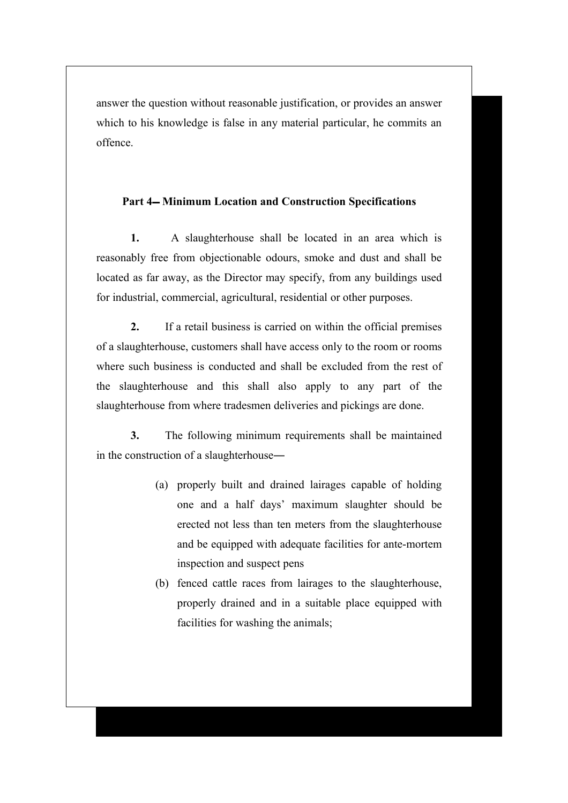answer the question without reasonable justification, or provides an answer which to his knowledge is false in any material particular, he commits an offence.

#### Part 4– Minimum Location and Construction Specifications

**1.** A slaughterhouse shall be located in an area which is reasonably free from objectionable odours, smoke and dust and shall be located as far away, as the Director may specify, from any buildings used for industrial, commercial, agricultural, residential or other purposes.

**2.** If a retail business is carried on within the official premises of a slaughterhouse, customers shall have access only to the room or rooms where such business is conducted and shall be excluded from the rest of the slaughterhouse and this shall also apply to any part of the slaughterhouse from where tradesmen deliveries and pickings are done.

**3.** The following minimum requirements shall be maintained in the construction of a slaughterhouse―

- (a) properly built and drained lairages capable of holding one and a half days' maximum slaughter should be erected not less than ten meters from the slaughterhouse and be equipped with adequate facilities for ante-mortem inspection and suspect pens
- (b) fenced cattle races from lairages to the slaughterhouse, properly drained and in a suitable place equipped with facilities for washing the animals;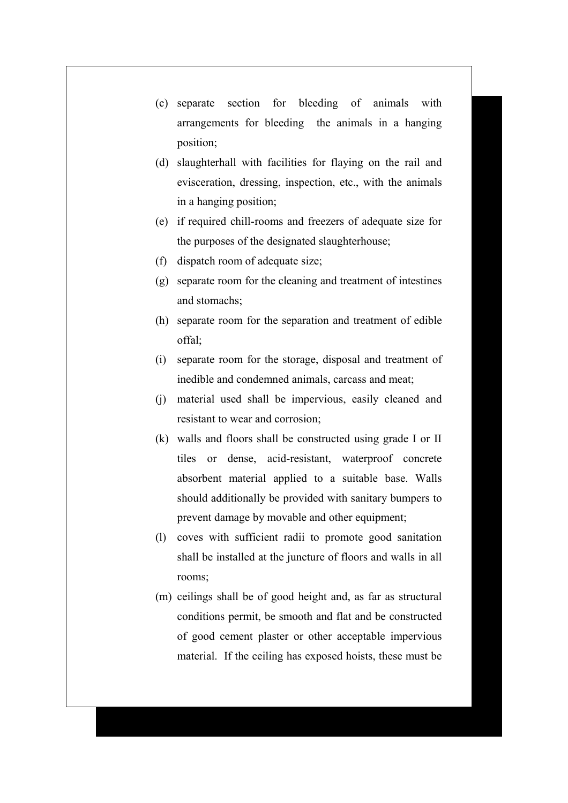- (c) separate section for bleeding of animals with arrangements for bleeding the animals in a hanging position;
- (d) slaughterhall with facilities for flaying on the rail and evisceration, dressing, inspection, etc., with the animals in a hanging position;
- (e) if required chill-rooms and freezers of adequate size for the purposes of the designated slaughterhouse;
- (f) dispatch room of adequate size;
- (g) separate room for the cleaning and treatment of intestines and stomachs;
- (h) separate room for the separation and treatment of edible offal;
- (i) separate room for the storage, disposal and treatment of inedible and condemned animals, carcass and meat;
- (j) material used shall be impervious, easily cleaned and resistant to wear and corrosion;
- (k) walls and floors shall be constructed using grade I or II tiles or dense, acid-resistant, waterproof concrete absorbent material applied to a suitable base. Walls should additionally be provided with sanitary bumpers to prevent damage by movable and other equipment;
- (l) coves with sufficient radii to promote good sanitation shall be installed at the juncture of floors and walls in all rooms;
- (m) ceilings shall be of good height and, as far as structural conditions permit, be smooth and flat and be constructed of good cement plaster or other acceptable impervious material. If the ceiling has exposed hoists, these must be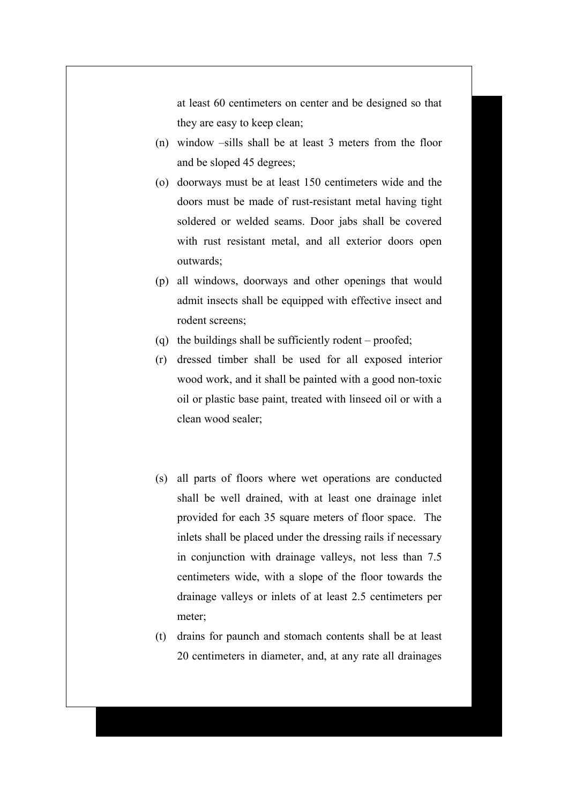at least 60 centimeters on center and be designed so that they are easy to keep clean;

- (n) window –sills shall be at least 3 meters from the floor and be sloped 45 degrees;
- (o) doorways must be at least 150 centimeters wide and the doors must be made of rust-resistant metal having tight soldered or welded seams. Door jabs shall be covered with rust resistant metal, and all exterior doors open outwards;
- (p) all windows, doorways and other openings that would admit insects shall be equipped with effective insect and rodent screens;
- (q) the buildings shall be sufficiently rodent proofed;
- (r) dressed timber shall be used for all exposed interior wood work, and it shall be painted with a good non-toxic oil or plastic base paint, treated with linseed oil or with a clean wood sealer;
- (s) all parts of floors where wet operations are conducted shall be well drained, with at least one drainage inlet provided for each 35 square meters of floor space. The inlets shall be placed under the dressing rails if necessary in conjunction with drainage valleys, not less than 7.5 centimeters wide, with a slope of the floor towards the drainage valleys or inlets of at least 2.5 centimeters per meter;
- (t) drains for paunch and stomach contents shall be at least 20 centimeters in diameter, and, at any rate all drainages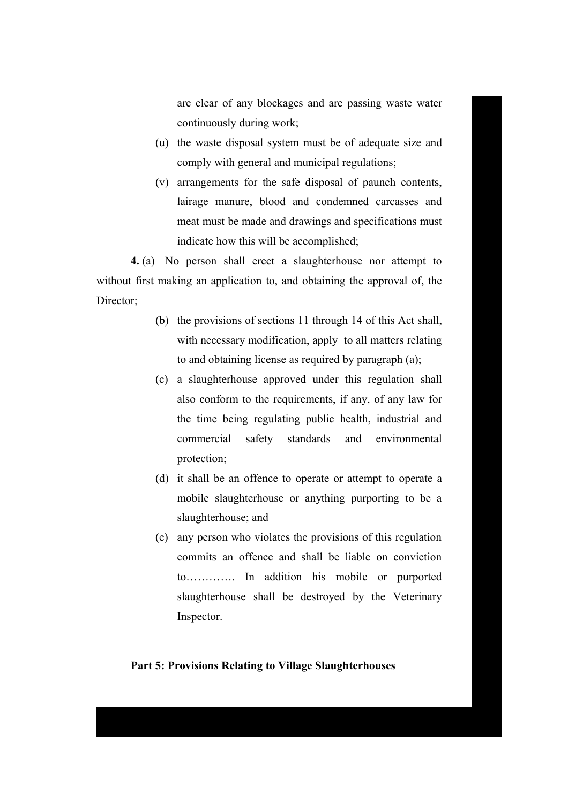are clear of any blockages and are passing waste water continuously during work;

- (u) the waste disposal system must be of adequate size and comply with general and municipal regulations;
- (v) arrangements for the safe disposal of paunch contents, lairage manure, blood and condemned carcasses and meat must be made and drawings and specifications must indicate how this will be accomplished;

**4.** (a) No person shall erect a slaughterhouse nor attempt to without first making an application to, and obtaining the approval of, the Director:

- (b) the provisions of sections 11 through 14 of this Act shall, with necessary modification, apply to all matters relating to and obtaining license as required by paragraph (a);
- (c) a slaughterhouse approved under this regulation shall also conform to the requirements, if any, of any law for the time being regulating public health, industrial and commercial safety standards and environmental protection;
- (d) it shall be an offence to operate or attempt to operate a mobile slaughterhouse or anything purporting to be a slaughterhouse; and
- (e) any person who violates the provisions of this regulation commits an offence and shall be liable on conviction to…………. In addition his mobile or purported slaughterhouse shall be destroyed by the Veterinary Inspector.

#### **Part 5: Provisions Relating to Village Slaughterhouses**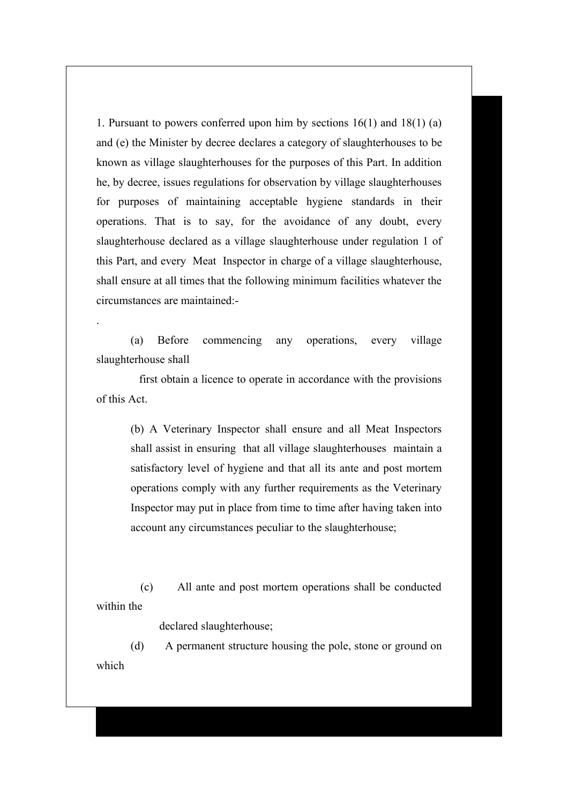1. Pursuant to powers conferred upon him by sections 16(1) and 18(1) (a) and (e) the Minister by decree declares a category of slaughterhouses to be known as village slaughterhouses for the purposes of this Part. In addition he, by decree, issues regulations for observation by village slaughterhouses for purposes of maintaining acceptable hygiene standards in their operations. That is to say, for the avoidance of any doubt, every slaughterhouse declared as a village slaughterhouse under regulation 1 of this Part, and every Meat Inspector in charge of a village slaughterhouse, shall ensure at all times that the following minimum facilities whatever the circumstances are maintained:-

(a) Before commencing any operations, every village slaughterhouse shall

.

 first obtain a licence to operate in accordance with the provisions of this Act.

> (b) A Veterinary Inspector shall ensure and all Meat Inspectors shall assist in ensuring that all village slaughterhouses maintain a satisfactory level of hygiene and that all its ante and post mortem operations comply with any further requirements as the Veterinary Inspector may put in place from time to time after having taken into account any circumstances peculiar to the slaughterhouse;

 (c) All ante and post mortem operations shall be conducted within the

declared slaughterhouse;

(d) A permanent structure housing the pole, stone or ground on which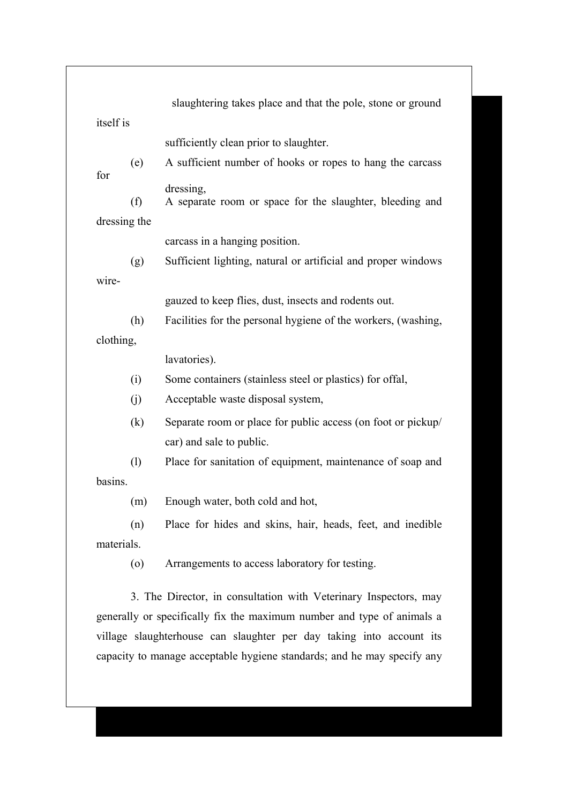| itself is  |              |                                                                                          |
|------------|--------------|------------------------------------------------------------------------------------------|
|            |              | sufficiently clean prior to slaughter.                                                   |
| for        | (e)          | A sufficient number of hooks or ropes to hang the carcass                                |
|            |              | dressing,                                                                                |
|            | (f)          | A separate room or space for the slaughter, bleeding and                                 |
|            | dressing the |                                                                                          |
|            |              | carcass in a hanging position.                                                           |
|            | (g)          | Sufficient lighting, natural or artificial and proper windows                            |
| wire-      |              |                                                                                          |
|            |              | gauzed to keep flies, dust, insects and rodents out.                                     |
|            | (h)          | Facilities for the personal hygiene of the workers, (washing,                            |
| clothing,  |              |                                                                                          |
|            |              | lavatories).                                                                             |
|            | (i)          | Some containers (stainless steel or plastics) for offal,                                 |
|            | (j)          | Acceptable waste disposal system,                                                        |
|            | (k)          | Separate room or place for public access (on foot or pickup/<br>car) and sale to public. |
|            | (1)          | Place for sanitation of equipment, maintenance of soap and                               |
| basins.    |              |                                                                                          |
|            | (m)          | Enough water, both cold and hot,                                                         |
|            | (n)          | Place for hides and skins, hair, heads, feet, and inedible                               |
| materials. |              |                                                                                          |
|            | (0)          | Arrangements to access laboratory for testing.                                           |
|            |              | 3. The Director, in consultation with Veterinary Inspectors, may                         |

٦

capacity to manage acceptable hygiene standards; and he may specify any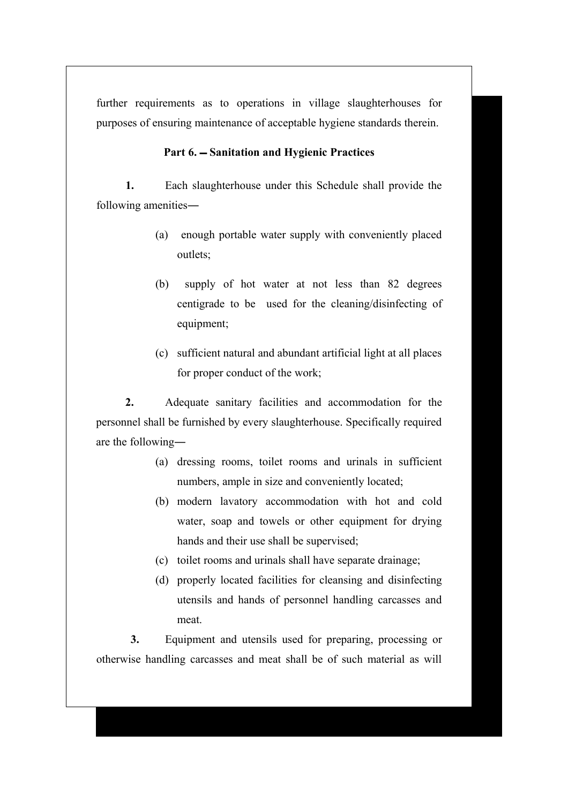further requirements as to operations in village slaughterhouses for purposes of ensuring maintenance of acceptable hygiene standards therein.

### Part 6. – Sanitation and Hygienic Practices

**1.** Each slaughterhouse under this Schedule shall provide the following amenities―

- (a) enough portable water supply with conveniently placed outlets;
- (b) supply of hot water at not less than 82 degrees centigrade to be used for the cleaning/disinfecting of equipment;
- (c) sufficient natural and abundant artificial light at all places for proper conduct of the work;

**2.** Adequate sanitary facilities and accommodation for the personnel shall be furnished by every slaughterhouse. Specifically required are the following―

- (a) dressing rooms, toilet rooms and urinals in sufficient numbers, ample in size and conveniently located;
- (b) modern lavatory accommodation with hot and cold water, soap and towels or other equipment for drying hands and their use shall be supervised;
- (c) toilet rooms and urinals shall have separate drainage;
- (d) properly located facilities for cleansing and disinfecting utensils and hands of personnel handling carcasses and meat.

**3.** Equipment and utensils used for preparing, processing or otherwise handling carcasses and meat shall be of such material as will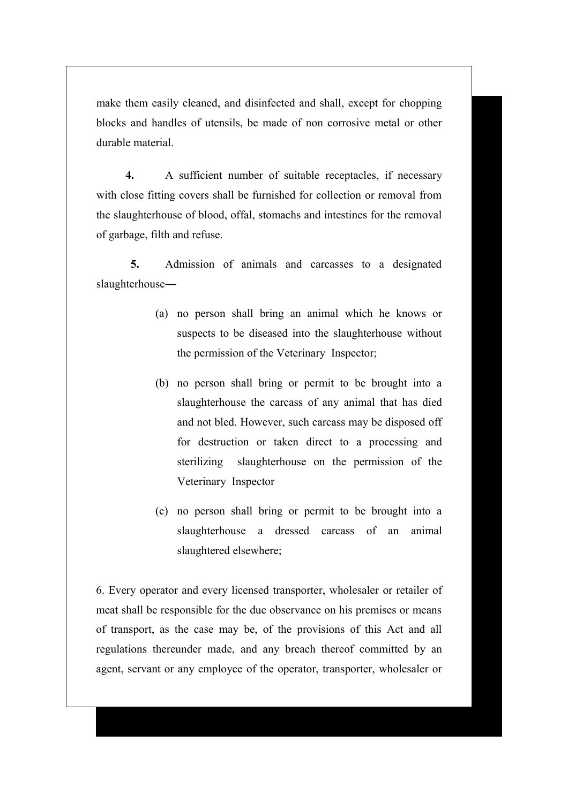make them easily cleaned, and disinfected and shall, except for chopping blocks and handles of utensils, be made of non corrosive metal or other durable material.

**4.** A sufficient number of suitable receptacles, if necessary with close fitting covers shall be furnished for collection or removal from the slaughterhouse of blood, offal, stomachs and intestines for the removal of garbage, filth and refuse.

**5.** Admission of animals and carcasses to a designated slaughterhouse―

- (a) no person shall bring an animal which he knows or suspects to be diseased into the slaughterhouse without the permission of the Veterinary Inspector;
- (b) no person shall bring or permit to be brought into a slaughterhouse the carcass of any animal that has died and not bled. However, such carcass may be disposed off for destruction or taken direct to a processing and sterilizing slaughterhouse on the permission of the Veterinary Inspector
- (c) no person shall bring or permit to be brought into a slaughterhouse a dressed carcass of an animal slaughtered elsewhere;

6. Every operator and every licensed transporter, wholesaler or retailer of meat shall be responsible for the due observance on his premises or means of transport, as the case may be, of the provisions of this Act and all regulations thereunder made, and any breach thereof committed by an agent, servant or any employee of the operator, transporter, wholesaler or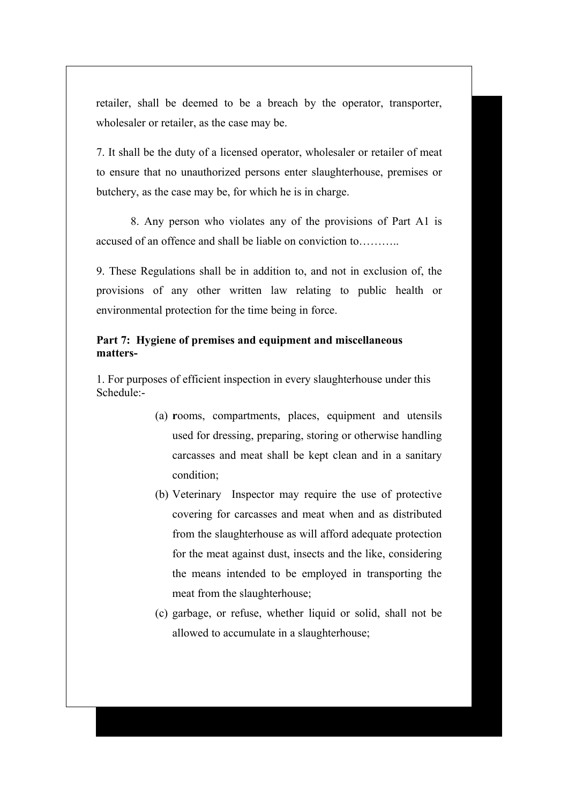retailer, shall be deemed to be a breach by the operator, transporter, wholesaler or retailer, as the case may be.

7. It shall be the duty of a licensed operator, wholesaler or retailer of meat to ensure that no unauthorized persons enter slaughterhouse, premises or butchery, as the case may be, for which he is in charge.

8. Any person who violates any of the provisions of Part A1 is accused of an offence and shall be liable on conviction to………..

9. These Regulations shall be in addition to, and not in exclusion of, the provisions of any other written law relating to public health or environmental protection for the time being in force.

### **Part 7: Hygiene of premises and equipment and miscellaneous matters-**

1. For purposes of efficient inspection in every slaughterhouse under this Schedule:-

- (a) **r**ooms, compartments, places, equipment and utensils used for dressing, preparing, storing or otherwise handling carcasses and meat shall be kept clean and in a sanitary condition;
- (b) Veterinary Inspector may require the use of protective covering for carcasses and meat when and as distributed from the slaughterhouse as will afford adequate protection for the meat against dust, insects and the like, considering the means intended to be employed in transporting the meat from the slaughterhouse;
- (c) garbage, or refuse, whether liquid or solid, shall not be allowed to accumulate in a slaughterhouse;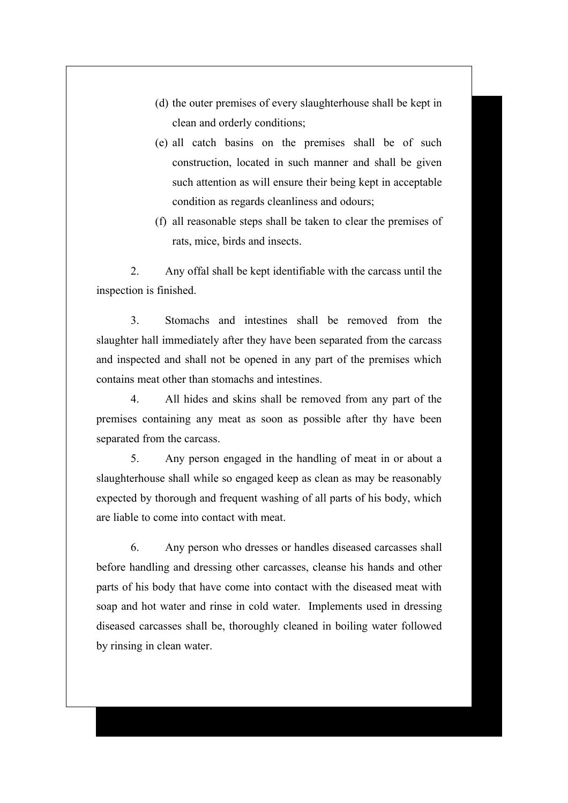- (d) the outer premises of every slaughterhouse shall be kept in clean and orderly conditions;
- (e) all catch basins on the premises shall be of such construction, located in such manner and shall be given such attention as will ensure their being kept in acceptable condition as regards cleanliness and odours;
- (f) all reasonable steps shall be taken to clear the premises of rats, mice, birds and insects.

2. Any offal shall be kept identifiable with the carcass until the inspection is finished.

3. Stomachs and intestines shall be removed from the slaughter hall immediately after they have been separated from the carcass and inspected and shall not be opened in any part of the premises which contains meat other than stomachs and intestines.

4. All hides and skins shall be removed from any part of the premises containing any meat as soon as possible after thy have been separated from the carcass.

5. Any person engaged in the handling of meat in or about a slaughterhouse shall while so engaged keep as clean as may be reasonably expected by thorough and frequent washing of all parts of his body, which are liable to come into contact with meat.

6. Any person who dresses or handles diseased carcasses shall before handling and dressing other carcasses, cleanse his hands and other parts of his body that have come into contact with the diseased meat with soap and hot water and rinse in cold water. Implements used in dressing diseased carcasses shall be, thoroughly cleaned in boiling water followed by rinsing in clean water.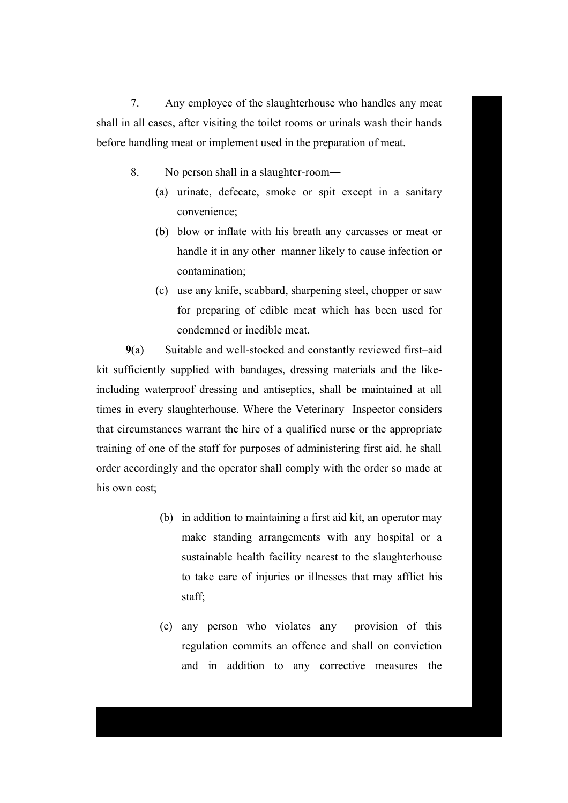7. Any employee of the slaughterhouse who handles any meat shall in all cases, after visiting the toilet rooms or urinals wash their hands before handling meat or implement used in the preparation of meat.

8. No person shall in a slaughter-room―

- (a) urinate, defecate, smoke or spit except in a sanitary convenience;
- (b) blow or inflate with his breath any carcasses or meat or handle it in any other manner likely to cause infection or contamination;
- (c) use any knife, scabbard, sharpening steel, chopper or saw for preparing of edible meat which has been used for condemned or inedible meat.

**9**(a) Suitable and well-stocked and constantly reviewed first–aid kit sufficiently supplied with bandages, dressing materials and the likeincluding waterproof dressing and antiseptics, shall be maintained at all times in every slaughterhouse. Where the Veterinary Inspector considers that circumstances warrant the hire of a qualified nurse or the appropriate training of one of the staff for purposes of administering first aid, he shall order accordingly and the operator shall comply with the order so made at his own cost;

- (b) in addition to maintaining a first aid kit, an operator may make standing arrangements with any hospital or a sustainable health facility nearest to the slaughterhouse to take care of injuries or illnesses that may afflict his staff;
- (c) any person who violates any provision of this regulation commits an offence and shall on conviction and in addition to any corrective measures the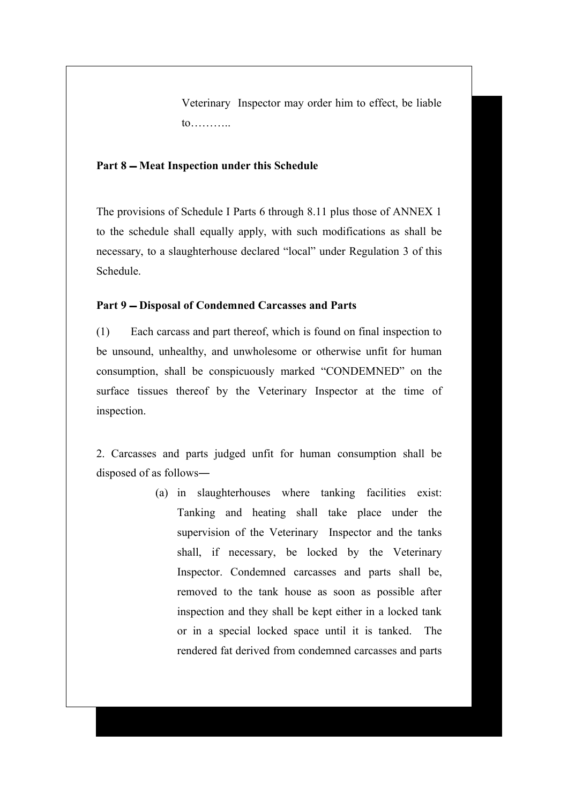Veterinary Inspector may order him to effect, be liable to………..

#### Part 8 – Meat Inspection under this Schedule

The provisions of Schedule I Parts 6 through 8.11 plus those of ANNEX 1 to the schedule shall equally apply, with such modifications as shall be necessary, to a slaughterhouse declared "local" under Regulation 3 of this Schedule.

#### Part 9 – Disposal of Condemned Carcasses and Parts

(1) Each carcass and part thereof, which is found on final inspection to be unsound, unhealthy, and unwholesome or otherwise unfit for human consumption, shall be conspicuously marked "CONDEMNED" on the surface tissues thereof by the Veterinary Inspector at the time of inspection.

2. Carcasses and parts judged unfit for human consumption shall be disposed of as follows―

> (a) in slaughterhouses where tanking facilities exist: Tanking and heating shall take place under the supervision of the Veterinary Inspector and the tanks shall, if necessary, be locked by the Veterinary Inspector. Condemned carcasses and parts shall be, removed to the tank house as soon as possible after inspection and they shall be kept either in a locked tank or in a special locked space until it is tanked. The rendered fat derived from condemned carcasses and parts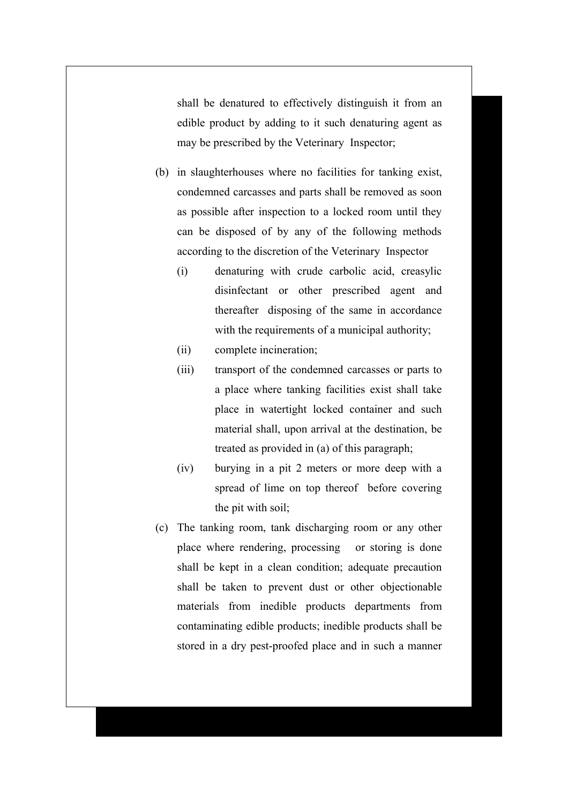shall be denatured to effectively distinguish it from an edible product by adding to it such denaturing agent as may be prescribed by the Veterinary Inspector;

- (b) in slaughterhouses where no facilities for tanking exist, condemned carcasses and parts shall be removed as soon as possible after inspection to a locked room until they can be disposed of by any of the following methods according to the discretion of the Veterinary Inspector
	- (i) denaturing with crude carbolic acid, creasylic disinfectant or other prescribed agent and thereafter disposing of the same in accordance with the requirements of a municipal authority;
	- (ii) complete incineration;
	- (iii) transport of the condemned carcasses or parts to a place where tanking facilities exist shall take place in watertight locked container and such material shall, upon arrival at the destination, be treated as provided in (a) of this paragraph;
	- (iv) burying in a pit 2 meters or more deep with a spread of lime on top thereof before covering the pit with soil;
- (c) The tanking room, tank discharging room or any other place where rendering, processing or storing is done shall be kept in a clean condition; adequate precaution shall be taken to prevent dust or other objectionable materials from inedible products departments from contaminating edible products; inedible products shall be stored in a dry pest-proofed place and in such a manner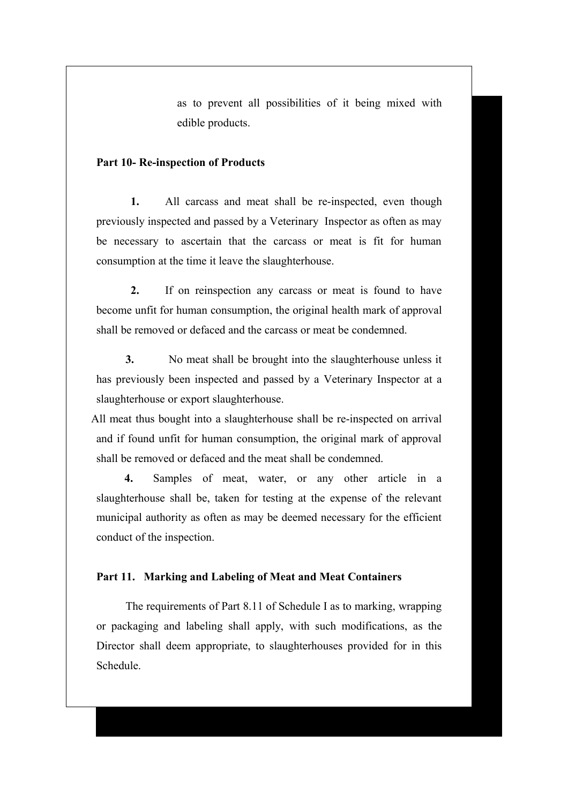as to prevent all possibilities of it being mixed with edible products.

## **Part 10- Re-inspection of Products**

**1.** All carcass and meat shall be re-inspected, even though previously inspected and passed by a Veterinary Inspector as often as may be necessary to ascertain that the carcass or meat is fit for human consumption at the time it leave the slaughterhouse.

**2.** If on reinspection any carcass or meat is found to have become unfit for human consumption, the original health mark of approval shall be removed or defaced and the carcass or meat be condemned.

**3.** No meat shall be brought into the slaughterhouse unless it has previously been inspected and passed by a Veterinary Inspector at a slaughterhouse or export slaughterhouse.

All meat thus bought into a slaughterhouse shall be re-inspected on arrival and if found unfit for human consumption, the original mark of approval shall be removed or defaced and the meat shall be condemned.

**4.** Samples of meat, water, or any other article in a slaughterhouse shall be, taken for testing at the expense of the relevant municipal authority as often as may be deemed necessary for the efficient conduct of the inspection.

#### **Part 11. Marking and Labeling of Meat and Meat Containers**

The requirements of Part 8.11 of Schedule I as to marking, wrapping or packaging and labeling shall apply, with such modifications, as the Director shall deem appropriate, to slaughterhouses provided for in this Schedule.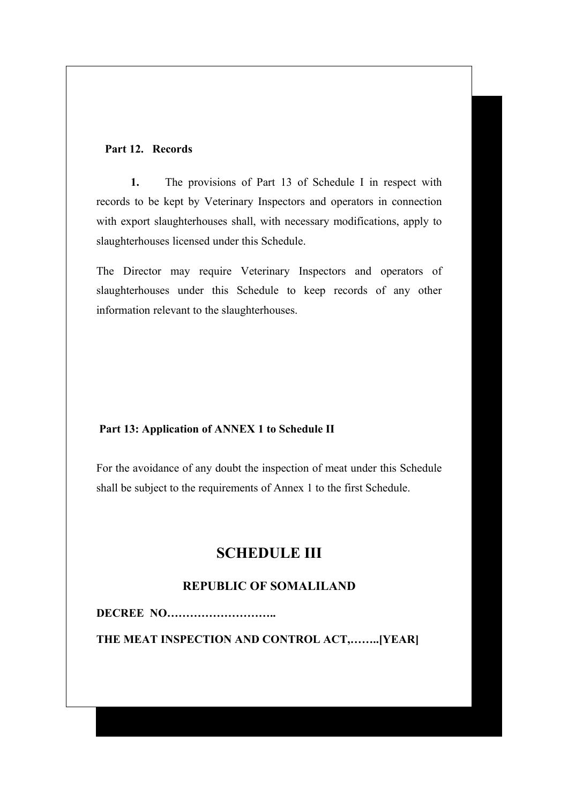#### **Part 12. Records**

**1.** The provisions of Part 13 of Schedule I in respect with records to be kept by Veterinary Inspectors and operators in connection with export slaughterhouses shall, with necessary modifications, apply to slaughterhouses licensed under this Schedule.

The Director may require Veterinary Inspectors and operators of slaughterhouses under this Schedule to keep records of any other information relevant to the slaughterhouses.

# **Part 13: Application of ANNEX 1 to Schedule II**

For the avoidance of any doubt the inspection of meat under this Schedule shall be subject to the requirements of Annex 1 to the first Schedule.

# **SCHEDULE III**

# **REPUBLIC OF SOMALILAND**

**DECREE NO………………………..**

**THE MEAT INSPECTION AND CONTROL ACT,……..[YEAR]**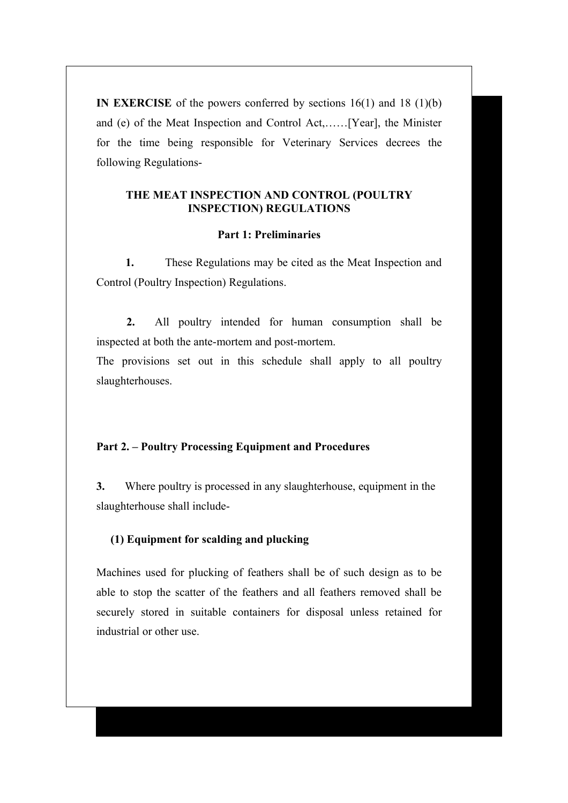**IN EXERCISE** of the powers conferred by sections 16(1) and 18 (1)(b) and (e) of the Meat Inspection and Control Act,……[Year], the Minister for the time being responsible for Veterinary Services decrees the following Regulations-

# **THE MEAT INSPECTION AND CONTROL (POULTRY INSPECTION) REGULATIONS**

#### **Part 1: Preliminaries**

**1.** These Regulations may be cited as the Meat Inspection and Control (Poultry Inspection) Regulations.

**2.** All poultry intended for human consumption shall be inspected at both the ante-mortem and post-mortem.

The provisions set out in this schedule shall apply to all poultry slaughterhouses.

# **Part 2. – Poultry Processing Equipment and Procedures**

**3.** Where poultry is processed in any slaughterhouse, equipment in the slaughterhouse shall include-

# **(1) Equipment for scalding and plucking**

Machines used for plucking of feathers shall be of such design as to be able to stop the scatter of the feathers and all feathers removed shall be securely stored in suitable containers for disposal unless retained for industrial or other use.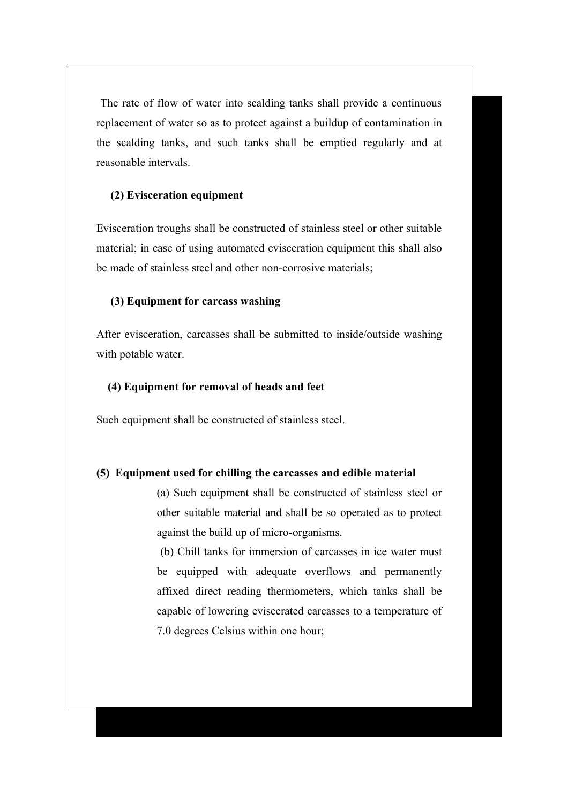The rate of flow of water into scalding tanks shall provide a continuous replacement of water so as to protect against a buildup of contamination in the scalding tanks, and such tanks shall be emptied regularly and at reasonable intervals.

#### **(2) Evisceration equipment**

Evisceration troughs shall be constructed of stainless steel or other suitable material; in case of using automated evisceration equipment this shall also be made of stainless steel and other non-corrosive materials;

#### **(3) Equipment for carcass washing**

After evisceration, carcasses shall be submitted to inside/outside washing with potable water.

#### **(4) Equipment for removal of heads and feet**

Such equipment shall be constructed of stainless steel.

#### **(5) Equipment used for chilling the carcasses and edible material**

(a) Such equipment shall be constructed of stainless steel or other suitable material and shall be so operated as to protect against the build up of micro-organisms.

 (b) Chill tanks for immersion of carcasses in ice water must be equipped with adequate overflows and permanently affixed direct reading thermometers, which tanks shall be capable of lowering eviscerated carcasses to a temperature of 7.0 degrees Celsius within one hour;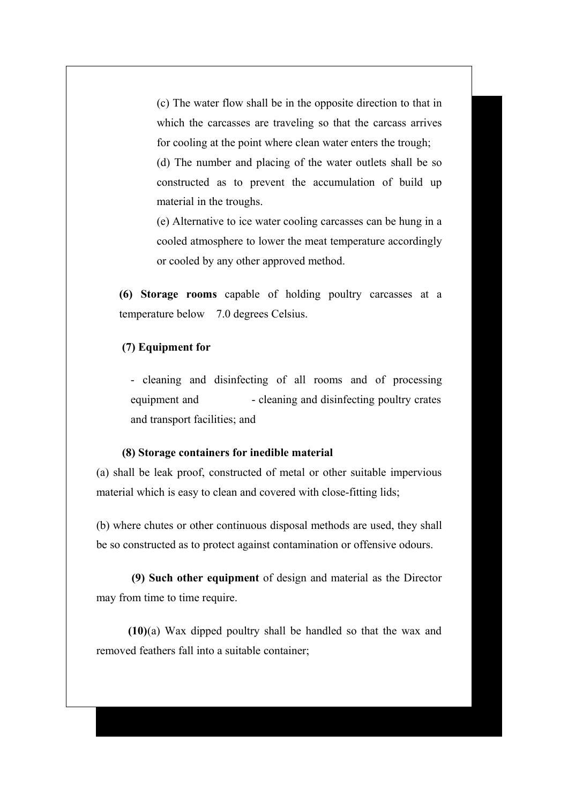(c) The water flow shall be in the opposite direction to that in which the carcasses are traveling so that the carcass arrives for cooling at the point where clean water enters the trough; (d) The number and placing of the water outlets shall be so constructed as to prevent the accumulation of build up material in the troughs.

(e) Alternative to ice water cooling carcasses can be hung in a cooled atmosphere to lower the meat temperature accordingly or cooled by any other approved method.

**(6) Storage rooms** capable of holding poultry carcasses at a temperature below 7.0 degrees Celsius.

#### **(7) Equipment for**

- cleaning and disinfecting of all rooms and of processing equipment and - cleaning and disinfecting poultry crates and transport facilities; and

#### **(8) Storage containers for inedible material**

(a) shall be leak proof, constructed of metal or other suitable impervious material which is easy to clean and covered with close-fitting lids;

(b) where chutes or other continuous disposal methods are used, they shall be so constructed as to protect against contamination or offensive odours.

 **(9) Such other equipment** of design and material as the Director may from time to time require.

 **(10)**(a) Wax dipped poultry shall be handled so that the wax and removed feathers fall into a suitable container;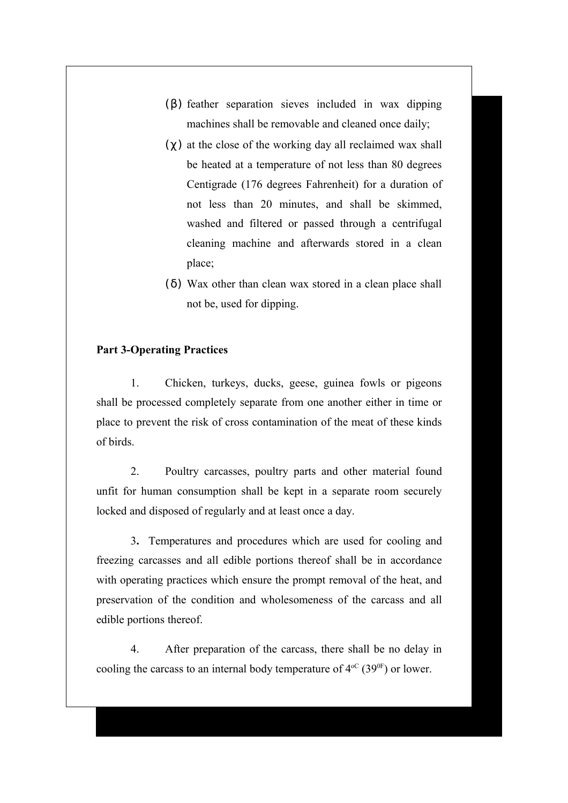- $(\beta)$  feather separation sieves included in wax dipping machines shall be removable and cleaned once daily;
- $(\gamma)$  at the close of the working day all reclaimed wax shall be heated at a temperature of not less than 80 degrees Centigrade (176 degrees Fahrenheit) for a duration of not less than 20 minutes, and shall be skimmed, washed and filtered or passed through a centrifugal cleaning machine and afterwards stored in a clean place;
- ( δ) Wax other than clean wax stored in a clean place shall not be, used for dipping.

# **Part 3-Operating Practices**

1. Chicken, turkeys, ducks, geese, guinea fowls or pigeons shall be processed completely separate from one another either in time or place to prevent the risk of cross contamination of the meat of these kinds of birds.

2. Poultry carcasses, poultry parts and other material found unfit for human consumption shall be kept in a separate room securely locked and disposed of regularly and at least once a day.

3**.** Temperatures and procedures which are used for cooling and freezing carcasses and all edible portions thereof shall be in accordance with operating practices which ensure the prompt removal of the heat, and preservation of the condition and wholesomeness of the carcass and all edible portions thereof.

4. After preparation of the carcass, there shall be no delay in cooling the carcass to an internal body temperature of  $4^{\circ}$  (39<sup>0F</sup>) or lower.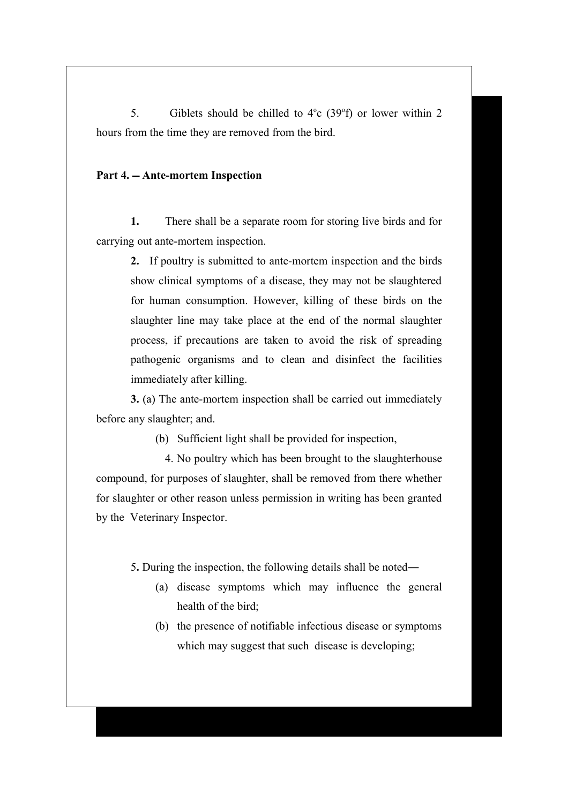5. Giblets should be chilled to  $4^\circ$ c (39 $^\circ$ f) or lower within 2 hours from the time they are removed from the bird.

#### **Part 4. Ante-mortem Inspection**

**1.** There shall be a separate room for storing live birds and for carrying out ante-mortem inspection.

> **2.** If poultry is submitted to ante-mortem inspection and the birds show clinical symptoms of a disease, they may not be slaughtered for human consumption. However, killing of these birds on the slaughter line may take place at the end of the normal slaughter process, if precautions are taken to avoid the risk of spreading pathogenic organisms and to clean and disinfect the facilities immediately after killing.

**3.** (a) The ante-mortem inspection shall be carried out immediately before any slaughter; and.

(b) Sufficient light shall be provided for inspection,

4. No poultry which has been brought to the slaughterhouse compound, for purposes of slaughter, shall be removed from there whether for slaughter or other reason unless permission in writing has been granted by the Veterinary Inspector.

5**.** During the inspection, the following details shall be noted―

- (a) disease symptoms which may influence the general health of the bird;
- (b) the presence of notifiable infectious disease or symptoms which may suggest that such disease is developing;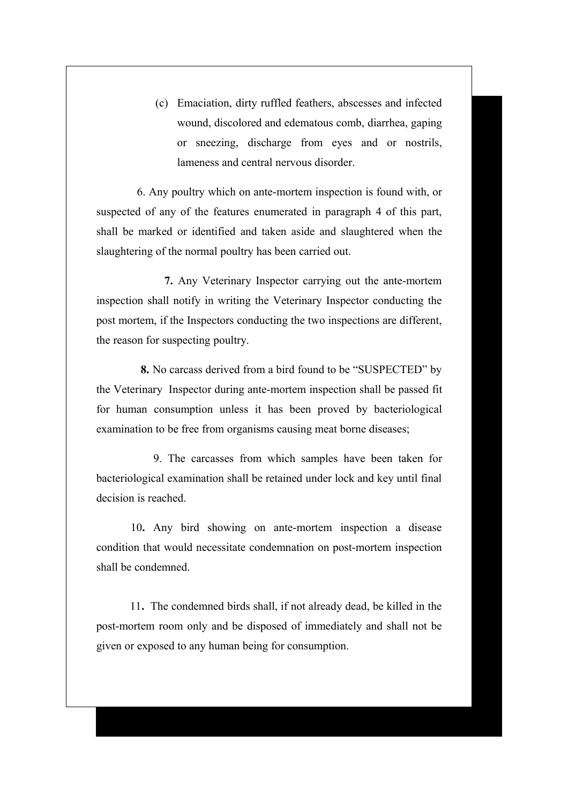(c) Emaciation, dirty ruffled feathers, abscesses and infected wound, discolored and edematous comb, diarrhea, gaping or sneezing, discharge from eyes and or nostrils, lameness and central nervous disorder.

 6. Any poultry which on ante-mortem inspection is found with, or suspected of any of the features enumerated in paragraph 4 of this part, shall be marked or identified and taken aside and slaughtered when the slaughtering of the normal poultry has been carried out.

 **7.** Any Veterinary Inspector carrying out the ante-mortem inspection shall notify in writing the Veterinary Inspector conducting the post mortem, if the Inspectors conducting the two inspections are different, the reason for suspecting poultry.

 **8.** No carcass derived from a bird found to be "SUSPECTED" by the Veterinary Inspector during ante-mortem inspection shall be passed fit for human consumption unless it has been proved by bacteriological examination to be free from organisms causing meat borne diseases;

 9. The carcasses from which samples have been taken for bacteriological examination shall be retained under lock and key until final decision is reached.

10**.** Any bird showing on ante-mortem inspection a disease condition that would necessitate condemnation on post-mortem inspection shall be condemned.

 11**.** The condemned birds shall, if not already dead, be killed in the post-mortem room only and be disposed of immediately and shall not be given or exposed to any human being for consumption.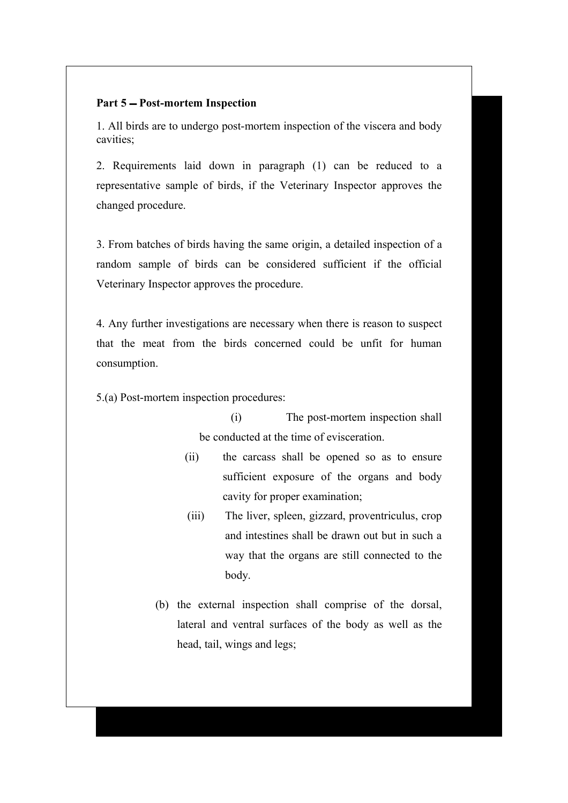## Part 5 – Post-mortem Inspection

1. All birds are to undergo post-mortem inspection of the viscera and body cavities;

2. Requirements laid down in paragraph (1) can be reduced to a representative sample of birds, if the Veterinary Inspector approves the changed procedure.

3. From batches of birds having the same origin, a detailed inspection of a random sample of birds can be considered sufficient if the official Veterinary Inspector approves the procedure.

4. Any further investigations are necessary when there is reason to suspect that the meat from the birds concerned could be unfit for human consumption.

5.(a) Post-mortem inspection procedures:

 (i) The post-mortem inspection shall be conducted at the time of evisceration.

- (ii) the carcass shall be opened so as to ensure sufficient exposure of the organs and body cavity for proper examination;
- (iii) The liver, spleen, gizzard, proventriculus, crop and intestines shall be drawn out but in such a way that the organs are still connected to the body.
- (b) the external inspection shall comprise of the dorsal, lateral and ventral surfaces of the body as well as the head, tail, wings and legs;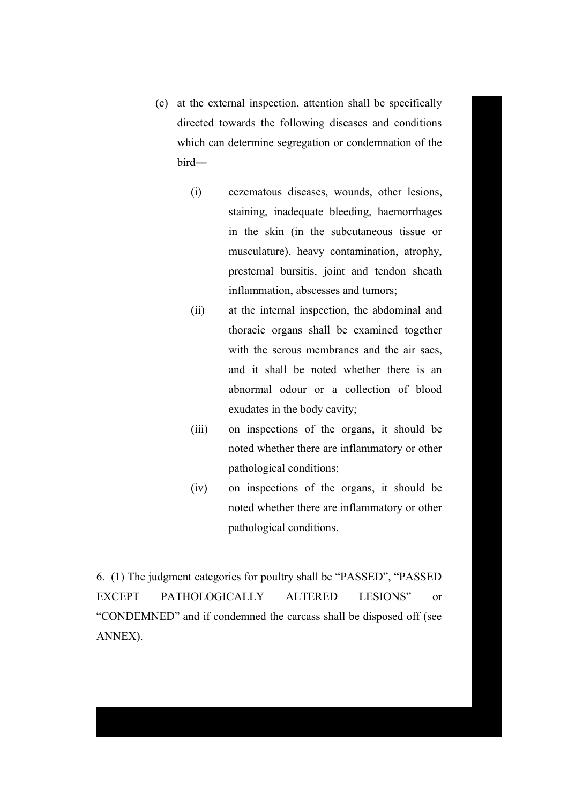- (c) at the external inspection, attention shall be specifically directed towards the following diseases and conditions which can determine segregation or condemnation of the bird―
	- (i) eczematous diseases, wounds, other lesions, staining, inadequate bleeding, haemorrhages in the skin (in the subcutaneous tissue or musculature), heavy contamination, atrophy, presternal bursitis, joint and tendon sheath inflammation, abscesses and tumors;
	- (ii) at the internal inspection, the abdominal and thoracic organs shall be examined together with the serous membranes and the air sacs. and it shall be noted whether there is an abnormal odour or a collection of blood exudates in the body cavity;
	- (iii) on inspections of the organs, it should be noted whether there are inflammatory or other pathological conditions;
	- (iv) on inspections of the organs, it should be noted whether there are inflammatory or other pathological conditions.

6.(1) The judgment categories for poultry shall be "PASSED", "PASSED EXCEPT PATHOLOGICALLY ALTERED LESIONS" or "CONDEMNED" and if condemned the carcass shall be disposed off (see ANNEX).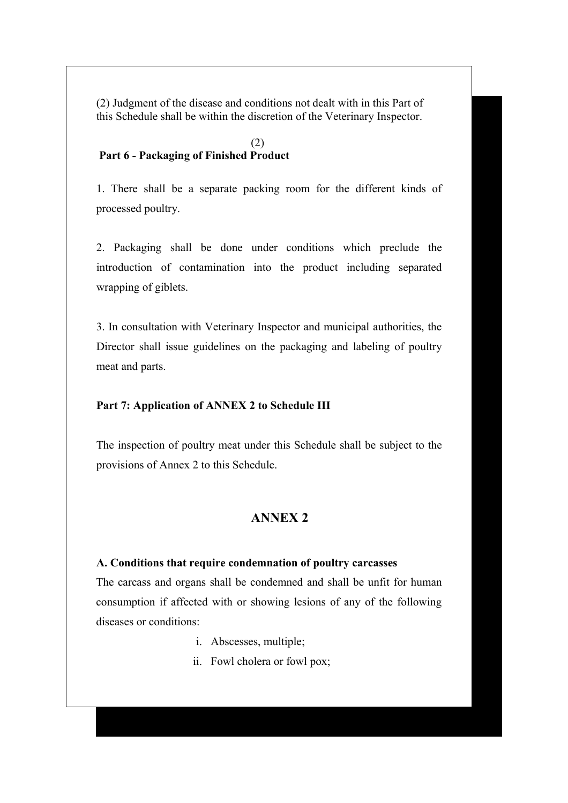(2) Judgment of the disease and conditions not dealt with in this Part of this Schedule shall be within the discretion of the Veterinary Inspector.

## (2)  **Part 6 - Packaging of Finished Product**

1. There shall be a separate packing room for the different kinds of processed poultry.

2. Packaging shall be done under conditions which preclude the introduction of contamination into the product including separated wrapping of giblets.

3. In consultation with Veterinary Inspector and municipal authorities, the Director shall issue guidelines on the packaging and labeling of poultry meat and parts.

# **Part 7: Application of ANNEX 2 to Schedule III**

The inspection of poultry meat under this Schedule shall be subject to the provisions of Annex 2 to this Schedule.

# **ANNEX 2**

#### **A. Conditions that require condemnation of poultry carcasses**

The carcass and organs shall be condemned and shall be unfit for human consumption if affected with or showing lesions of any of the following diseases or conditions:

- i. Abscesses, multiple;
- ii. Fowl cholera or fowl pox;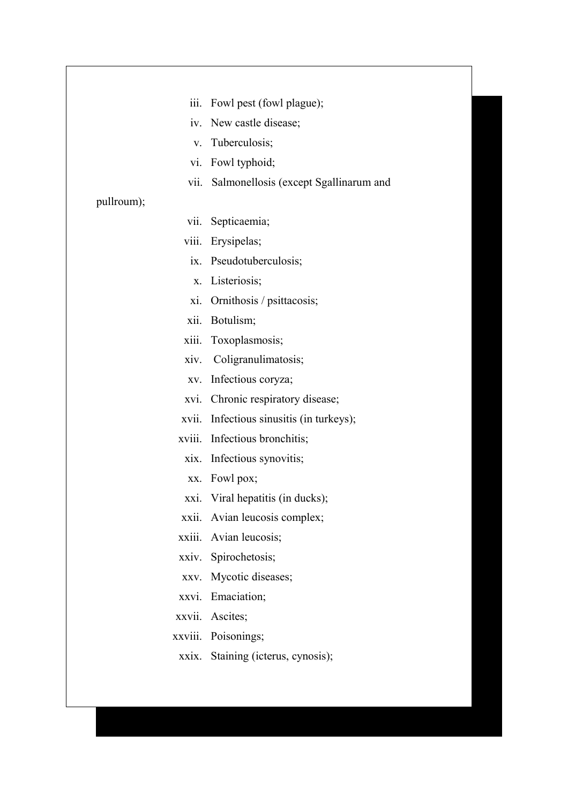|              | iii. Fowl pest (fowl plague);              |
|--------------|--------------------------------------------|
|              | iv. New castle disease;                    |
| $V_{\rm{L}}$ | Tuberculosis;                              |
|              | vi. Fowl typhoid;                          |
|              | vii. Salmonellosis (except Sgallinarum and |
| pullroum);   |                                            |
|              | vii. Septicaemia;                          |
|              | viii. Erysipelas;                          |
|              | ix. Pseudotuberculosis;                    |
|              | x. Listeriosis;                            |
|              | xi. Ornithosis / psittacosis;              |
|              | xii. Botulism;                             |
| xiii.        | Toxoplasmosis;                             |
|              | xiv. Coligranulimatosis;                   |
|              | xv. Infectious coryza;                     |
|              | xvi. Chronic respiratory disease;          |
| xvii.        | Infectious sinusitis (in turkeys);         |
|              | xviii. Infectious bronchitis;              |
|              | xix. Infectious synovitis;                 |
|              | xx. Fowl pox;                              |
|              | xxi. Viral hepatitis (in ducks);           |
|              | xxii. Avian leucosis complex;              |
|              | xxiii. Avian leucosis;                     |
|              | xxiv. Spirochetosis;                       |
|              | xxv. Mycotic diseases;                     |
|              | xxvi. Emaciation;                          |
|              | xxvii. Ascites;                            |
|              | xxviii. Poisonings;                        |
|              | xxix. Staining (icterus, cynosis);         |
|              |                                            |
|              |                                            |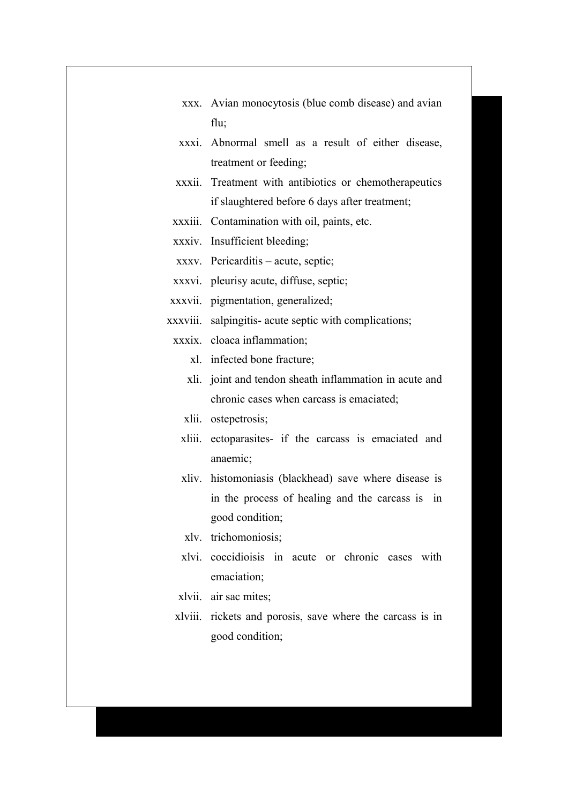| xxx. Avian monocytosis (blue comb disease) and avian |
|------------------------------------------------------|
| flu:                                                 |

- xxxi. Abnormal smell as a result of either disease, treatment or feeding;
- xxxii. Treatment with antibiotics or chemotherapeutics if slaughtered before 6 days after treatment;
- xxxiii. Contamination with oil, paints, etc.
- xxxiv. Insufficient bleeding;
- xxxv. Pericarditis acute, septic;
- xxxvi. pleurisy acute, diffuse, septic;
- xxxvii. pigmentation, generalized;
- xxxviii. salpingitis- acute septic with complications;
	- xxxix. cloaca inflammation;
		- xl. infected bone fracture;
		- xli. joint and tendon sheath inflammation in acute and chronic cases when carcass is emaciated;
		- xlii. ostepetrosis;
		- xliii. ectoparasites- if the carcass is emaciated and anaemic;
		- xliv. histomoniasis (blackhead) save where disease is in the process of healing and the carcass is in good condition;
		- xlv. trichomoniosis;
		- xlvi. coccidioisis in acute or chronic cases with emaciation;
	- xlvii. air sac mites;
	- xlviii. rickets and porosis, save where the carcass is in good condition;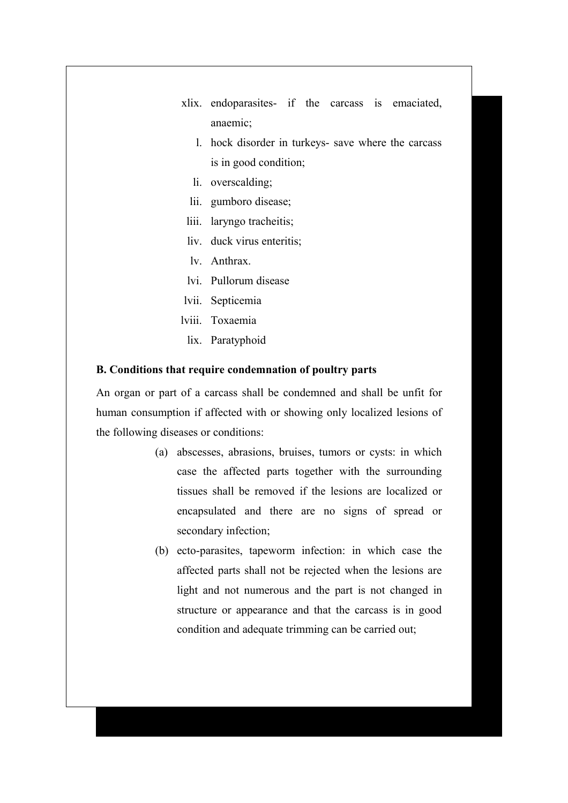- xlix. endoparasites- if the carcass is emaciated, anaemic;
	- l. hock disorder in turkeys- save where the carcass is in good condition;
	- li. overscalding;
	- lii. gumboro disease;
	- liii. laryngo tracheitis;
- liv. duck virus enteritis;
- lv. Anthrax.
- lvi. Pullorum disease
- lvii. Septicemia
- lviii. Toxaemia
	- lix. Paratyphoid

#### **B. Conditions that require condemnation of poultry parts**

An organ or part of a carcass shall be condemned and shall be unfit for human consumption if affected with or showing only localized lesions of the following diseases or conditions:

- (a) abscesses, abrasions, bruises, tumors or cysts: in which case the affected parts together with the surrounding tissues shall be removed if the lesions are localized or encapsulated and there are no signs of spread or secondary infection;
- (b) ecto-parasites, tapeworm infection: in which case the affected parts shall not be rejected when the lesions are light and not numerous and the part is not changed in structure or appearance and that the carcass is in good condition and adequate trimming can be carried out;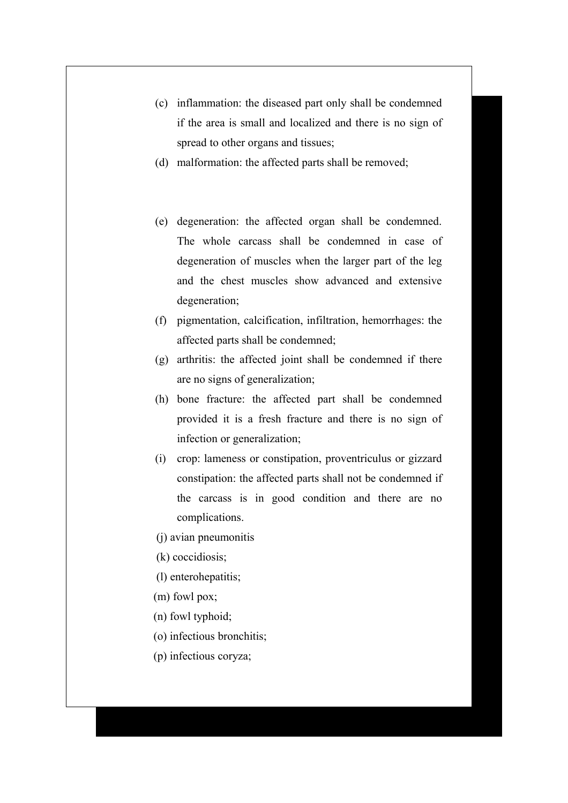- (c) inflammation: the diseased part only shall be condemned if the area is small and localized and there is no sign of spread to other organs and tissues;
- (d) malformation: the affected parts shall be removed;
- (e) degeneration: the affected organ shall be condemned. The whole carcass shall be condemned in case of degeneration of muscles when the larger part of the leg and the chest muscles show advanced and extensive degeneration;
- (f) pigmentation, calcification, infiltration, hemorrhages: the affected parts shall be condemned;
- (g) arthritis: the affected joint shall be condemned if there are no signs of generalization;
- (h) bone fracture: the affected part shall be condemned provided it is a fresh fracture and there is no sign of infection or generalization;
- (i) crop: lameness or constipation, proventriculus or gizzard constipation: the affected parts shall not be condemned if the carcass is in good condition and there are no complications.
- (j) avian pneumonitis
- (k) coccidiosis;
- (l) enterohepatitis;
- (m) fowl pox;
- (n) fowl typhoid;
- (o) infectious bronchitis;
- (p) infectious coryza;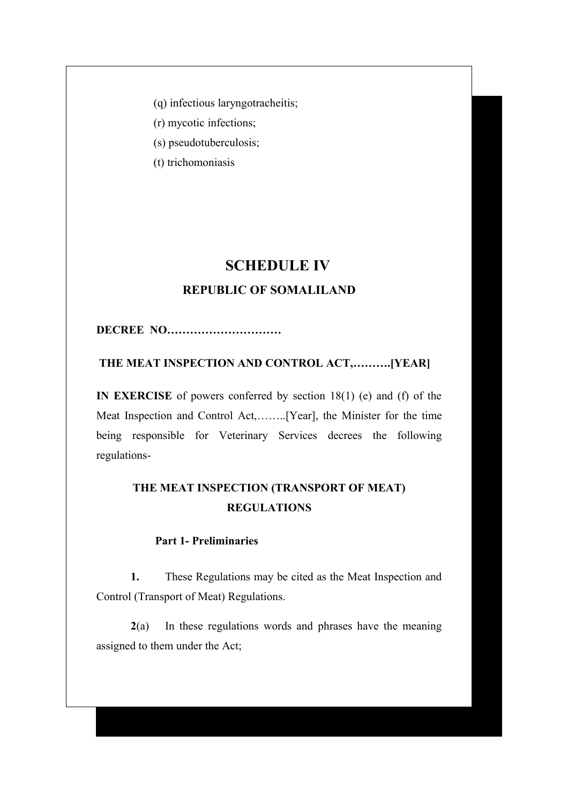(q) infectious laryngotracheitis;

(r) mycotic infections;

(s) pseudotuberculosis;

(t) trichomoniasis

# **SCHEDULE IV**

# **REPUBLIC OF SOMALILAND**

**DECREE NO…………………………**

 **THE MEAT INSPECTION AND CONTROL ACT,……….[YEAR]**

**IN EXERCISE** of powers conferred by section 18(1) (e) and (f) of the Meat Inspection and Control Act,……..[Year], the Minister for the time being responsible for Veterinary Services decrees the following regulations-

# **THE MEAT INSPECTION (TRANSPORT OF MEAT) REGULATIONS**

# **Part 1- Preliminaries**

**1.** These Regulations may be cited as the Meat Inspection and Control (Transport of Meat) Regulations.

**2**(a) In these regulations words and phrases have the meaning assigned to them under the Act;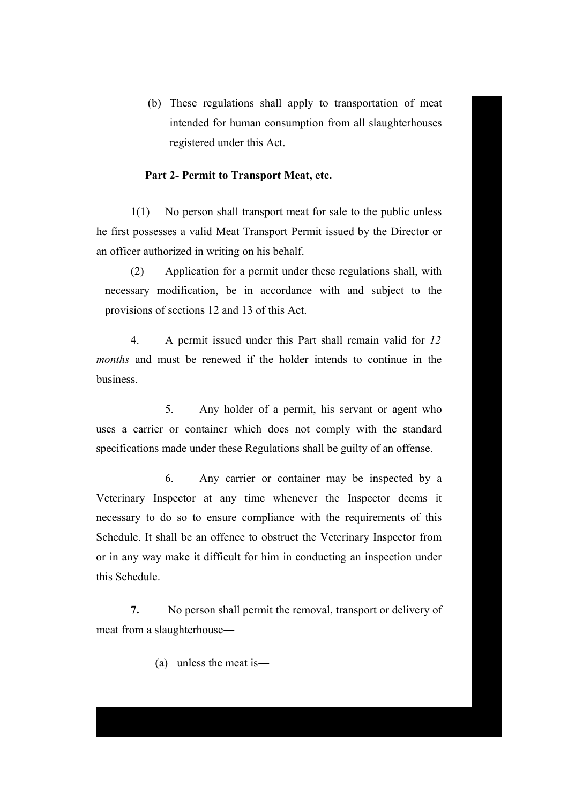(b) These regulations shall apply to transportation of meat intended for human consumption from all slaughterhouses registered under this Act.

#### **Part 2- Permit to Transport Meat, etc.**

1(1) No person shall transport meat for sale to the public unless he first possesses a valid Meat Transport Permit issued by the Director or an officer authorized in writing on his behalf.

(2) Application for a permit under these regulations shall, with necessary modification, be in accordance with and subject to the provisions of sections 12 and 13 of this Act.

4. A permit issued under this Part shall remain valid for *12 months* and must be renewed if the holder intends to continue in the business.

5. Any holder of a permit, his servant or agent who uses a carrier or container which does not comply with the standard specifications made under these Regulations shall be guilty of an offense.

6. Any carrier or container may be inspected by a Veterinary Inspector at any time whenever the Inspector deems it necessary to do so to ensure compliance with the requirements of this Schedule. It shall be an offence to obstruct the Veterinary Inspector from or in any way make it difficult for him in conducting an inspection under this Schedule.

**7.** No person shall permit the removal, transport or delivery of meat from a slaughterhouse―

(a) unless the meat is―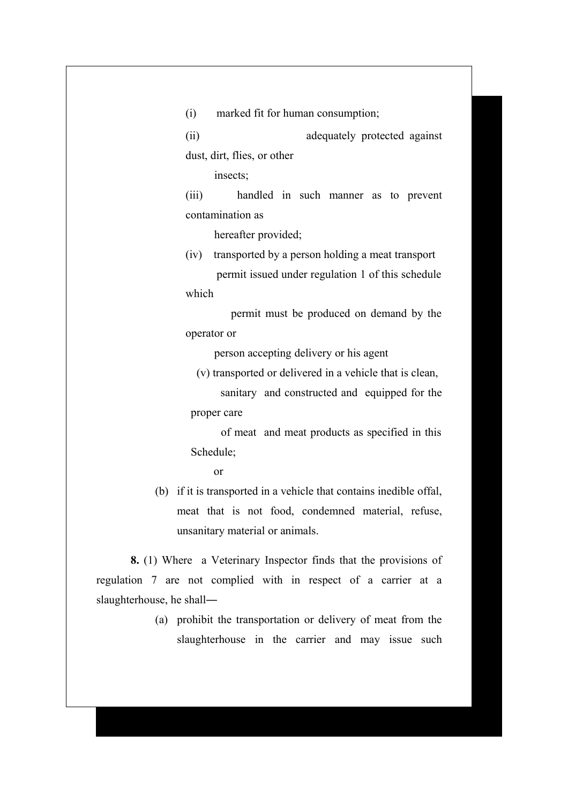(i) marked fit for human consumption;

(ii) adequately protected against dust, dirt, flies, or other

insects;

(iii) handled in such manner as to prevent contamination as

hereafter provided;

(iv) transported by a person holding a meat transport permit issued under regulation 1 of this schedule which

 permit must be produced on demand by the operator or

person accepting delivery or his agent

(v) transported or delivered in a vehicle that is clean,

 sanitary and constructed and equipped for the proper care

 of meat and meat products as specified in this Schedule;

or

(b) if it is transported in a vehicle that contains inedible offal, meat that is not food, condemned material, refuse, unsanitary material or animals.

**8.** (1) Where a Veterinary Inspector finds that the provisions of regulation 7 are not complied with in respect of a carrier at a slaughterhouse, he shall―

> (a) prohibit the transportation or delivery of meat from the slaughterhouse in the carrier and may issue such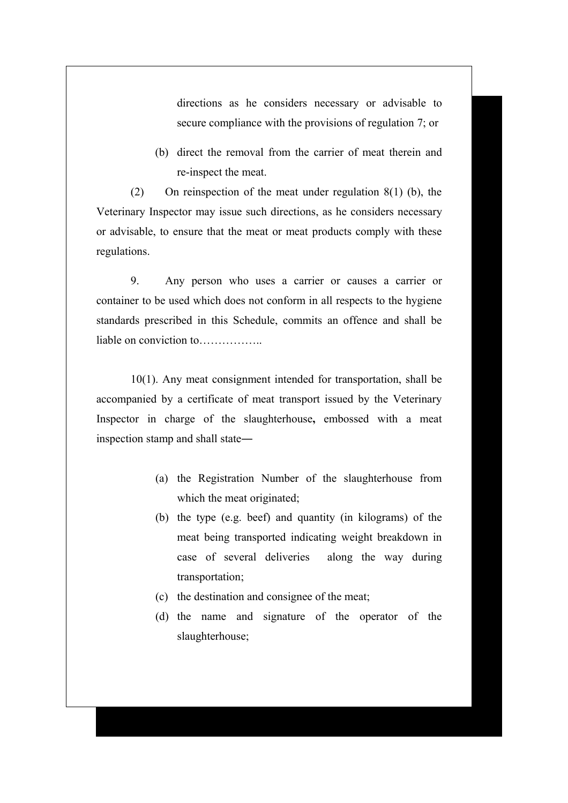directions as he considers necessary or advisable to secure compliance with the provisions of regulation 7; or

(b) direct the removal from the carrier of meat therein and re-inspect the meat.

(2) On reinspection of the meat under regulation 8(1) (b), the Veterinary Inspector may issue such directions, as he considers necessary or advisable, to ensure that the meat or meat products comply with these regulations.

9. Any person who uses a carrier or causes a carrier or container to be used which does not conform in all respects to the hygiene standards prescribed in this Schedule, commits an offence and shall be liable on conviction to………………

10(1). Any meat consignment intended for transportation, shall be accompanied by a certificate of meat transport issued by the Veterinary Inspector in charge of the slaughterhouse**,** embossed with a meat inspection stamp and shall state―

- (a) the Registration Number of the slaughterhouse from which the meat originated;
- (b) the type (e.g. beef) and quantity (in kilograms) of the meat being transported indicating weight breakdown in case of several deliveries along the way during transportation;
- (c) the destination and consignee of the meat;
- (d) the name and signature of the operator of the slaughterhouse;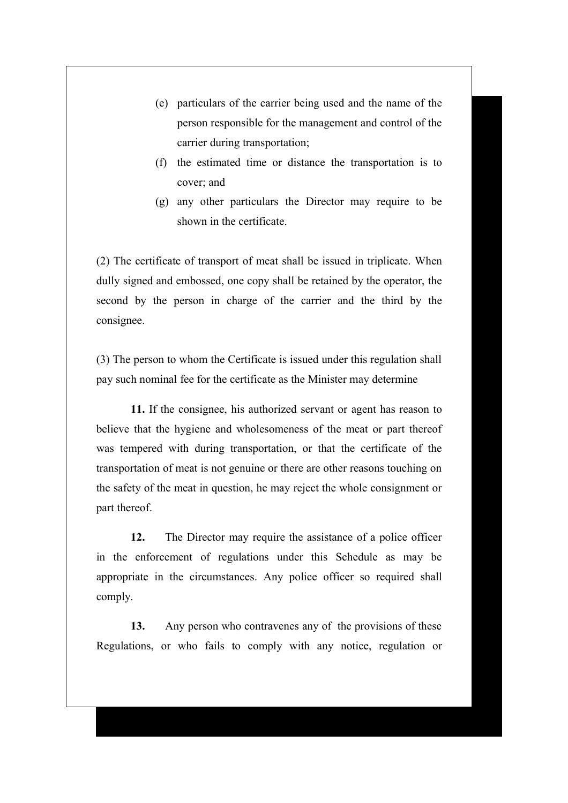- (e) particulars of the carrier being used and the name of the person responsible for the management and control of the carrier during transportation;
- (f) the estimated time or distance the transportation is to cover; and
- (g) any other particulars the Director may require to be shown in the certificate.

(2) The certificate of transport of meat shall be issued in triplicate. When dully signed and embossed, one copy shall be retained by the operator, the second by the person in charge of the carrier and the third by the consignee.

(3) The person to whom the Certificate is issued under this regulation shall pay such nominal fee for the certificate as the Minister may determine

**11.** If the consignee, his authorized servant or agent has reason to believe that the hygiene and wholesomeness of the meat or part thereof was tempered with during transportation, or that the certificate of the transportation of meat is not genuine or there are other reasons touching on the safety of the meat in question, he may reject the whole consignment or part thereof.

**12.** The Director may require the assistance of a police officer in the enforcement of regulations under this Schedule as may be appropriate in the circumstances. Any police officer so required shall comply.

**13.** Any person who contravenes any of the provisions of these Regulations, or who fails to comply with any notice, regulation or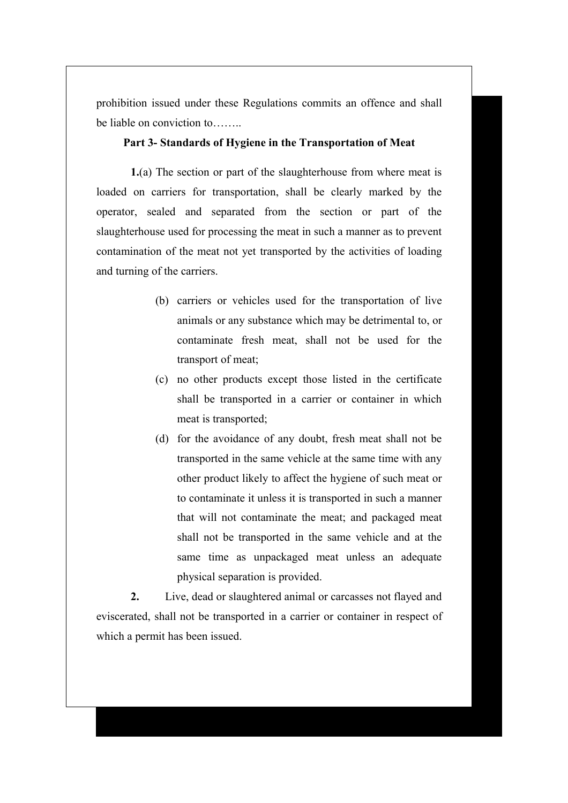prohibition issued under these Regulations commits an offence and shall be liable on conviction to……..

# **Part 3- Standards of Hygiene in the Transportation of Meat**

**1.**(a) The section or part of the slaughterhouse from where meat is loaded on carriers for transportation, shall be clearly marked by the operator, sealed and separated from the section or part of the slaughterhouse used for processing the meat in such a manner as to prevent contamination of the meat not yet transported by the activities of loading and turning of the carriers.

- (b) carriers or vehicles used for the transportation of live animals or any substance which may be detrimental to, or contaminate fresh meat, shall not be used for the transport of meat;
- (c) no other products except those listed in the certificate shall be transported in a carrier or container in which meat is transported;
- (d) for the avoidance of any doubt, fresh meat shall not be transported in the same vehicle at the same time with any other product likely to affect the hygiene of such meat or to contaminate it unless it is transported in such a manner that will not contaminate the meat; and packaged meat shall not be transported in the same vehicle and at the same time as unpackaged meat unless an adequate physical separation is provided.

**2.** Live, dead or slaughtered animal or carcasses not flayed and eviscerated, shall not be transported in a carrier or container in respect of which a permit has been issued.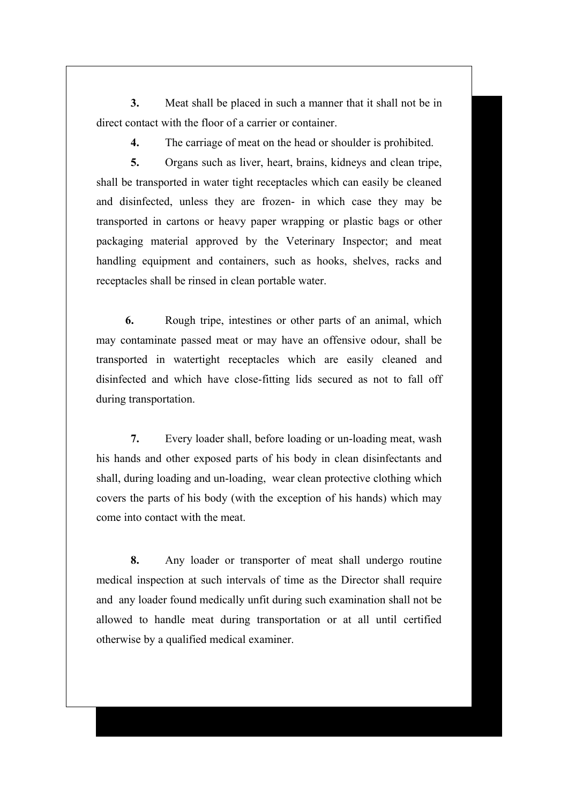**3.** Meat shall be placed in such a manner that it shall not be in direct contact with the floor of a carrier or container.

**4.** The carriage of meat on the head or shoulder is prohibited.

**5.** Organs such as liver, heart, brains, kidneys and clean tripe, shall be transported in water tight receptacles which can easily be cleaned and disinfected, unless they are frozen- in which case they may be transported in cartons or heavy paper wrapping or plastic bags or other packaging material approved by the Veterinary Inspector; and meat handling equipment and containers, such as hooks, shelves, racks and receptacles shall be rinsed in clean portable water.

**6.** Rough tripe, intestines or other parts of an animal, which may contaminate passed meat or may have an offensive odour, shall be transported in watertight receptacles which are easily cleaned and disinfected and which have close-fitting lids secured as not to fall off during transportation.

**7.** Every loader shall, before loading or un-loading meat, wash his hands and other exposed parts of his body in clean disinfectants and shall, during loading and un-loading, wear clean protective clothing which covers the parts of his body (with the exception of his hands) which may come into contact with the meat.

**8.** Any loader or transporter of meat shall undergo routine medical inspection at such intervals of time as the Director shall require and any loader found medically unfit during such examination shall not be allowed to handle meat during transportation or at all until certified otherwise by a qualified medical examiner.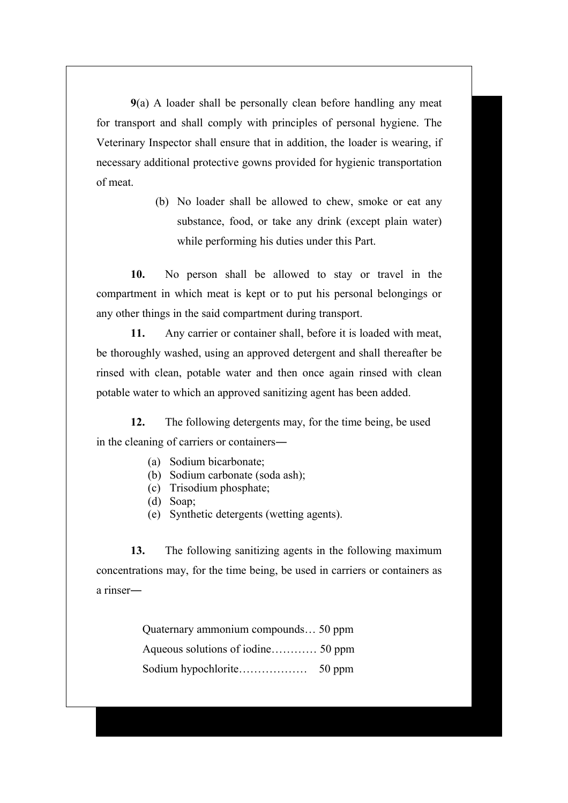**9**(a) A loader shall be personally clean before handling any meat for transport and shall comply with principles of personal hygiene. The Veterinary Inspector shall ensure that in addition, the loader is wearing, if necessary additional protective gowns provided for hygienic transportation of meat.

> (b) No loader shall be allowed to chew, smoke or eat any substance, food, or take any drink (except plain water) while performing his duties under this Part.

**10.** No person shall be allowed to stay or travel in the compartment in which meat is kept or to put his personal belongings or any other things in the said compartment during transport.

**11.** Any carrier or container shall, before it is loaded with meat, be thoroughly washed, using an approved detergent and shall thereafter be rinsed with clean, potable water and then once again rinsed with clean potable water to which an approved sanitizing agent has been added.

**12.** The following detergents may, for the time being, be used in the cleaning of carriers or containers―

- (a) Sodium bicarbonate;
- (b) Sodium carbonate (soda ash);
- (c) Trisodium phosphate;
- (d) Soap;
- (e) Synthetic detergents (wetting agents).

**13.** The following sanitizing agents in the following maximum concentrations may, for the time being, be used in carriers or containers as a rinser―

> Quaternary ammonium compounds… 50 ppm Aqueous solutions of iodine………… 50 ppm Sodium hypochlorite……………… 50 ppm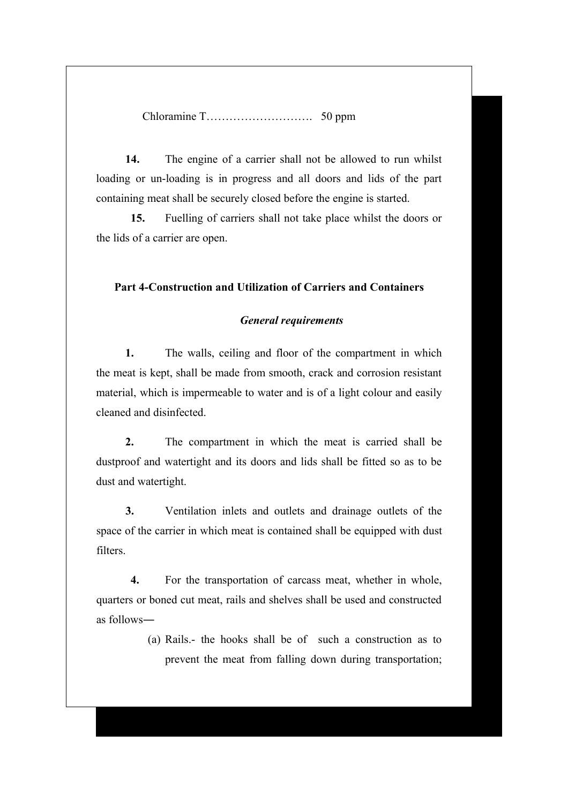Chloramine T………………………. 50 ppm

**14.** The engine of a carrier shall not be allowed to run whilst loading or un-loading is in progress and all doors and lids of the part containing meat shall be securely closed before the engine is started.

**15.** Fuelling of carriers shall not take place whilst the doors or the lids of a carrier are open.

## **Part 4-Construction and Utilization of Carriers and Containers**

#### *General requirements*

**1.** The walls, ceiling and floor of the compartment in which the meat is kept, shall be made from smooth, crack and corrosion resistant material, which is impermeable to water and is of a light colour and easily cleaned and disinfected.

**2.** The compartment in which the meat is carried shall be dustproof and watertight and its doors and lids shall be fitted so as to be dust and watertight.

**3.** Ventilation inlets and outlets and drainage outlets of the space of the carrier in which meat is contained shall be equipped with dust filters.

**4.** For the transportation of carcass meat, whether in whole, quarters or boned cut meat, rails and shelves shall be used and constructed as follows―

> (a) Rails.- the hooks shall be of such a construction as to prevent the meat from falling down during transportation;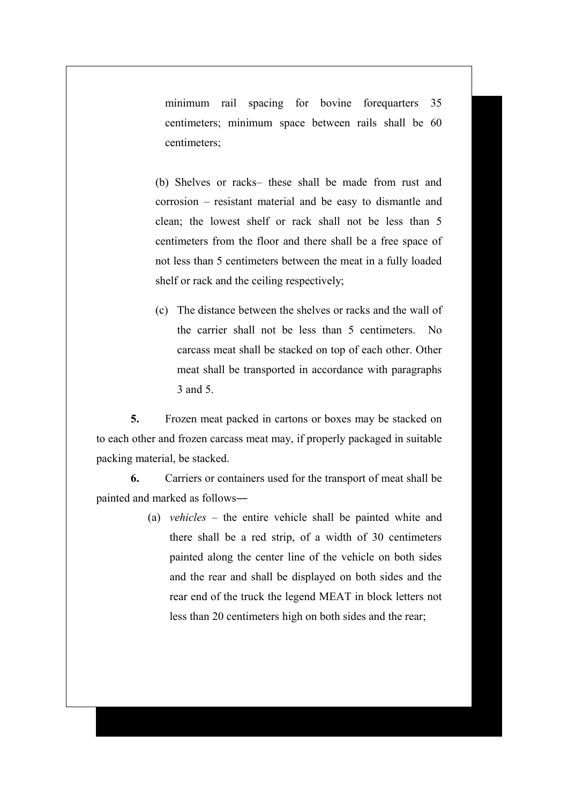minimum rail spacing for bovine forequarters 35 centimeters; minimum space between rails shall be 60 centimeters;

(b) Shelves or racks– these shall be made from rust and corrosion – resistant material and be easy to dismantle and clean; the lowest shelf or rack shall not be less than 5 centimeters from the floor and there shall be a free space of not less than 5 centimeters between the meat in a fully loaded shelf or rack and the ceiling respectively;

(c) The distance between the shelves or racks and the wall of the carrier shall not be less than 5 centimeters. No carcass meat shall be stacked on top of each other. Other meat shall be transported in accordance with paragraphs 3 and 5.

**5.** Frozen meat packed in cartons or boxes may be stacked on to each other and frozen carcass meat may, if properly packaged in suitable packing material, be stacked.

**6.** Carriers or containers used for the transport of meat shall be painted and marked as follows―

> (a) *vehicles* – the entire vehicle shall be painted white and there shall be a red strip, of a width of 30 centimeters painted along the center line of the vehicle on both sides and the rear and shall be displayed on both sides and the rear end of the truck the legend MEAT in block letters not less than 20 centimeters high on both sides and the rear;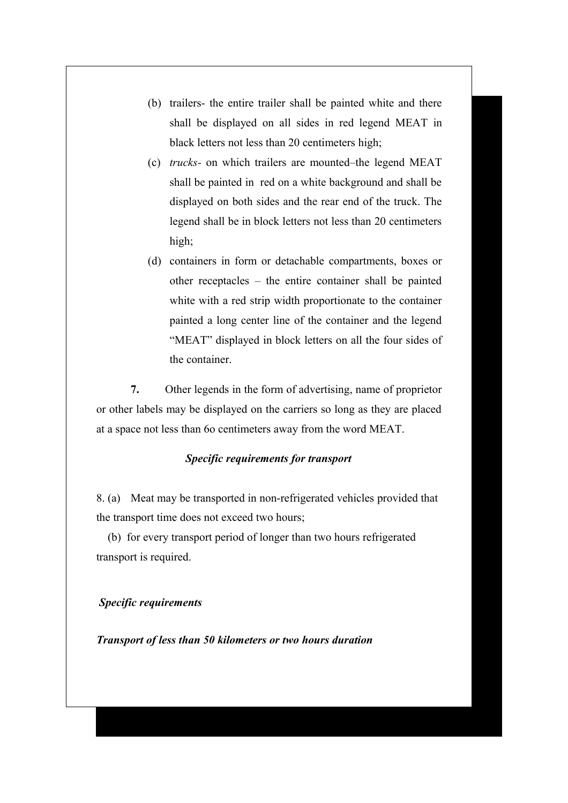- (b) trailers- the entire trailer shall be painted white and there shall be displayed on all sides in red legend MEAT in black letters not less than 20 centimeters high;
- (c) *trucks-* on which trailers are mounted–the legend MEAT shall be painted in red on a white background and shall be displayed on both sides and the rear end of the truck. The legend shall be in block letters not less than 20 centimeters high;
- (d) containers in form or detachable compartments, boxes or other receptacles – the entire container shall be painted white with a red strip width proportionate to the container painted a long center line of the container and the legend "MEAT" displayed in block letters on all the four sides of the container.

**7.** Other legends in the form of advertising, name of proprietor or other labels may be displayed on the carriers so long as they are placed at a space not less than 6o centimeters away from the word MEAT.

#### *Specific requirements for transport*

8. (a) Meat may be transported in non-refrigerated vehicles provided that the transport time does not exceed two hours;

 (b) for every transport period of longer than two hours refrigerated transport is required.

#### *Specific requirements*

*Transport of less than 50 kilometers or two hours duration*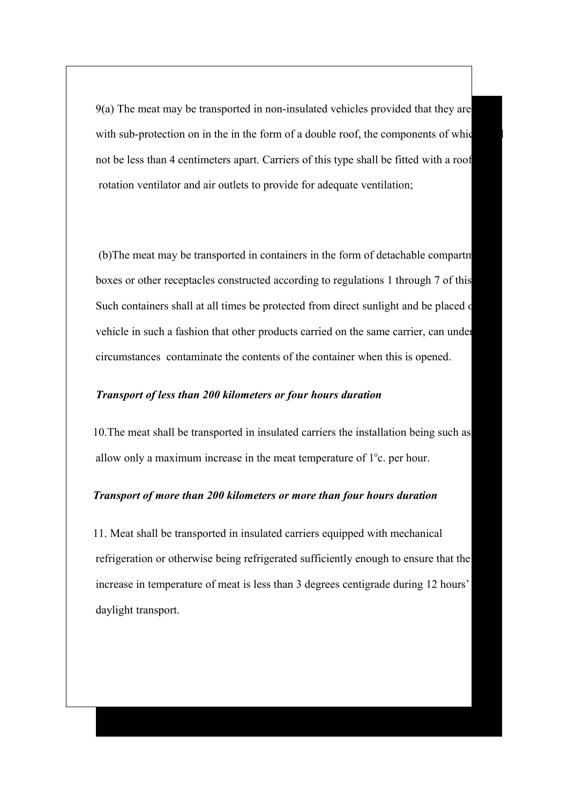$9(a)$  The meat may be transported in non-insulated vehicles provided that they are with sub-protection on in the in the form of a double roof, the components of which not be less than 4 centimeters apart. Carriers of this type shall be fitted with a roof rotation ventilator and air outlets to provide for adequate ventilation;

(b)The meat may be transported in containers in the form of detachable compartm boxes or other receptacles constructed according to regulations 1 through 7 of this Such containers shall at all times be protected from direct sunlight and be placed on vehicle in such a fashion that other products carried on the same carrier, can under circumstances contaminate the contents of the container when this is opened.

# *Transport of less than 200 kilometers or four hours duration*

10. The meat shall be transported in insulated carriers the installation being such as allow only a maximum increase in the meat temperature of  $1^{\circ}$ c. per hour.

## *Transport of more than 200 kilometers or more than four hours duration*

 11. Meat shall be transported in insulated carriers equipped with mechanical refrigeration or otherwise being refrigerated sufficiently enough to ensure that the increase in temperature of meat is less than 3 degrees centigrade during 12 hours' daylight transport.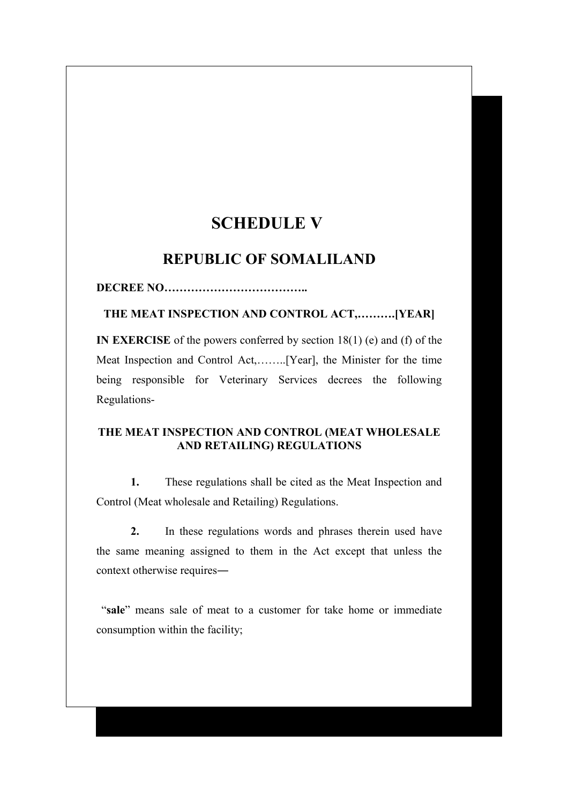# **SCHEDULE V**

# **REPUBLIC OF SOMALILAND**

**DECREE NO………………………………..**

**THE MEAT INSPECTION AND CONTROL ACT,……….[YEAR]**

**IN EXERCISE** of the powers conferred by section 18(1) (e) and (f) of the Meat Inspection and Control Act,……..[Year], the Minister for the time being responsible for Veterinary Services decrees the following Regulations-

# **THE MEAT INSPECTION AND CONTROL (MEAT WHOLESALE AND RETAILING) REGULATIONS**

**1.** These regulations shall be cited as the Meat Inspection and Control (Meat wholesale and Retailing) Regulations.

**2.** In these regulations words and phrases therein used have the same meaning assigned to them in the Act except that unless the context otherwise requires―

 "**sale**" means sale of meat to a customer for take home or immediate consumption within the facility;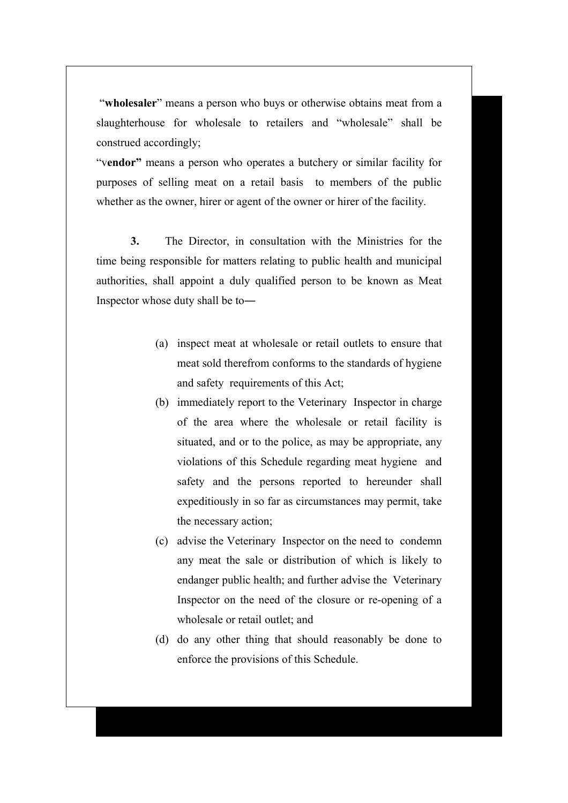"**wholesaler**" means a person who buys or otherwise obtains meat from a slaughterhouse for wholesale to retailers and "wholesale" shall be construed accordingly;

"v**endor"** means a person who operates a butchery or similar facility for purposes of selling meat on a retail basis to members of the public whether as the owner, hirer or agent of the owner or hirer of the facility.

**3.** The Director, in consultation with the Ministries for the time being responsible for matters relating to public health and municipal authorities, shall appoint a duly qualified person to be known as Meat Inspector whose duty shall be to―

- (a) inspect meat at wholesale or retail outlets to ensure that meat sold therefrom conforms to the standards of hygiene and safety requirements of this Act;
- (b) immediately report to the Veterinary Inspector in charge of the area where the wholesale or retail facility is situated, and or to the police, as may be appropriate, any violations of this Schedule regarding meat hygiene and safety and the persons reported to hereunder shall expeditiously in so far as circumstances may permit, take the necessary action;
- (c) advise the Veterinary Inspector on the need to condemn any meat the sale or distribution of which is likely to endanger public health; and further advise the Veterinary Inspector on the need of the closure or re-opening of a wholesale or retail outlet; and
- (d) do any other thing that should reasonably be done to enforce the provisions of this Schedule.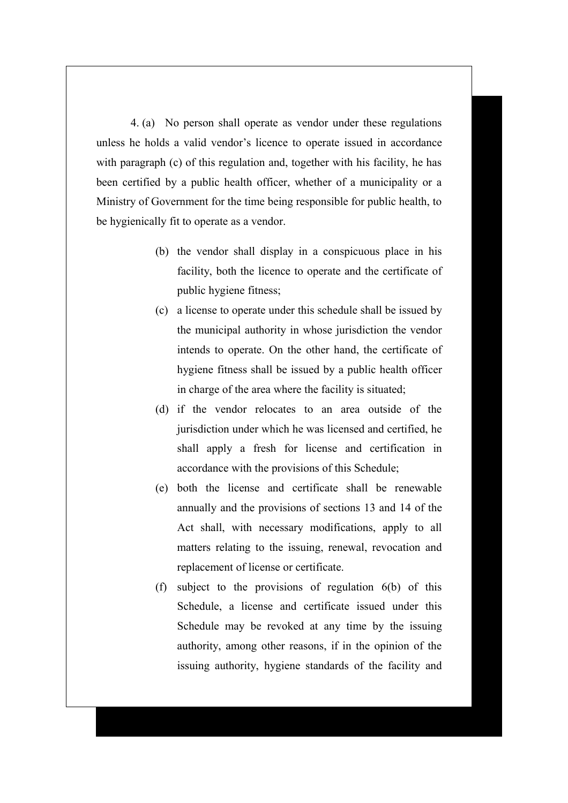4. (a) No person shall operate as vendor under these regulations unless he holds a valid vendor's licence to operate issued in accordance with paragraph (c) of this regulation and, together with his facility, he has been certified by a public health officer, whether of a municipality or a Ministry of Government for the time being responsible for public health, to be hygienically fit to operate as a vendor.

- (b) the vendor shall display in a conspicuous place in his facility, both the licence to operate and the certificate of public hygiene fitness;
- (c) a license to operate under this schedule shall be issued by the municipal authority in whose jurisdiction the vendor intends to operate. On the other hand, the certificate of hygiene fitness shall be issued by a public health officer in charge of the area where the facility is situated;
- (d) if the vendor relocates to an area outside of the jurisdiction under which he was licensed and certified, he shall apply a fresh for license and certification in accordance with the provisions of this Schedule;
- (e) both the license and certificate shall be renewable annually and the provisions of sections 13 and 14 of the Act shall, with necessary modifications, apply to all matters relating to the issuing, renewal, revocation and replacement of license or certificate.
- (f) subject to the provisions of regulation 6(b) of this Schedule, a license and certificate issued under this Schedule may be revoked at any time by the issuing authority, among other reasons, if in the opinion of the issuing authority, hygiene standards of the facility and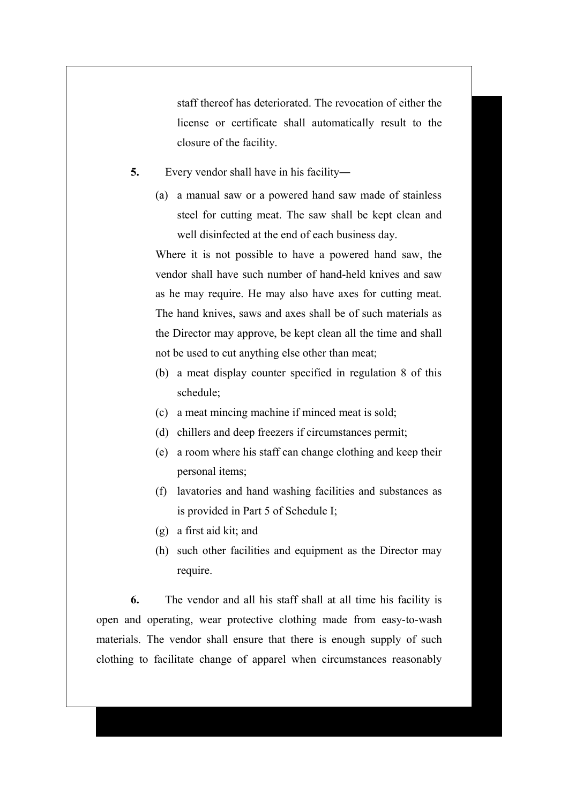staff thereof has deteriorated. The revocation of either the license or certificate shall automatically result to the closure of the facility.

- **5.** Every vendor shall have in his facility―
	- (a) a manual saw or a powered hand saw made of stainless steel for cutting meat. The saw shall be kept clean and well disinfected at the end of each business day.

Where it is not possible to have a powered hand saw, the vendor shall have such number of hand-held knives and saw as he may require. He may also have axes for cutting meat. The hand knives, saws and axes shall be of such materials as the Director may approve, be kept clean all the time and shall not be used to cut anything else other than meat;

- (b) a meat display counter specified in regulation 8 of this schedule;
- (c) a meat mincing machine if minced meat is sold;
- (d) chillers and deep freezers if circumstances permit;
- (e) a room where his staff can change clothing and keep their personal items;
- (f) lavatories and hand washing facilities and substances as is provided in Part 5 of Schedule I;
- (g) a first aid kit; and
- (h) such other facilities and equipment as the Director may require.

**6.** The vendor and all his staff shall at all time his facility is open and operating, wear protective clothing made from easy-to-wash materials. The vendor shall ensure that there is enough supply of such clothing to facilitate change of apparel when circumstances reasonably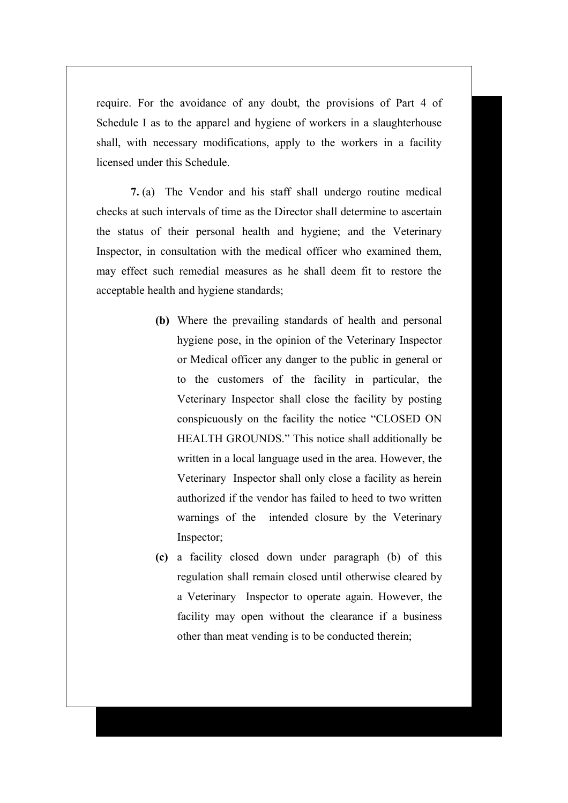require. For the avoidance of any doubt, the provisions of Part 4 of Schedule I as to the apparel and hygiene of workers in a slaughterhouse shall, with necessary modifications, apply to the workers in a facility licensed under this Schedule.

**7.** (a) The Vendor and his staff shall undergo routine medical checks at such intervals of time as the Director shall determine to ascertain the status of their personal health and hygiene; and the Veterinary Inspector, in consultation with the medical officer who examined them, may effect such remedial measures as he shall deem fit to restore the acceptable health and hygiene standards;

- **(b)** Where the prevailing standards of health and personal hygiene pose, in the opinion of the Veterinary Inspector or Medical officer any danger to the public in general or to the customers of the facility in particular, the Veterinary Inspector shall close the facility by posting conspicuously on the facility the notice "CLOSED ON HEALTH GROUNDS." This notice shall additionally be written in a local language used in the area. However, the Veterinary Inspector shall only close a facility as herein authorized if the vendor has failed to heed to two written warnings of the intended closure by the Veterinary Inspector;
- **(c)** a facility closed down under paragraph (b) of this regulation shall remain closed until otherwise cleared by a Veterinary Inspector to operate again. However, the facility may open without the clearance if a business other than meat vending is to be conducted therein;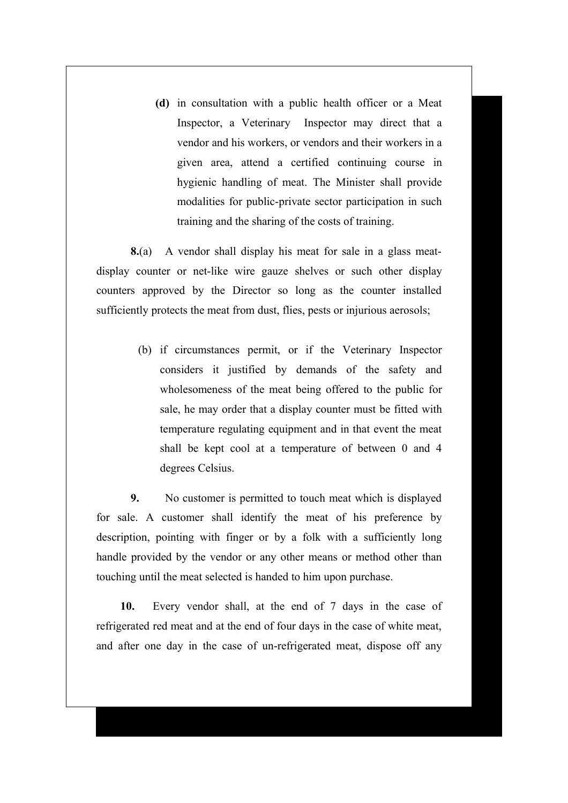**(d)** in consultation with a public health officer or a Meat Inspector, a Veterinary Inspector may direct that a vendor and his workers, or vendors and their workers in a given area, attend a certified continuing course in hygienic handling of meat. The Minister shall provide modalities for public-private sector participation in such training and the sharing of the costs of training.

**8.**(a) A vendor shall display his meat for sale in a glass meatdisplay counter or net-like wire gauze shelves or such other display counters approved by the Director so long as the counter installed sufficiently protects the meat from dust, flies, pests or injurious aerosols;

> (b) if circumstances permit, or if the Veterinary Inspector considers it justified by demands of the safety and wholesomeness of the meat being offered to the public for sale, he may order that a display counter must be fitted with temperature regulating equipment and in that event the meat shall be kept cool at a temperature of between 0 and 4 degrees Celsius.

**9.** No customer is permitted to touch meat which is displayed for sale. A customer shall identify the meat of his preference by description, pointing with finger or by a folk with a sufficiently long handle provided by the vendor or any other means or method other than touching until the meat selected is handed to him upon purchase.

**10.** Every vendor shall, at the end of 7 days in the case of refrigerated red meat and at the end of four days in the case of white meat, and after one day in the case of un-refrigerated meat, dispose off any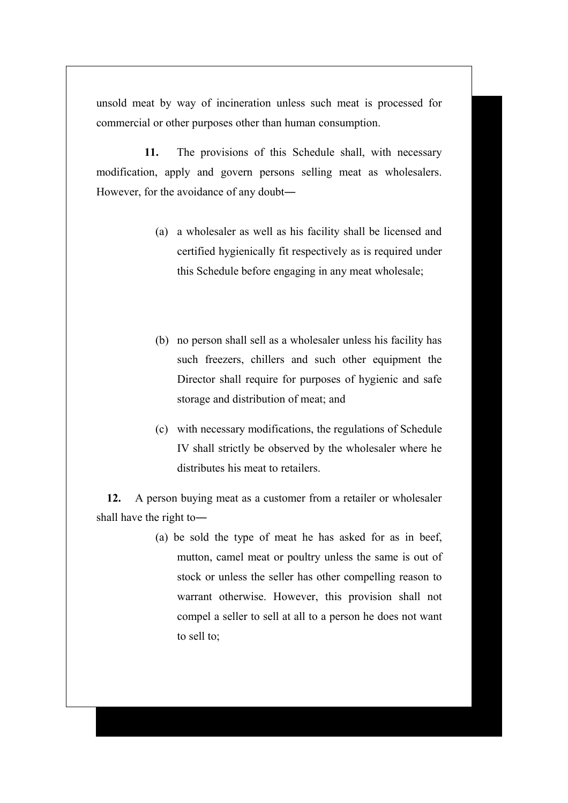unsold meat by way of incineration unless such meat is processed for commercial or other purposes other than human consumption.

 **11.** The provisions of this Schedule shall, with necessary modification, apply and govern persons selling meat as wholesalers. However, for the avoidance of any doubt―

- (a) a wholesaler as well as his facility shall be licensed and certified hygienically fit respectively as is required under this Schedule before engaging in any meat wholesale;
- (b) no person shall sell as a wholesaler unless his facility has such freezers, chillers and such other equipment the Director shall require for purposes of hygienic and safe storage and distribution of meat; and
- (c) with necessary modifications, the regulations of Schedule IV shall strictly be observed by the wholesaler where he distributes his meat to retailers.

 **12.** A person buying meat as a customer from a retailer or wholesaler shall have the right to―

> (a) be sold the type of meat he has asked for as in beef, mutton, camel meat or poultry unless the same is out of stock or unless the seller has other compelling reason to warrant otherwise. However, this provision shall not compel a seller to sell at all to a person he does not want to sell to;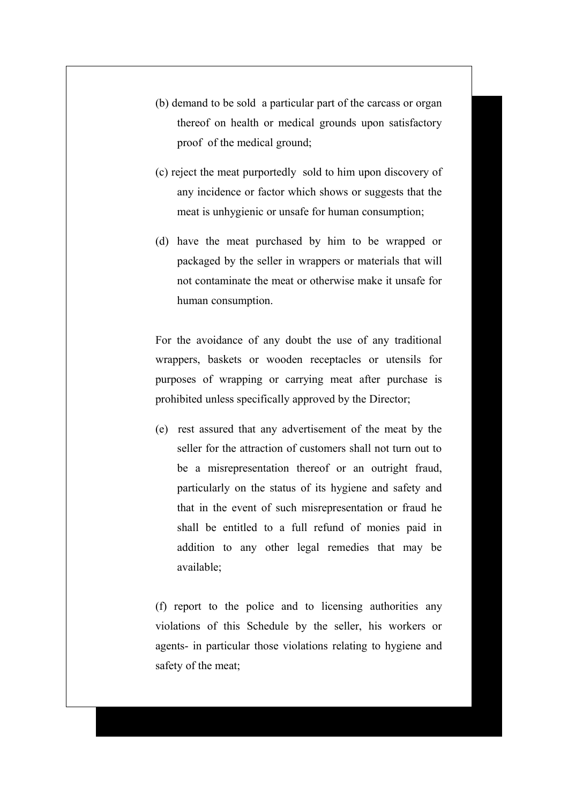- (b) demand to be sold a particular part of the carcass or organ thereof on health or medical grounds upon satisfactory proof of the medical ground;
- (c) reject the meat purportedly sold to him upon discovery of any incidence or factor which shows or suggests that the meat is unhygienic or unsafe for human consumption;
- (d) have the meat purchased by him to be wrapped or packaged by the seller in wrappers or materials that will not contaminate the meat or otherwise make it unsafe for human consumption.

For the avoidance of any doubt the use of any traditional wrappers, baskets or wooden receptacles or utensils for purposes of wrapping or carrying meat after purchase is prohibited unless specifically approved by the Director;

(e) rest assured that any advertisement of the meat by the seller for the attraction of customers shall not turn out to be a misrepresentation thereof or an outright fraud, particularly on the status of its hygiene and safety and that in the event of such misrepresentation or fraud he shall be entitled to a full refund of monies paid in addition to any other legal remedies that may be available;

(f) report to the police and to licensing authorities any violations of this Schedule by the seller, his workers or agents- in particular those violations relating to hygiene and safety of the meat;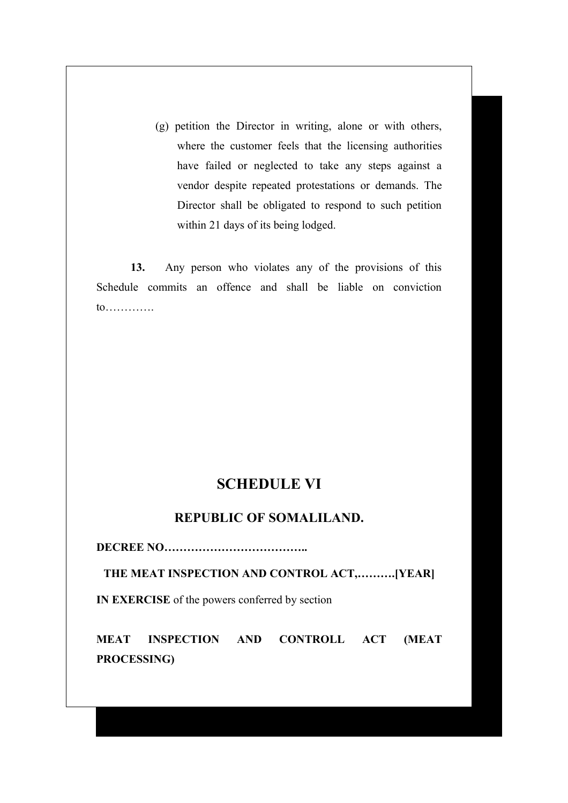(g) petition the Director in writing, alone or with others, where the customer feels that the licensing authorities have failed or neglected to take any steps against a vendor despite repeated protestations or demands. The Director shall be obligated to respond to such petition within 21 days of its being lodged.

**13.** Any person who violates any of the provisions of this Schedule commits an offence and shall be liable on conviction to………….

# **SCHEDULE VI**

# **REPUBLIC OF SOMALILAND.**

**DECREE NO………………………………..**

**THE MEAT INSPECTION AND CONTROL ACT,……….[YEAR]**

**IN EXERCISE** of the powers conferred by section

**MEAT INSPECTION AND CONTROLL ACT (MEAT PROCESSING)**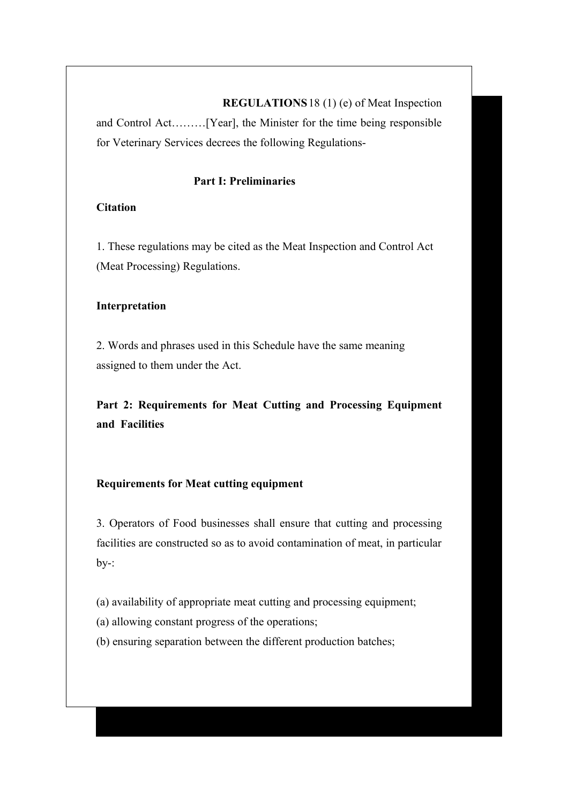**REGULATIONS**18 (1) (e) of Meat Inspection and Control Act………[Year], the Minister for the time being responsible for Veterinary Services decrees the following Regulations-

### **Part I: Preliminaries**

### **Citation**

1. These regulations may be cited as the Meat Inspection and Control Act (Meat Processing) Regulations.

### **Interpretation**

2. Words and phrases used in this Schedule have the same meaning assigned to them under the Act.

**Part 2: Requirements for Meat Cutting and Processing Equipment and Facilities**

### **Requirements for Meat cutting equipment**

3. Operators of Food businesses shall ensure that cutting and processing facilities are constructed so as to avoid contamination of meat, in particular  $by-$ :

(a) availability of appropriate meat cutting and processing equipment;

(a) allowing constant progress of the operations;

(b) ensuring separation between the different production batches;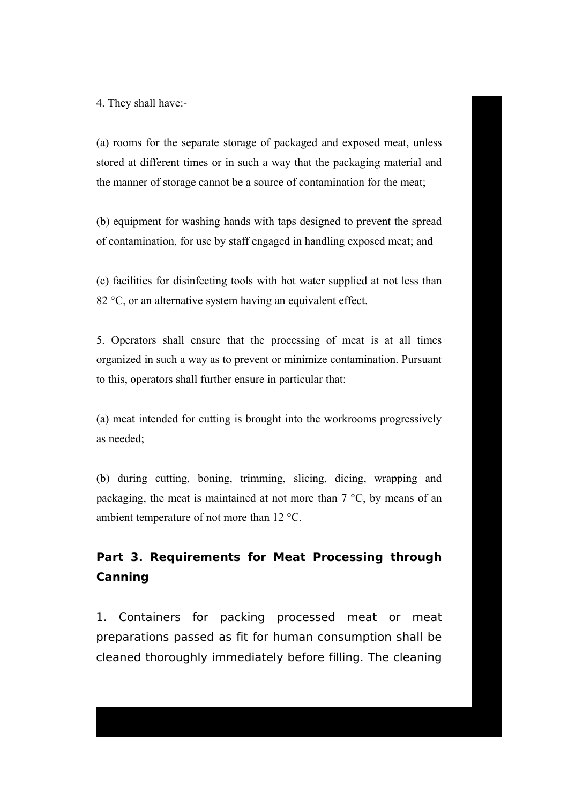4. They shall have:-

(a) rooms for the separate storage of packaged and exposed meat, unless stored at different times or in such a way that the packaging material and the manner of storage cannot be a source of contamination for the meat;

(b) equipment for washing hands with taps designed to prevent the spread of contamination, for use by staff engaged in handling exposed meat; and

(c) facilities for disinfecting tools with hot water supplied at not less than 82 °C, or an alternative system having an equivalent effect.

5. Operators shall ensure that the processing of meat is at all times organized in such a way as to prevent or minimize contamination. Pursuant to this, operators shall further ensure in particular that:

(a) meat intended for cutting is brought into the workrooms progressively as needed;

(b) during cutting, boning, trimming, slicing, dicing, wrapping and packaging, the meat is maintained at not more than 7 °C, by means of an ambient temperature of not more than 12 °C.

# **Part 3. Requirements for Meat Processing through Canning**

1. Containers for packing processed meat or meat preparations passed as fit for human consumption shall be cleaned thoroughly immediately before filling. The cleaning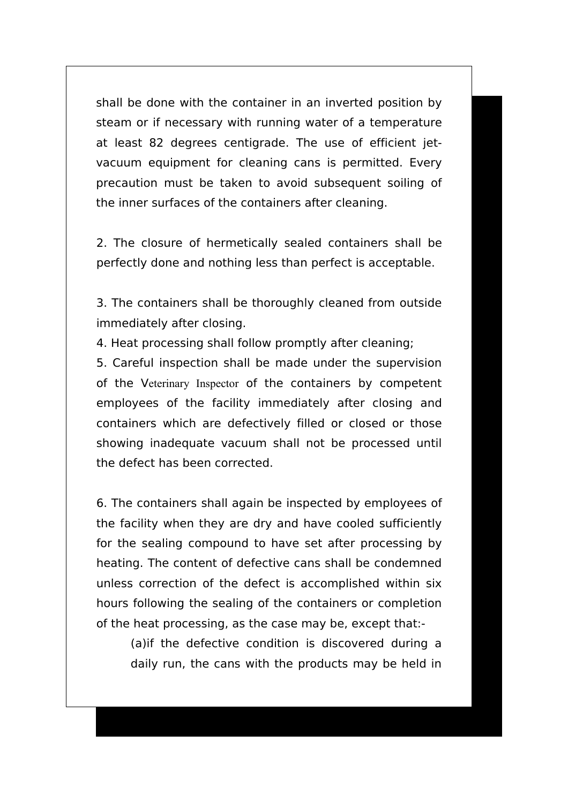shall be done with the container in an inverted position by steam or if necessary with running water of a temperature at least 82 degrees centigrade. The use of efficient jetvacuum equipment for cleaning cans is permitted. Every precaution must be taken to avoid subsequent soiling of the inner surfaces of the containers after cleaning.

2. The closure of hermetically sealed containers shall be perfectly done and nothing less than perfect is acceptable.

3. The containers shall be thoroughly cleaned from outside immediately after closing.

4. Heat processing shall follow promptly after cleaning;

5. Careful inspection shall be made under the supervision of the Veterinary Inspector of the containers by competent employees of the facility immediately after closing and containers which are defectively filled or closed or those showing inadequate vacuum shall not be processed until the defect has been corrected.

6. The containers shall again be inspected by employees of the facility when they are dry and have cooled sufficiently for the sealing compound to have set after processing by heating. The content of defective cans shall be condemned unless correction of the defect is accomplished within six hours following the sealing of the containers or completion of the heat processing, as the case may be, except that:-

(a)if the defective condition is discovered during a daily run, the cans with the products may be held in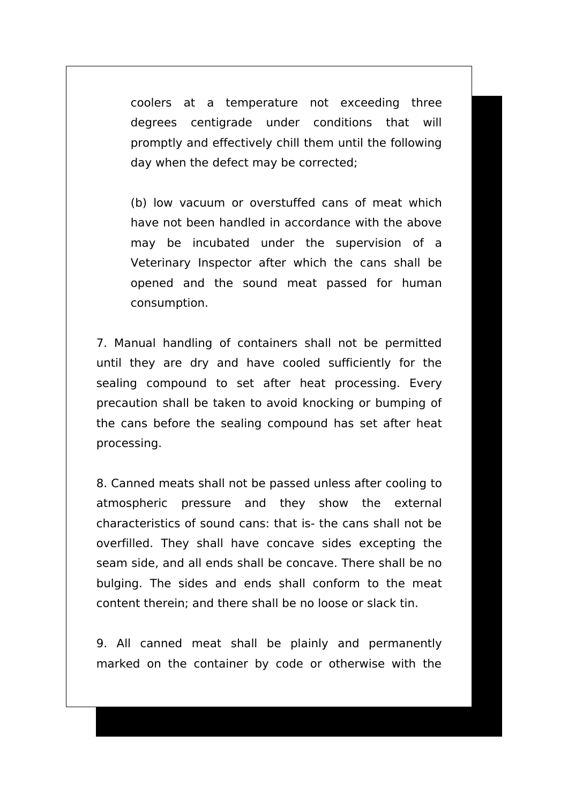coolers at a temperature not exceeding three degrees centigrade under conditions that will promptly and effectively chill them until the following day when the defect may be corrected;

(b) low vacuum or overstuffed cans of meat which have not been handled in accordance with the above may be incubated under the supervision of a Veterinary Inspector after which the cans shall be opened and the sound meat passed for human consumption.

7. Manual handling of containers shall not be permitted until they are dry and have cooled sufficiently for the sealing compound to set after heat processing. Every precaution shall be taken to avoid knocking or bumping of the cans before the sealing compound has set after heat processing.

8. Canned meats shall not be passed unless after cooling to atmospheric pressure and they show the external characteristics of sound cans: that is- the cans shall not be overfilled. They shall have concave sides excepting the seam side, and all ends shall be concave. There shall be no bulging. The sides and ends shall conform to the meat content therein; and there shall be no loose or slack tin.

9. All canned meat shall be plainly and permanently marked on the container by code or otherwise with the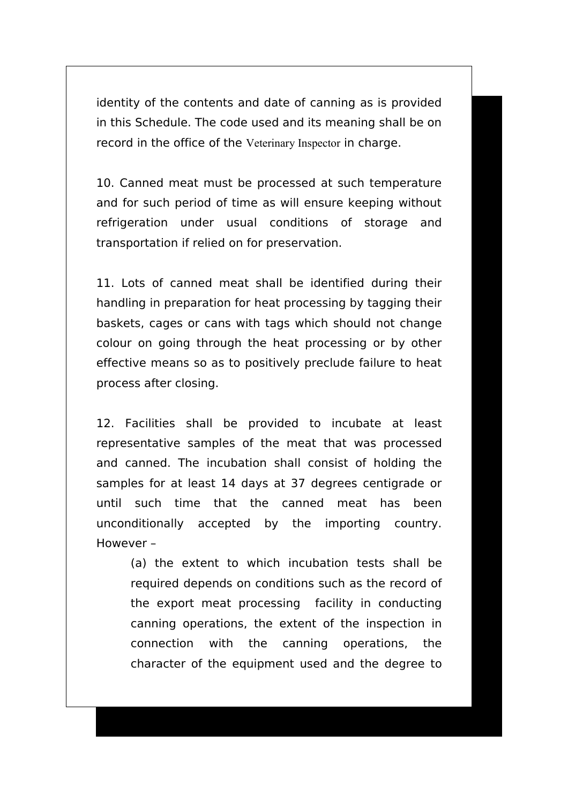identity of the contents and date of canning as is provided in this Schedule. The code used and its meaning shall be on record in the office of the Veterinary Inspector in charge.

10. Canned meat must be processed at such temperature and for such period of time as will ensure keeping without refrigeration under usual conditions of storage and transportation if relied on for preservation.

11. Lots of canned meat shall be identified during their handling in preparation for heat processing by tagging their baskets, cages or cans with tags which should not change colour on going through the heat processing or by other effective means so as to positively preclude failure to heat process after closing.

12. Facilities shall be provided to incubate at least representative samples of the meat that was processed and canned. The incubation shall consist of holding the samples for at least 14 days at 37 degrees centigrade or until such time that the canned meat has been unconditionally accepted by the importing country. However –

(a) the extent to which incubation tests shall be required depends on conditions such as the record of the export meat processing facility in conducting canning operations, the extent of the inspection in connection with the canning operations, the character of the equipment used and the degree to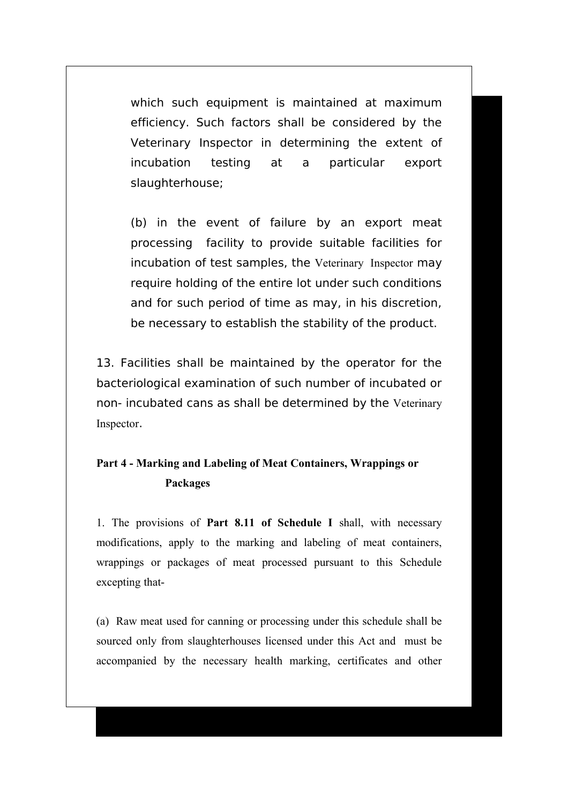which such equipment is maintained at maximum efficiency. Such factors shall be considered by the Veterinary Inspector in determining the extent of incubation testing at a particular export slaughterhouse;

(b) in the event of failure by an export meat processing facility to provide suitable facilities for incubation of test samples, the Veterinary Inspector may require holding of the entire lot under such conditions and for such period of time as may, in his discretion, be necessary to establish the stability of the product.

13. Facilities shall be maintained by the operator for the bacteriological examination of such number of incubated or non- incubated cans as shall be determined by the Veterinary Inspector.

## **Part 4 - Marking and Labeling of Meat Containers, Wrappings or Packages**

1. The provisions of **Part 8.11 of Schedule I** shall, with necessary modifications, apply to the marking and labeling of meat containers, wrappings or packages of meat processed pursuant to this Schedule excepting that-

(a)Raw meat used for canning or processing under this schedule shall be sourced only from slaughterhouses licensed under this Act and must be accompanied by the necessary health marking, certificates and other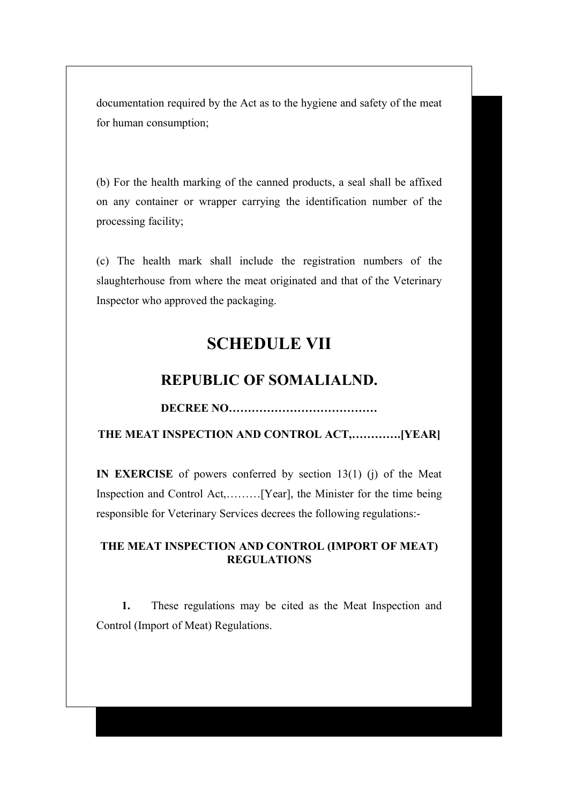documentation required by the Act as to the hygiene and safety of the meat for human consumption;

(b) For the health marking of the canned products, a seal shall be affixed on any container or wrapper carrying the identification number of the processing facility;

(c) The health mark shall include the registration numbers of the slaughterhouse from where the meat originated and that of the Veterinary Inspector who approved the packaging.

# **SCHEDULE VII**

## **REPUBLIC OF SOMALIALND.**

**DECREE NO…………………………………**

**THE MEAT INSPECTION AND CONTROL ACT,………….[YEAR]**

**IN EXERCISE** of powers conferred by section 13(1) (j) of the Meat Inspection and Control Act,………[Year], the Minister for the time being responsible for Veterinary Services decrees the following regulations:-

### **THE MEAT INSPECTION AND CONTROL (IMPORT OF MEAT) REGULATIONS**

**1.** These regulations may be cited as the Meat Inspection and Control (Import of Meat) Regulations.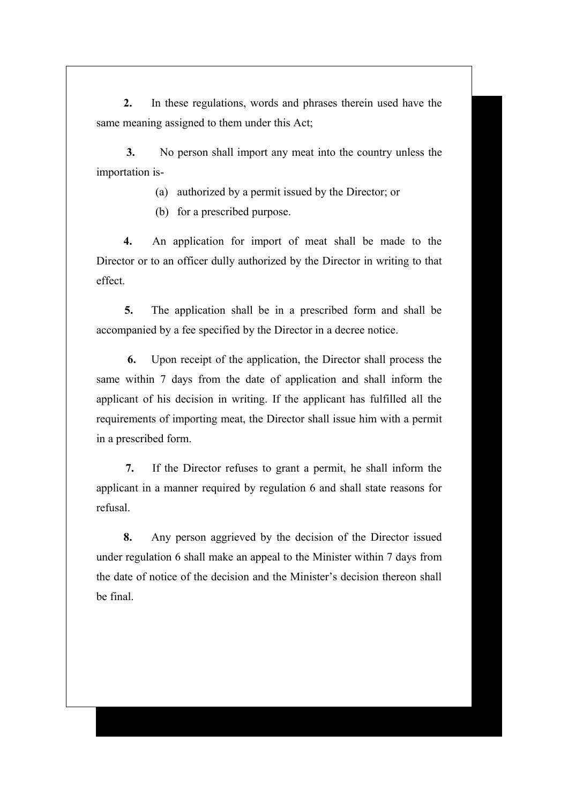**2.** In these regulations, words and phrases therein used have the same meaning assigned to them under this Act;

**3.** No person shall import any meat into the country unless the importation is-

(a) authorized by a permit issued by the Director; or

(b) for a prescribed purpose.

**4.** An application for import of meat shall be made to the Director or to an officer dully authorized by the Director in writing to that effect.

**5.** The application shall be in a prescribed form and shall be accompanied by a fee specified by the Director in a decree notice.

**6.** Upon receipt of the application, the Director shall process the same within 7 days from the date of application and shall inform the applicant of his decision in writing. If the applicant has fulfilled all the requirements of importing meat, the Director shall issue him with a permit in a prescribed form.

**7.** If the Director refuses to grant a permit, he shall inform the applicant in a manner required by regulation 6 and shall state reasons for refusal.

**8.** Any person aggrieved by the decision of the Director issued under regulation 6 shall make an appeal to the Minister within 7 days from the date of notice of the decision and the Minister's decision thereon shall be final.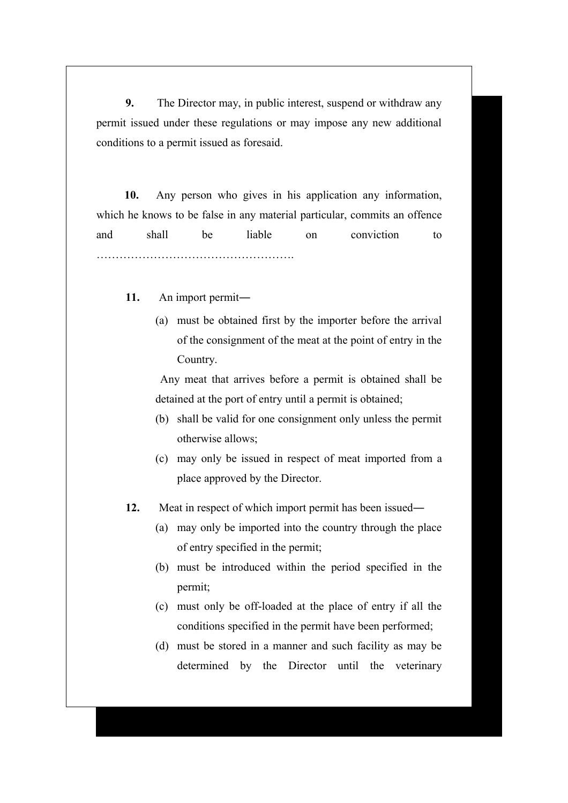**9.** The Director may, in public interest, suspend or withdraw any permit issued under these regulations or may impose any new additional conditions to a permit issued as foresaid.

**10.** Any person who gives in his application any information, which he knows to be false in any material particular, commits an offence and shall be liable on conviction to …………………………………………….

**11.** An import permit―

(a) must be obtained first by the importer before the arrival of the consignment of the meat at the point of entry in the Country.

 Any meat that arrives before a permit is obtained shall be detained at the port of entry until a permit is obtained;

- (b) shall be valid for one consignment only unless the permit otherwise allows;
- (c) may only be issued in respect of meat imported from a place approved by the Director.
- **12.** Meat in respect of which import permit has been issued―
	- (a) may only be imported into the country through the place of entry specified in the permit;
	- (b) must be introduced within the period specified in the permit;
	- (c) must only be off-loaded at the place of entry if all the conditions specified in the permit have been performed;
	- (d) must be stored in a manner and such facility as may be determined by the Director until the veterinary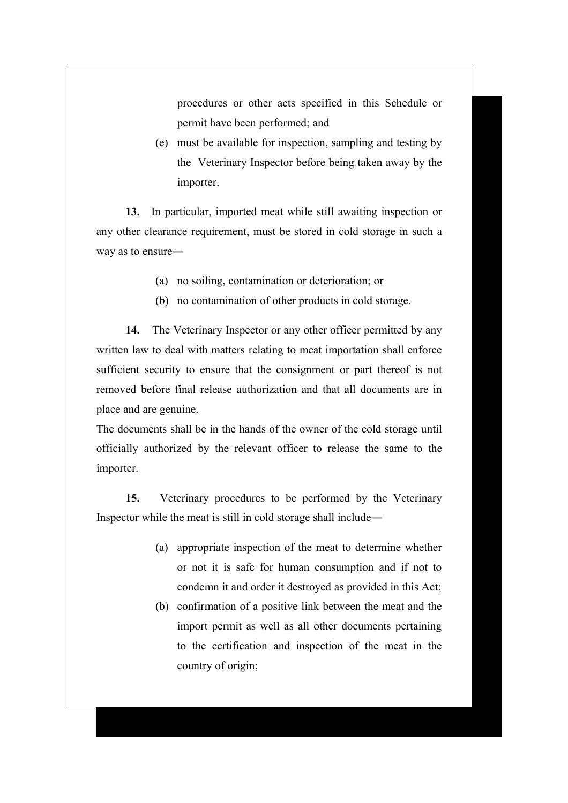procedures or other acts specified in this Schedule or permit have been performed; and

(e) must be available for inspection, sampling and testing by the Veterinary Inspector before being taken away by the importer.

**13.** In particular, imported meat while still awaiting inspection or any other clearance requirement, must be stored in cold storage in such a way as to ensure―

- (a) no soiling, contamination or deterioration; or
- (b) no contamination of other products in cold storage.

**14.** The Veterinary Inspector or any other officer permitted by any written law to deal with matters relating to meat importation shall enforce sufficient security to ensure that the consignment or part thereof is not removed before final release authorization and that all documents are in place and are genuine.

The documents shall be in the hands of the owner of the cold storage until officially authorized by the relevant officer to release the same to the importer.

**15.** Veterinary procedures to be performed by the Veterinary Inspector while the meat is still in cold storage shall include―

- (a) appropriate inspection of the meat to determine whether or not it is safe for human consumption and if not to condemn it and order it destroyed as provided in this Act;
- (b) confirmation of a positive link between the meat and the import permit as well as all other documents pertaining to the certification and inspection of the meat in the country of origin;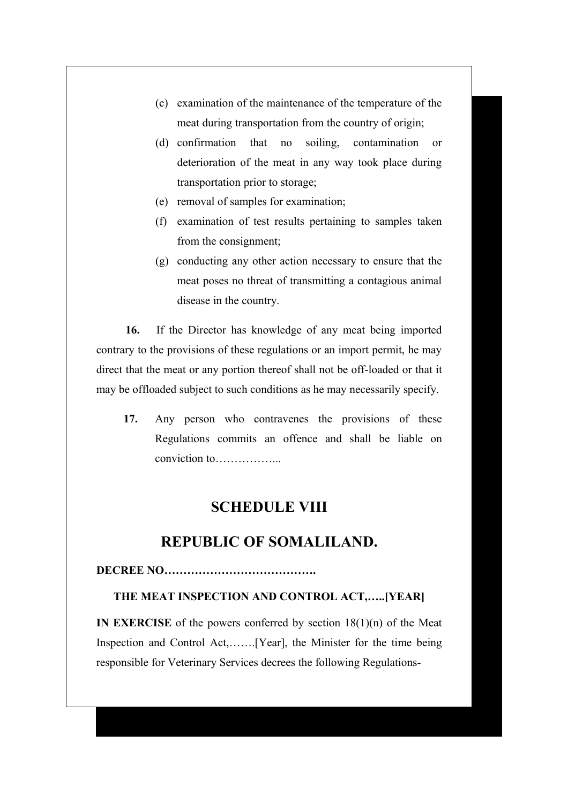- (c) examination of the maintenance of the temperature of the meat during transportation from the country of origin;
- (d) confirmation that no soiling, contamination or deterioration of the meat in any way took place during transportation prior to storage;
- (e) removal of samples for examination;
- (f) examination of test results pertaining to samples taken from the consignment;
- (g) conducting any other action necessary to ensure that the meat poses no threat of transmitting a contagious animal disease in the country.

**16.** If the Director has knowledge of any meat being imported contrary to the provisions of these regulations or an import permit, he may direct that the meat or any portion thereof shall not be off-loaded or that it may be offloaded subject to such conditions as he may necessarily specify.

**17.** Any person who contravenes the provisions of these Regulations commits an offence and shall be liable on conviction to

## **SCHEDULE VIII**

## **REPUBLIC OF SOMALILAND.**

#### **DECREE NO………………………………….**

#### **THE MEAT INSPECTION AND CONTROL ACT,…..[YEAR]**

**IN EXERCISE** of the powers conferred by section 18(1)(n) of the Meat Inspection and Control Act,…….[Year], the Minister for the time being responsible for Veterinary Services decrees the following Regulations-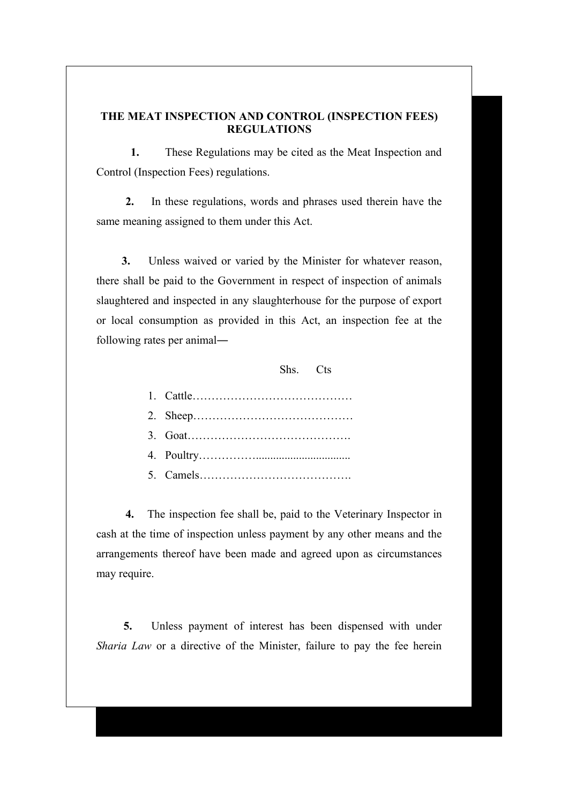#### **THE MEAT INSPECTION AND CONTROL (INSPECTION FEES) REGULATIONS**

**1.** These Regulations may be cited as the Meat Inspection and Control (Inspection Fees) regulations.

**2.** In these regulations, words and phrases used therein have the same meaning assigned to them under this Act.

**3.** Unless waived or varied by the Minister for whatever reason, there shall be paid to the Government in respect of inspection of animals slaughtered and inspected in any slaughterhouse for the purpose of export or local consumption as provided in this Act, an inspection fee at the following rates per animal―

Shs. Cts

**4.** The inspection fee shall be, paid to the Veterinary Inspector in cash at the time of inspection unless payment by any other means and the arrangements thereof have been made and agreed upon as circumstances may require.

**5.** Unless payment of interest has been dispensed with under *Sharia Law* or a directive of the Minister, failure to pay the fee herein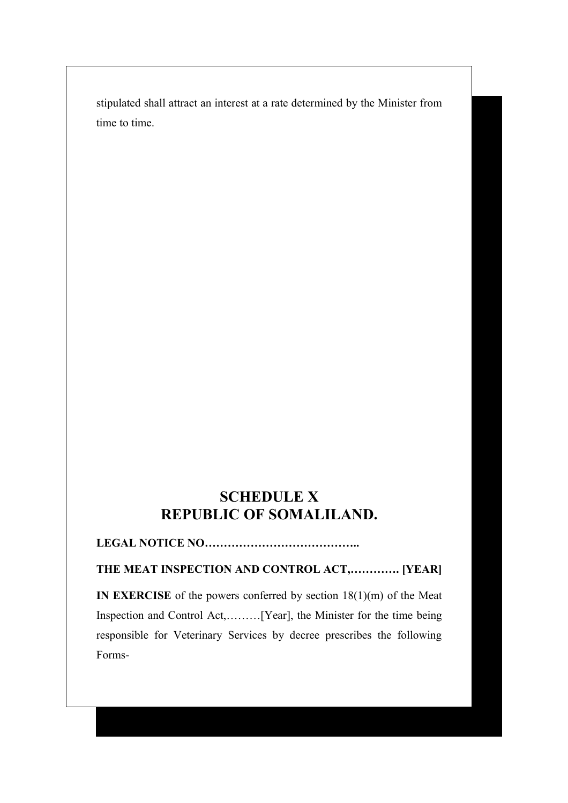stipulated shall attract an interest at a rate determined by the Minister from time to time.

# **SCHEDULE X REPUBLIC OF SOMALILAND.**

### **LEGAL NOTICE NO…………………………………..**

### **THE MEAT INSPECTION AND CONTROL ACT,…………. [YEAR]**

**IN EXERCISE** of the powers conferred by section 18(1)(m) of the Meat Inspection and Control Act,………[Year], the Minister for the time being responsible for Veterinary Services by decree prescribes the following Forms-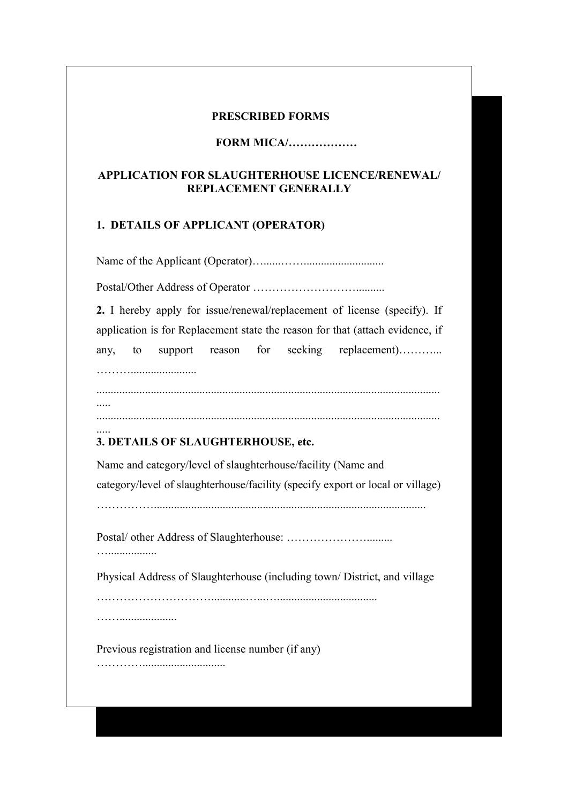#### **PRESCRIBED FORMS**

#### **FORM MICA/………………**

#### **APPLICATION FOR SLAUGHTERHOUSE LICENCE/RENEWAL/ REPLACEMENT GENERALLY**

#### **1. DETAILS OF APPLICANT (OPERATOR)**

Name of the Applicant (Operator)…......……............................

Postal/Other Address of Operator ………………………..........

**2.** I hereby apply for issue/renewal/replacement of license (specify). If application is for Replacement state the reason for that (attach evidence, if any, to support reason for seeking replacement)………...

……….......................

.....

........................................................................................................................ .....

#### ........................................................................................................................

### **3. DETAILS OF SLAUGHTERHOUSE, etc.**

Name and category/level of slaughterhouse/facility (Name and category/level of slaughterhouse/facility (specify export or local or village)

……………...............................................................................................

Postal/ other Address of Slaughterhouse: ………………….........

Physical Address of Slaughterhouse (including town/ District, and village

…………………………............…...…...................................

……....................

….................

Previous registration and license number (if any)

………….............................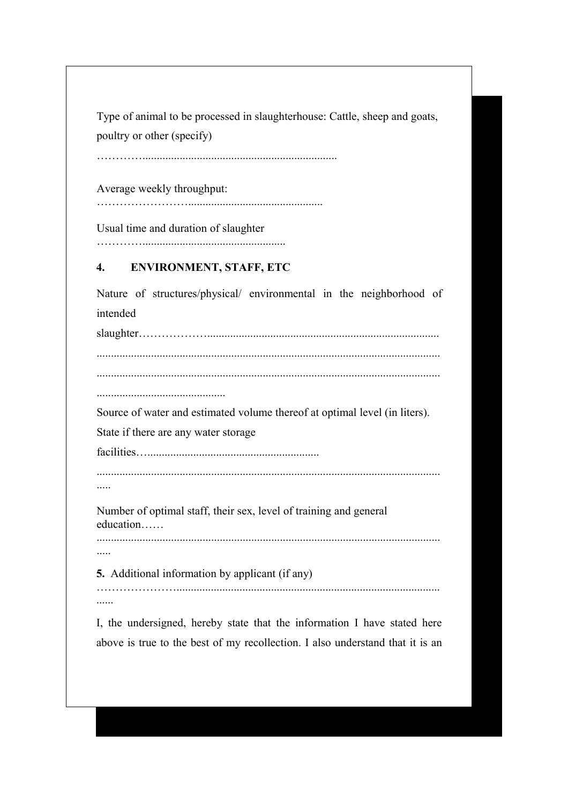Type of animal to be processed in slaughterhouse: Cattle, sheep and goats, poultry or other (specify)

………………………………………………………………………………

Average weekly throughput:

……………………...............................................

Usual time and duration of slaughter

…………..................................................

### **4. ENVIRONMENT, STAFF, ETC**

Nature of structures/physical/ environmental in the neighborhood of intended slaughter………………................................................................................. ........................................................................................................................ ........................................................................................................................ ............................................. Source of water and estimated volume thereof at optimal level (in liters). State if there are any water storage facilities…............................................................ ........................................................................................................................ ..... Number of optimal staff, their sex, level of training and general education…… ........................................................................................................................ ..... **5.** Additional information by applicant (if any) …………………............................................................................................ ......

I, the undersigned, hereby state that the information I have stated here above is true to the best of my recollection. I also understand that it is an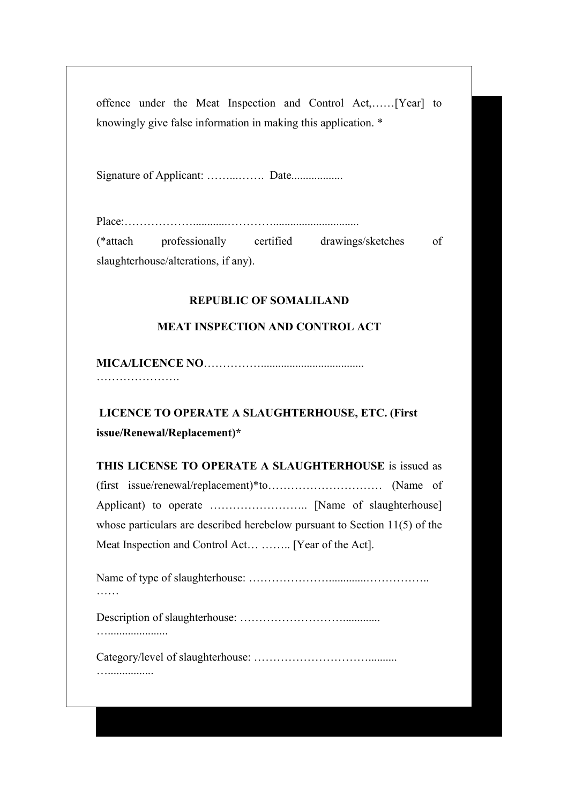offence under the Meat Inspection and Control Act,……[Year] to knowingly give false information in making this application. \*

Signature of Applicant: ................. Date...................

|                                      | (*attach professionally certified drawings/sketches | - of |
|--------------------------------------|-----------------------------------------------------|------|
| slaughterhouse/alterations, if any). |                                                     |      |

### **REPUBLIC OF SOMALILAND**

### **MEAT INSPECTION AND CONTROL ACT**

**MICA/LICENCE NO**…………….................................... ………………….

## **LICENCE TO OPERATE A SLAUGHTERHOUSE, ETC. (First issue/Renewal/Replacement)\***

**THIS LICENSE TO OPERATE A SLAUGHTERHOUSE** is issued as (first issue/renewal/replacement)\*to………………………… (Name of Applicant) to operate …………………….. [Name of slaughterhouse] whose particulars are described herebelow pursuant to Section 11(5) of the Meat Inspection and Control Act… …….. [Year of the Act].

Name of type of slaughterhouse: ………………….............……………..

Description of slaughterhouse: ……………………….............

….....................

…................

Category/level of slaughterhouse: …………………………..........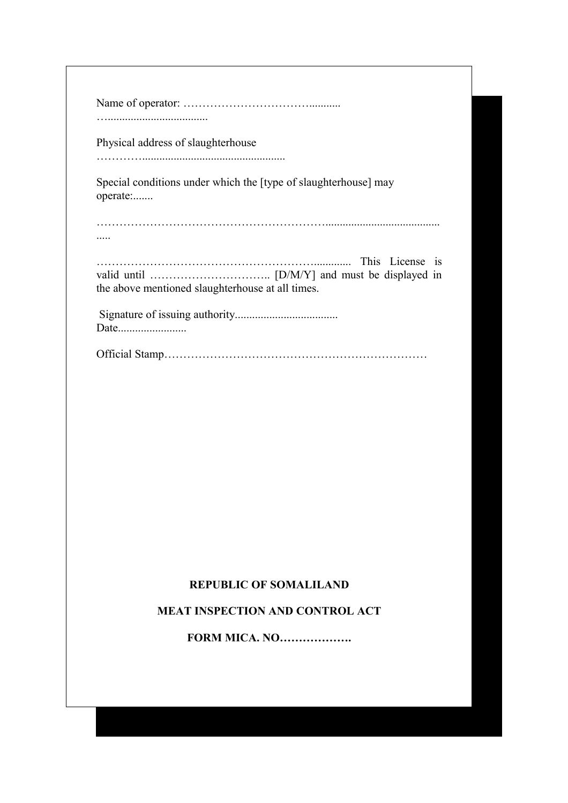| Physical address of slaughterhouse                                          |
|-----------------------------------------------------------------------------|
| Special conditions under which the [type of slaughterhouse] may<br>operate: |
|                                                                             |
| This License is<br>the above mentioned slaughterhouse at all times.         |
| Date                                                                        |

Official Stamp……………………………………………………………

### **REPUBLIC OF SOMALILAND**

### **MEAT INSPECTION AND CONTROL ACT**

**FORM MICA. NO……………….**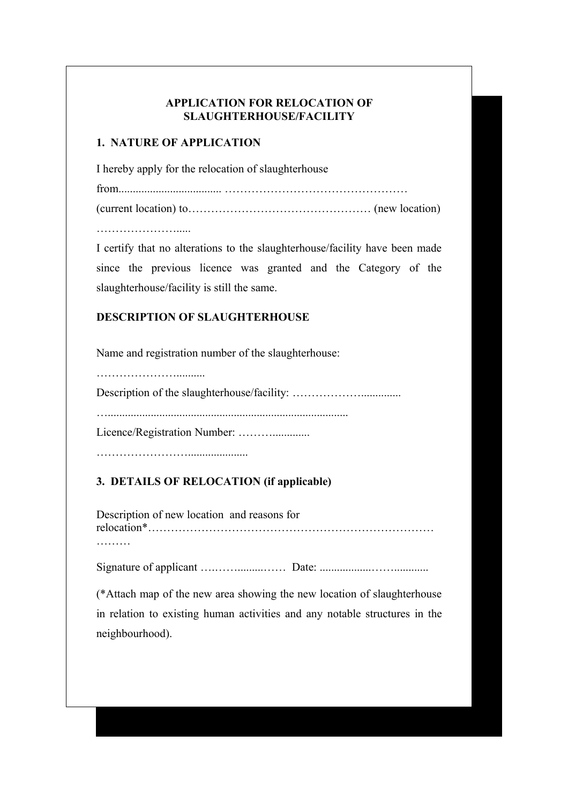### **APPLICATION FOR RELOCATION OF SLAUGHTERHOUSE/FACILITY**

### **1. NATURE OF APPLICATION**

I hereby apply for the relocation of slaughterhouse

from.................................... …………………………………………

(current location) to………………………………………… (new location)

 $\mathcal{L}_{\mathcal{M}}$ 

I certify that no alterations to the slaughterhouse/facility have been made since the previous licence was granted and the Category of the slaughterhouse/facility is still the same.

### **DESCRIPTION OF SLAUGHTERHOUSE**

Name and registration number of the slaughterhouse:

…………………..........

Description of the slaughterhouse/facility: ………………..............

…....................................................................................

Licence/Registration Number: ……….............

 $\mathcal{L}_{\mathcal{M}}$  , and the contract of the contract of the contract of the contract of the contract of the contract of the contract of the contract of the contract of the contract of the contract of the contract of the cont

### **3. DETAILS OF RELOCATION (if applicable)**

Description of new location and reasons for relocation\*………………………………………………………………… ………

Signature of applicant ….…….........…… Date: ..................……............

(\*Attach map of the new area showing the new location of slaughterhouse in relation to existing human activities and any notable structures in the neighbourhood).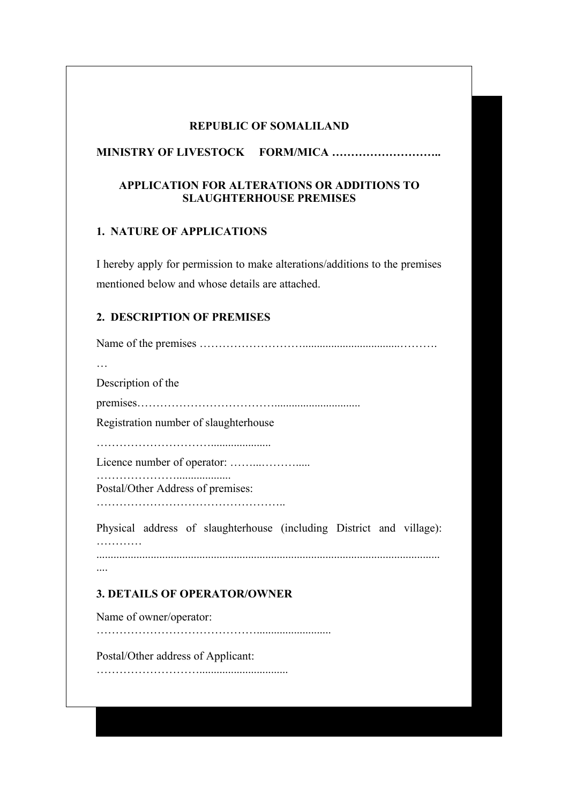#### **REPUBLIC OF SOMALILAND**

### **MINISTRY OF LIVESTOCK FORM/MICA ………………………..**

### **APPLICATION FOR ALTERATIONS OR ADDITIONS TO SLAUGHTERHOUSE PREMISES**

### **1. NATURE OF APPLICATIONS**

I hereby apply for permission to make alterations/additions to the premises mentioned below and whose details are attached.

### **2. DESCRIPTION OF PREMISES**

Name of the premises ………………………..................................………. … Description of the premises……………………………….............................. Registration number of slaughterhouse …………………………..................... Licence number of operator: ……...………..... …………………................... Postal/Other Address of premises: ………………………………………….. Physical address of slaughterhouse (including District and village): …………… ........................................................................................................................ .... **3. DETAILS OF OPERATOR/OWNER** Name of owner/operator: …………………………………….......................... Postal/Other address of Applicant: ………………………...............................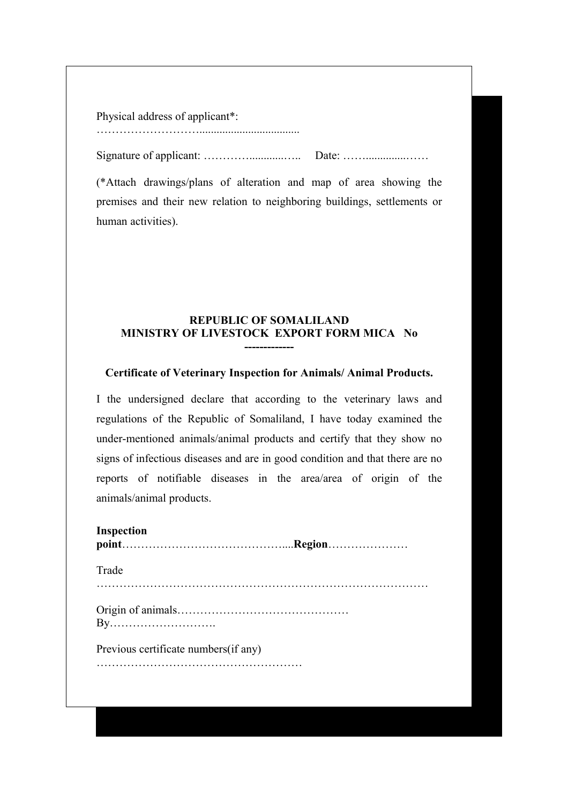#### Physical address of applicant\*:

………………………...................................

Signature of applicant: …………............….. Date: ……..............……

(\*Attach drawings/plans of alteration and map of area showing the premises and their new relation to neighboring buildings, settlements or human activities).

#### **REPUBLIC OF SOMALILAND MINISTRY OF LIVESTOCK EXPORT FORM MICA No -------------**

#### **Certificate of Veterinary Inspection for Animals/ Animal Products.**

I the undersigned declare that according to the veterinary laws and regulations of the Republic of Somaliland, I have today examined the under-mentioned animals/animal products and certify that they show no signs of infectious diseases and are in good condition and that there are no reports of notifiable diseases in the area/area of origin of the animals/animal products.

| <b>Inspection</b>                     |  |
|---------------------------------------|--|
| Trade                                 |  |
|                                       |  |
| Previous certificate numbers (if any) |  |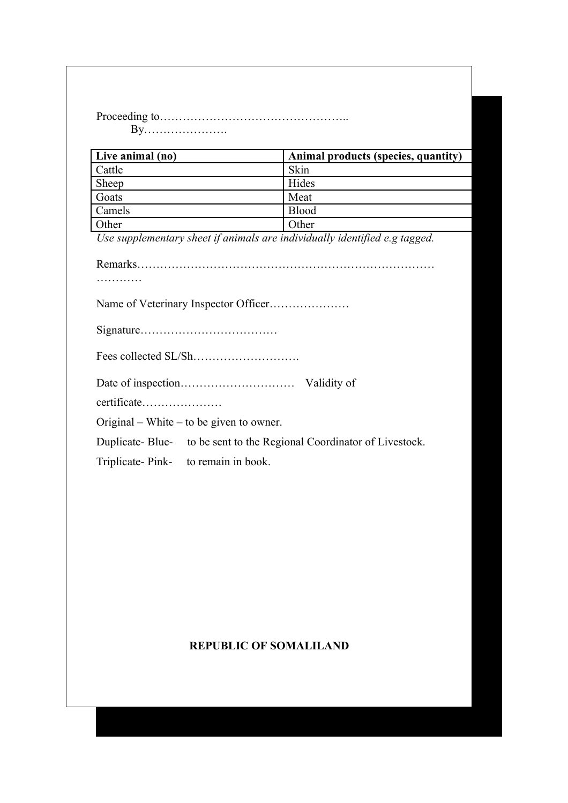Proceeding to………………………………………….. By………………….

| Live animal (no) | Animal products (species, quantity) |
|------------------|-------------------------------------|
| Cattle           | Skin                                |
| Sheep            | Hides                               |
| Goats            | Meat                                |
| Camels           | <b>Blood</b>                        |
| Other            | Other                               |

*Use supplementary sheet if animals are individually identified e.g tagged.*

| certificate                                                          |
|----------------------------------------------------------------------|
| Original – White – to be given to owner.                             |
| Duplicate-Blue- to be sent to the Regional Coordinator of Livestock. |
| Triplicate-Pink- to remain in book.                                  |

### **REPUBLIC OF SOMALILAND**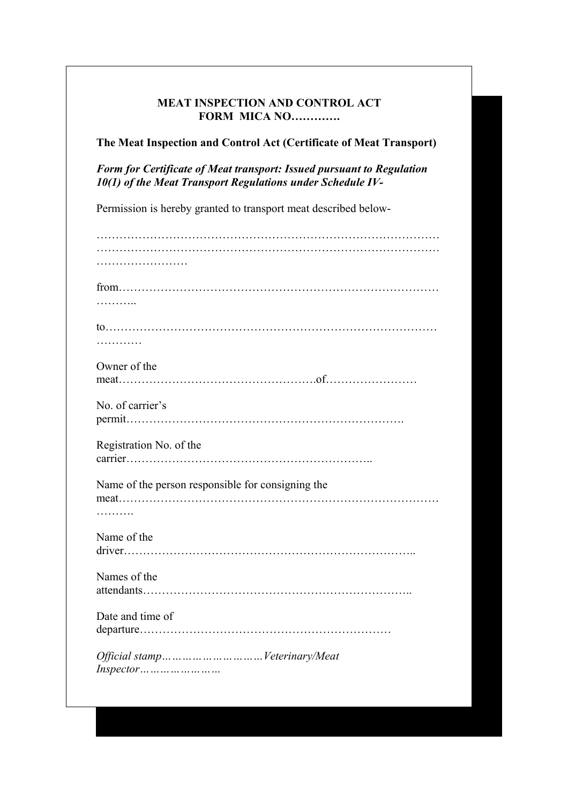#### **MEAT INSPECTION AND CONTROL ACT FORM MICA NO………….**

**The Meat Inspection and Control Act (Certificate of Meat Transport)**

*Form for Certificate of Meat transport: Issued pursuant to Regulation 10(1) of the Meat Transport Regulations under Schedule IV-*

Permission is hereby granted to transport meat described below-

| .                                                 |  |
|---------------------------------------------------|--|
| Owner of the                                      |  |
|                                                   |  |
|                                                   |  |
| No. of carrier's                                  |  |
|                                                   |  |
| Registration No. of the                           |  |
|                                                   |  |
|                                                   |  |
| Name of the person responsible for consigning the |  |
|                                                   |  |
| .                                                 |  |
| Name of the                                       |  |
|                                                   |  |
|                                                   |  |
| Names of the                                      |  |
|                                                   |  |
| Date and time of                                  |  |
|                                                   |  |
|                                                   |  |
| Official stamp Veterinary/Meat                    |  |
|                                                   |  |